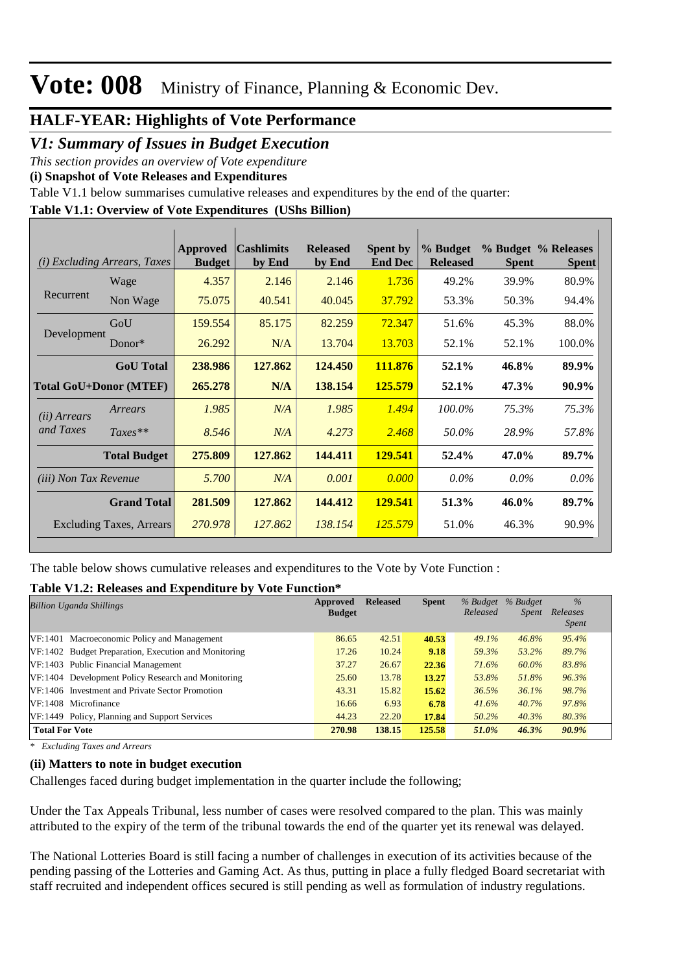#### **HALF-YEAR: Highlights of Vote Performance**

*V1: Summary of Issues in Budget Execution*

*This section provides an overview of Vote expenditure* 

**(i) Snapshot of Vote Releases and Expenditures**

Table V1.1 below summarises cumulative releases and expenditures by the end of the quarter:

#### **Table V1.1: Overview of Vote Expenditures (UShs Billion)**

|                              | ( <i>i</i> ) Excluding Arrears, Taxes | Approved<br><b>Budget</b> | <b>Cashlimits</b><br>by End | <b>Released</b><br>by End | <b>Spent by</b><br><b>End Dec</b> | % Budget<br><b>Released</b> | <b>Spent</b> | % Budget % Releases<br><b>Spent</b> |
|------------------------------|---------------------------------------|---------------------------|-----------------------------|---------------------------|-----------------------------------|-----------------------------|--------------|-------------------------------------|
|                              | Wage                                  | 4.357                     | 2.146                       | 2.146                     | 1.736                             | 49.2%                       | 39.9%        | 80.9%                               |
| Recurrent                    | Non Wage                              | 75.075                    | 40.541                      | 40.045                    | 37.792                            | 53.3%                       | 50.3%        | 94.4%                               |
|                              | GoU                                   | 159.554                   | 85.175                      | 82.259                    | 72.347                            | 51.6%                       | 45.3%        | 88.0%                               |
| Development                  | Donor $*$                             | 26.292                    | N/A                         | 13.704                    | 13.703                            | 52.1%                       | 52.1%        | 100.0%                              |
|                              | <b>GoU</b> Total                      | 238.986                   | 127.862                     | 124.450                   | 111.876                           | 52.1%                       | 46.8%        | 89.9%                               |
|                              | <b>Total GoU+Donor (MTEF)</b>         | 265,278                   | N/A                         | 138.154                   | 125.579                           | 52.1%                       | 47.3%        | 90.9%                               |
| ( <i>ii</i> ) Arrears        | Arrears                               | 1.985                     | N/A                         | 1.985                     | 1.494                             | 100.0%                      | 75.3%        | 75.3%                               |
| and Taxes                    | $Taxes**$                             | 8.546                     | N/A                         | 4.273                     | 2.468                             | 50.0%                       | 28.9%        | 57.8%                               |
|                              | <b>Total Budget</b>                   | 275.809                   | 127.862                     | 144.411                   | 129.541                           | 52.4%                       | 47.0%        | 89.7%                               |
| <i>(iii)</i> Non Tax Revenue |                                       | 5.700                     | N/A                         | 0.001                     | 0.000                             | $0.0\%$                     | $0.0\%$      | $0.0\%$                             |
|                              | <b>Grand Total</b>                    | 281.509                   | 127.862                     | 144.412                   | 129.541                           | 51.3%                       | 46.0%        | 89.7%                               |
|                              | Excluding Taxes, Arrears              | 270.978                   | 127.862                     | 138.154                   | 125.579                           | 51.0%                       | 46.3%        | 90.9%                               |

The table below shows cumulative releases and expenditures to the Vote by Vote Function :

#### **Table V1.2: Releases and Expenditure by Vote Function\***

| Approved<br><b>Billion Uganda Shillings</b>          |        | <b>Released</b> | <b>Spent</b> | $%$ Budget<br>Released | % Budget<br><i>Spent</i> | $\frac{0}{0}$<br>Releases<br><i>Spent</i> |
|------------------------------------------------------|--------|-----------------|--------------|------------------------|--------------------------|-------------------------------------------|
| VF:1401 Macroeconomic Policy and Management          | 86.65  | 42.51           | 40.53        | 49.1%                  | 46.8%                    | 95.4%                                     |
| VF:1402 Budget Preparation, Execution and Monitoring | 17.26  | 10.24           | 9.18         | 59.3%                  | 53.2%                    | 89.7%                                     |
| VF:1403 Public Financial Management                  | 37.27  | 26.67           | 22.36        | 71.6%                  | 60.0%                    | 83.8%                                     |
| VF:1404 Development Policy Research and Monitoring   | 25.60  | 13.78           | 13.27        | 53.8%                  | 51.8%                    | 96.3%                                     |
| VF:1406 Investment and Private Sector Promotion      | 43.31  | 15.82           | 15.62        | 36.5%                  | 36.1%                    | 98.7%                                     |
| VF:1408 Microfinance                                 | 16.66  | 6.93            | 6.78         | 41.6%                  | 40.7%                    | 97.8%                                     |
| VF:1449 Policy, Planning and Support Services        | 44.23  | 22.20           | 17.84        | 50.2%                  | 40.3%                    | 80.3%                                     |
| <b>Total For Vote</b>                                | 270.98 | 138.15          | 125.58       | 51.0%                  | 46.3%                    | 90.9%                                     |

*\* Excluding Taxes and Arrears*

#### **(ii) Matters to note in budget execution**

Challenges faced during budget implementation in the quarter include the following;

Under the Tax Appeals Tribunal, less number of cases were resolved compared to the plan. This was mainly attributed to the expiry of the term of the tribunal towards the end of the quarter yet its renewal was delayed.

The National Lotteries Board is still facing a number of challenges in execution of its activities because of the pending passing of the Lotteries and Gaming Act. As thus, putting in place a fully fledged Board secretariat with staff recruited and independent offices secured is still pending as well as formulation of industry regulations.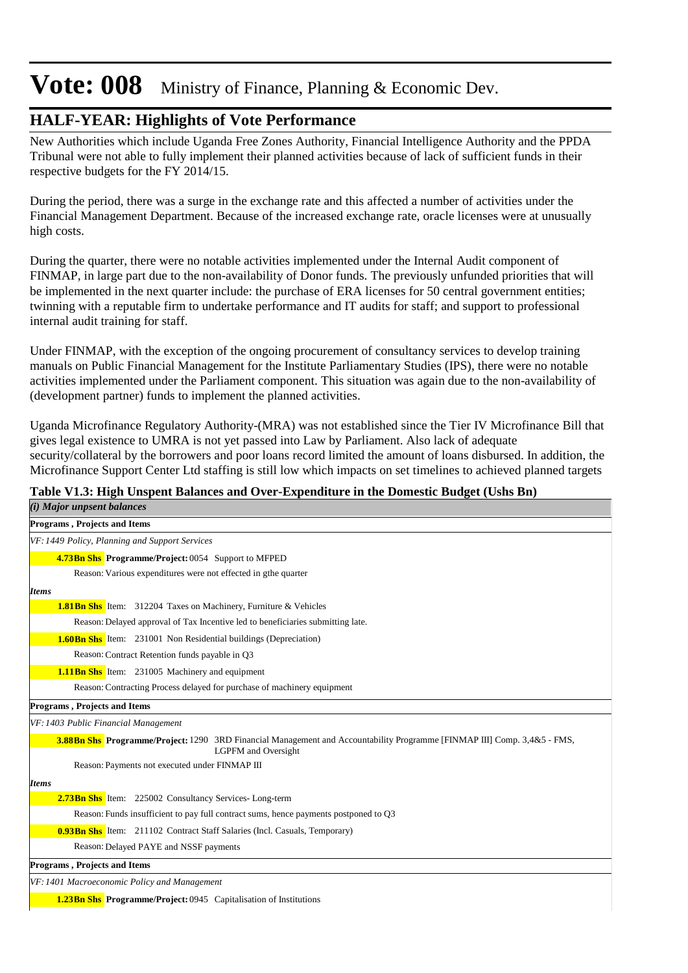### **HALF-YEAR: Highlights of Vote Performance**

New Authorities which include Uganda Free Zones Authority, Financial Intelligence Authority and the PPDA Tribunal were not able to fully implement their planned activities because of lack of sufficient funds in their respective budgets for the FY 2014/15.

During the period, there was a surge in the exchange rate and this affected a number of activities under the Financial Management Department. Because of the increased exchange rate, oracle licenses were at unusually high costs.

During the quarter, there were no notable activities implemented under the Internal Audit component of FINMAP, in large part due to the non-availability of Donor funds. The previously unfunded priorities that will be implemented in the next quarter include: the purchase of ERA licenses for 50 central government entities; twinning with a reputable firm to undertake performance and IT audits for staff; and support to professional internal audit training for staff.

Under FINMAP, with the exception of the ongoing procurement of consultancy services to develop training manuals on Public Financial Management for the Institute Parliamentary Studies (IPS), there were no notable activities implemented under the Parliament component. This situation was again due to the non-availability of (development partner) funds to implement the planned activities.

Uganda Microfinance Regulatory Authority-(MRA) was not established since the Tier IV Microfinance Bill that gives legal existence to UMRA is not yet passed into Law by Parliament. Also lack of adequate security/collateral by the borrowers and poor loans record limited the amount of loans disbursed. In addition, the Microfinance Support Center Ltd staffing is still low which impacts on set timelines to achieved planned targets

#### **Table V1.3: High Unspent Balances and Over-Expenditure in the Domestic Budget (Ushs Bn)**

| (i) Major unpsent balances                                                                                                                                    |
|---------------------------------------------------------------------------------------------------------------------------------------------------------------|
| Programs, Projects and Items                                                                                                                                  |
| VF: 1449 Policy, Planning and Support Services                                                                                                                |
| <b>4.73Bn Shs Programme/Project: 0054 Support to MFPED</b>                                                                                                    |
| Reason: Various expenditures were not effected in gthe quarter                                                                                                |
| <b>Items</b>                                                                                                                                                  |
| <b>1.81 Bn Shs</b> Item: 312204 Taxes on Machinery, Furniture & Vehicles                                                                                      |
| Reason: Delayed approval of Tax Incentive led to beneficiaries submitting late.                                                                               |
| <b>1.60Bn Shs</b> Item: 231001 Non Residential buildings (Depreciation)                                                                                       |
| Reason: Contract Retention funds payable in Q3                                                                                                                |
| <b>1.11Bn Shs</b> Item: 231005 Machinery and equipment                                                                                                        |
| Reason: Contracting Process delayed for purchase of machinery equipment                                                                                       |
| <b>Programs, Projects and Items</b>                                                                                                                           |
| VF: 1403 Public Financial Management                                                                                                                          |
| <b>3.88Bn Shs Programme/Project:</b> 1290 3RD Financial Management and Accountability Programme [FINMAP III] Comp. 3,4&5 - FMS,<br><b>LGPFM</b> and Oversight |
| Reason: Payments not executed under FINMAP III                                                                                                                |
| <b>Items</b>                                                                                                                                                  |
| 2.73Bn Shs Item: 225002 Consultancy Services-Long-term                                                                                                        |
| Reason: Funds insufficient to pay full contract sums, hence payments postponed to Q3                                                                          |
| <b>0.93Bn Shs</b> Item: 211102 Contract Staff Salaries (Incl. Casuals, Temporary)                                                                             |
| Reason: Delayed PAYE and NSSF payments                                                                                                                        |
| <b>Programs, Projects and Items</b>                                                                                                                           |
| VF: 1401 Macroeconomic Policy and Management                                                                                                                  |
| <b>1.23Bn Shs</b> Programme/Project: 0945 Capitalisation of Institutions                                                                                      |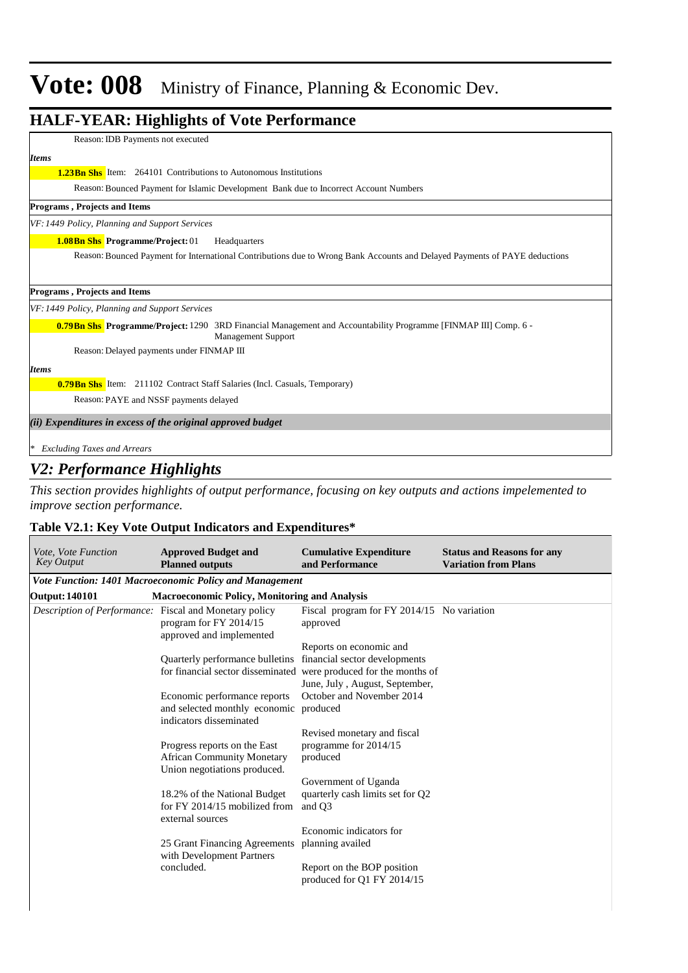### **HALF-YEAR: Highlights of Vote Performance** *(ii) Expenditures in excess of the original approved budget \* Excluding Taxes and Arrears* Reason:IDB Payments not executed *Items* **1.23Bn Shs** Item: 264101 Contributions to Autonomous Institutions Reason: Bounced Payment for Islamic Development Bank due to Incorrect Account Numbers **1.08Bn Shs** Programme/Project: 01 Headquarters *VF: 1449 Policy, Planning and Support Services* Reason: Bounced Payment for International Contributions due to Wrong Bank Accounts and Delayed Payments of PAYE deductions **Programs , Projects and Items 0.79Bn Shs Programme/Project:** 1290 3RD Financial Management and Accountability Programme [FINMAP III] Comp. 6 -Management Support *VF: 1449 Policy, Planning and Support Services* Reason: Delayed payments under FINMAP III **Programs , Projects and Items** *Items* **Bn Shs** Item: 211102 Contract Staff Salaries (Incl. Casuals, Temporary) **0.79** Reason: PAYE and NSSF payments delayed

### *V2: Performance Highlights*

*This section provides highlights of output performance, focusing on key outputs and actions impelemented to improve section performance.*

#### **Table V2.1: Key Vote Output Indicators and Expenditures\***

| Vote, Vote Function<br><b>Key Output</b>               | <b>Approved Budget and</b><br><b>Planned outputs</b>                                              | <b>Cumulative Expenditure</b><br>and Performance                                                                                                                                             | <b>Status and Reasons for any</b><br><b>Variation from Plans</b> |  |  |  |  |  |
|--------------------------------------------------------|---------------------------------------------------------------------------------------------------|----------------------------------------------------------------------------------------------------------------------------------------------------------------------------------------------|------------------------------------------------------------------|--|--|--|--|--|
|                                                        | Vote Function: 1401 Macroeconomic Policy and Management                                           |                                                                                                                                                                                              |                                                                  |  |  |  |  |  |
| <b>Output: 140101</b>                                  | <b>Macroeconomic Policy, Monitoring and Analysis</b>                                              |                                                                                                                                                                                              |                                                                  |  |  |  |  |  |
| Description of Performance: Fiscal and Monetary policy | program for FY 2014/15<br>approved and implemented                                                | Fiscal program for FY 2014/15 No variation<br>approved                                                                                                                                       |                                                                  |  |  |  |  |  |
|                                                        | Quarterly performance bulletins<br>Economic performance reports                                   | Reports on economic and<br>financial sector developments<br>for financial sector disseminated were produced for the months of<br>June, July, August, September,<br>October and November 2014 |                                                                  |  |  |  |  |  |
|                                                        | and selected monthly economic produced<br>indicators disseminated                                 |                                                                                                                                                                                              |                                                                  |  |  |  |  |  |
|                                                        | Progress reports on the East<br><b>African Community Monetary</b><br>Union negotiations produced. | Revised monetary and fiscal<br>programme for 2014/15<br>produced                                                                                                                             |                                                                  |  |  |  |  |  |
|                                                        | 18.2% of the National Budget<br>for FY 2014/15 mobilized from<br>external sources                 | Government of Uganda<br>quarterly cash limits set for Q2<br>and O <sub>3</sub>                                                                                                               |                                                                  |  |  |  |  |  |
|                                                        | 25 Grant Financing Agreements<br>with Development Partners                                        | Economic indicators for<br>planning availed                                                                                                                                                  |                                                                  |  |  |  |  |  |
|                                                        | concluded.                                                                                        | Report on the BOP position<br>produced for Q1 FY 2014/15                                                                                                                                     |                                                                  |  |  |  |  |  |

 $\overline{\phantom{a}}$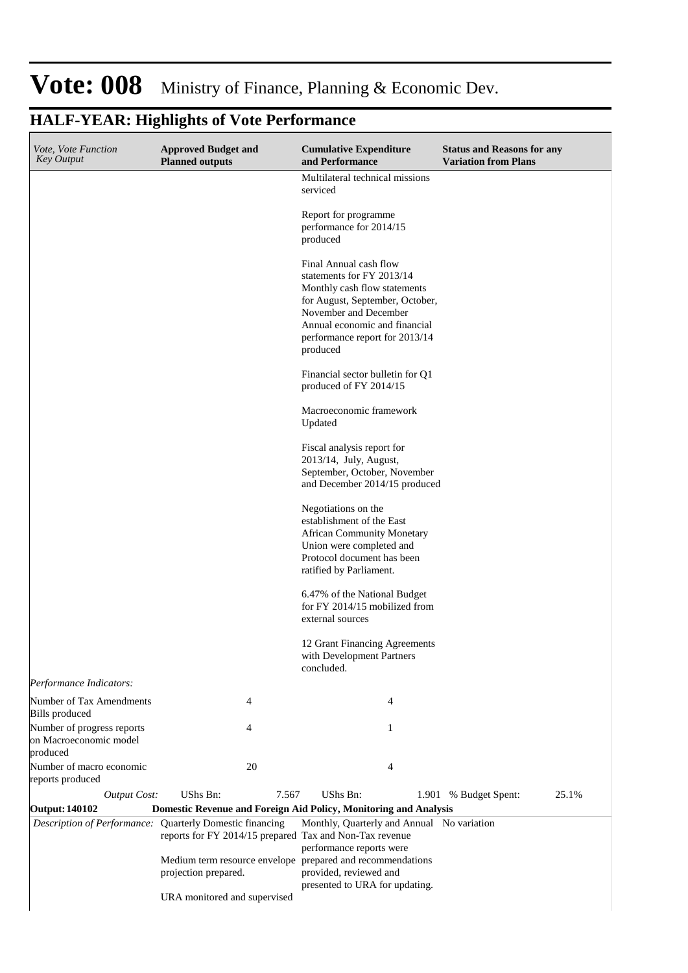#### **Cumulative Expenditure and Performance Approved Budget and Planned outputs Status and Reasons for any Variation from Plans** *Vote, Vote Function Key Output* Multilateral technical missions serviced Report for programme performance for 2014/15 produced Final Annual cash flow statements for FY 2013/14 Monthly cash flow statements for August, September, October, November and December Annual economic and financial performance report for 2013/14 produced Financial sector bulletin for Q1 produced of FY 2014/15 Macroeconomic framework Updated Fiscal analysis report for 2013/14, July, August, September, October, November and December 2014/15 produced Negotiations on the establishment of the East African Community Monetary Union were completed and Protocol document has been ratified by Parliament. 6.47% of the National Budget for FY 2014/15 mobilized from external sources 12 Grant Financing Agreements with Development Partners concluded. *Output Cost:* UShs Bn: 7.567 UShs Bn: 1.901 % Budget Spent: 25.1% *Performance Indicators:* Number of Tax Amendments Bills produced 4 4 Number of progress reports on Macroeconomic model produced 4 1 Number of macro economic reports produced 20 4 **Output: 140102 Domestic Revenue and Foreign Aid Policy, Monitoring and Analysis** *Description of Performance:* Quarterly Domestic financing reports for FY 2014/15 prepared Tax and Non-Tax revenue Medium term resource envelope prepared and recommendations projection prepared. URA monitored and supervised Monthly, Quarterly and Annual No variationperformance reports were provided, reviewed and presented to URA for updating.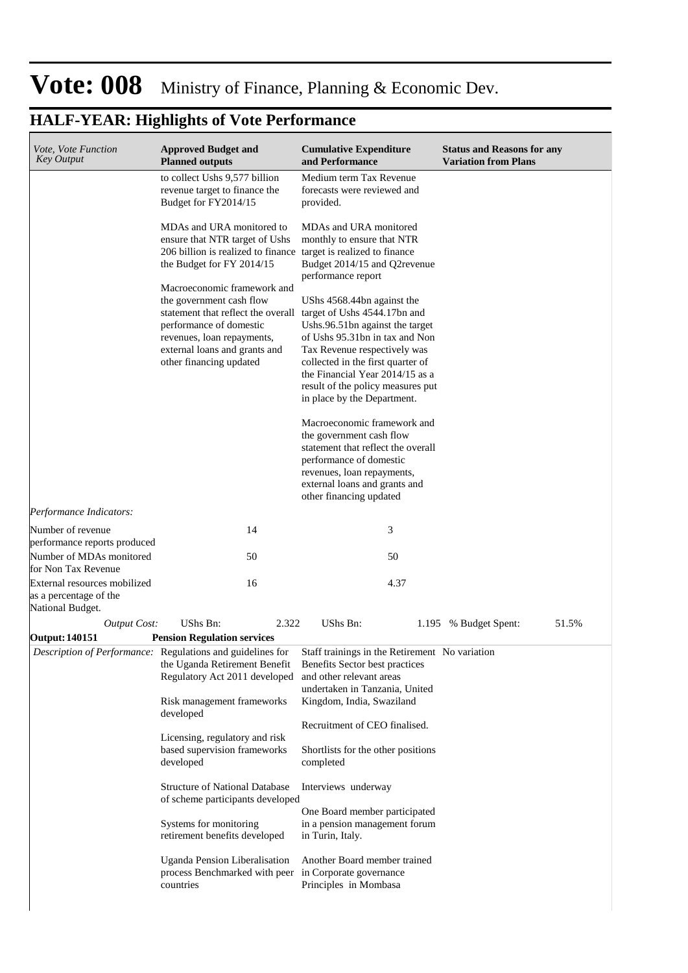| <i>Vote, Vote Function</i><br><b>Key Output</b>                                 | <b>Approved Budget and</b><br><b>Planned outputs</b>                                                                                                                                                                                            | <b>Cumulative Expenditure</b><br>and Performance                                                                                                                                                                                                                            | <b>Status and Reasons for any</b><br><b>Variation from Plans</b> |
|---------------------------------------------------------------------------------|-------------------------------------------------------------------------------------------------------------------------------------------------------------------------------------------------------------------------------------------------|-----------------------------------------------------------------------------------------------------------------------------------------------------------------------------------------------------------------------------------------------------------------------------|------------------------------------------------------------------|
|                                                                                 | to collect Ushs 9,577 billion<br>revenue target to finance the<br>Budget for FY2014/15                                                                                                                                                          | Medium term Tax Revenue<br>forecasts were reviewed and<br>provided.                                                                                                                                                                                                         |                                                                  |
|                                                                                 | MDAs and URA monitored to<br>ensure that NTR target of Ushs<br>206 billion is realized to finance target is realized to finance<br>the Budget for FY 2014/15                                                                                    | MDAs and URA monitored<br>monthly to ensure that NTR<br>Budget 2014/15 and Q2revenue<br>performance report                                                                                                                                                                  |                                                                  |
|                                                                                 | Macroeconomic framework and<br>the government cash flow<br>statement that reflect the overall target of Ushs 4544.17bn and<br>performance of domestic<br>revenues, loan repayments,<br>external loans and grants and<br>other financing updated | UShs 4568.44bn against the<br>Ushs.96.51bn against the target<br>of Ushs 95.31bn in tax and Non<br>Tax Revenue respectively was<br>collected in the first quarter of<br>the Financial Year 2014/15 as a<br>result of the policy measures put<br>in place by the Department. |                                                                  |
|                                                                                 |                                                                                                                                                                                                                                                 | Macroeconomic framework and<br>the government cash flow<br>statement that reflect the overall<br>performance of domestic<br>revenues, loan repayments,<br>external loans and grants and<br>other financing updated                                                          |                                                                  |
| Performance Indicators:                                                         |                                                                                                                                                                                                                                                 |                                                                                                                                                                                                                                                                             |                                                                  |
| Number of revenue                                                               | 14                                                                                                                                                                                                                                              | 3                                                                                                                                                                                                                                                                           |                                                                  |
| performance reports produced<br>Number of MDAs monitored<br>for Non Tax Revenue | 50                                                                                                                                                                                                                                              | 50                                                                                                                                                                                                                                                                          |                                                                  |
| External resources mobilized<br>as a percentage of the<br>National Budget.      | 16                                                                                                                                                                                                                                              | 4.37                                                                                                                                                                                                                                                                        |                                                                  |
| <b>Output Cost:</b>                                                             | UShs Bn:<br>2.322                                                                                                                                                                                                                               | UShs Bn:                                                                                                                                                                                                                                                                    | 51.5%<br>1.195 % Budget Spent:                                   |
| <b>Output: 140151</b>                                                           | <b>Pension Regulation services</b>                                                                                                                                                                                                              |                                                                                                                                                                                                                                                                             |                                                                  |
|                                                                                 | Description of Performance: Regulations and guidelines for<br>the Uganda Retirement Benefit<br>Regulatory Act 2011 developed<br>Risk management frameworks                                                                                      | Staff trainings in the Retirement No variation<br>Benefits Sector best practices<br>and other relevant areas<br>undertaken in Tanzania, United<br>Kingdom, India, Swaziland                                                                                                 |                                                                  |
|                                                                                 | developed                                                                                                                                                                                                                                       | Recruitment of CEO finalised.                                                                                                                                                                                                                                               |                                                                  |
|                                                                                 | Licensing, regulatory and risk<br>based supervision frameworks<br>developed                                                                                                                                                                     | Shortlists for the other positions<br>completed                                                                                                                                                                                                                             |                                                                  |
|                                                                                 | <b>Structure of National Database</b><br>of scheme participants developed                                                                                                                                                                       | Interviews underway                                                                                                                                                                                                                                                         |                                                                  |
|                                                                                 | Systems for monitoring<br>retirement benefits developed                                                                                                                                                                                         | One Board member participated<br>in a pension management forum<br>in Turin, Italy.                                                                                                                                                                                          |                                                                  |
|                                                                                 | Uganda Pension Liberalisation<br>process Benchmarked with peer in Corporate governance<br>countries                                                                                                                                             | Another Board member trained<br>Principles in Mombasa                                                                                                                                                                                                                       |                                                                  |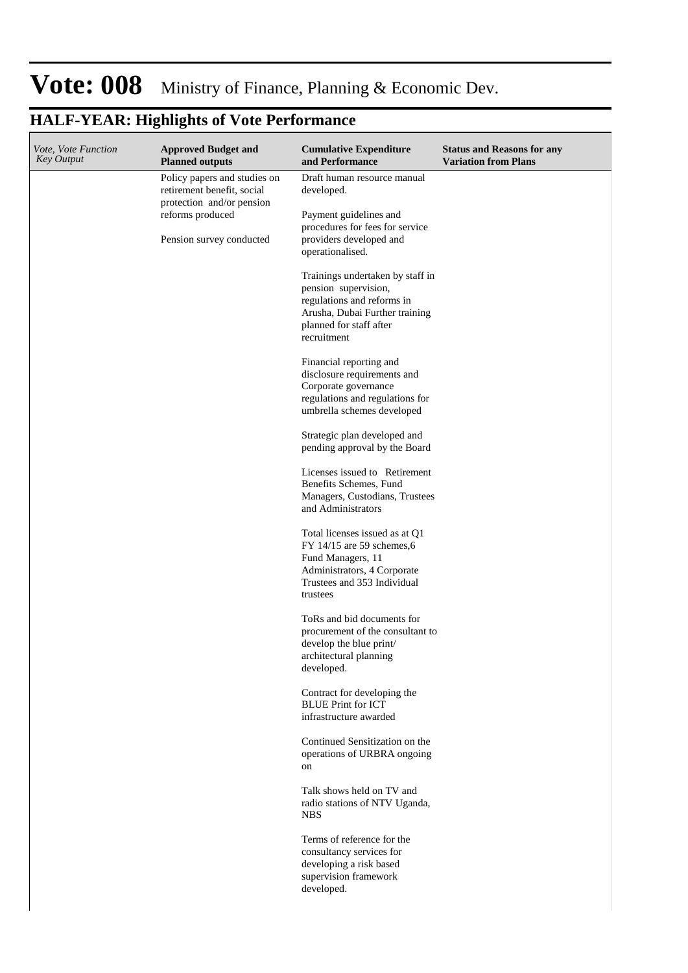| Vote, Vote Function<br><b>Key Output</b> | <b>Approved Budget and</b><br><b>Planned outputs</b>                                    | <b>Cumulative Expenditure</b><br>and Performance                                                                                                                   | <b>Status and Reasons for any</b><br><b>Variation from Plans</b> |
|------------------------------------------|-----------------------------------------------------------------------------------------|--------------------------------------------------------------------------------------------------------------------------------------------------------------------|------------------------------------------------------------------|
|                                          | Policy papers and studies on<br>retirement benefit, social<br>protection and/or pension | Draft human resource manual<br>developed.                                                                                                                          |                                                                  |
|                                          | reforms produced<br>Pension survey conducted                                            | Payment guidelines and<br>procedures for fees for service<br>providers developed and<br>operationalised.                                                           |                                                                  |
|                                          |                                                                                         | Trainings undertaken by staff in<br>pension supervision,<br>regulations and reforms in<br>Arusha, Dubai Further training<br>planned for staff after<br>recruitment |                                                                  |
|                                          |                                                                                         | Financial reporting and<br>disclosure requirements and<br>Corporate governance<br>regulations and regulations for<br>umbrella schemes developed                    |                                                                  |
|                                          |                                                                                         | Strategic plan developed and<br>pending approval by the Board                                                                                                      |                                                                  |
|                                          |                                                                                         | Licenses issued to Retirement<br>Benefits Schemes, Fund<br>Managers, Custodians, Trustees<br>and Administrators                                                    |                                                                  |
|                                          |                                                                                         | Total licenses issued as at Q1<br>$FY$ 14/15 are 59 schemes, 6<br>Fund Managers, 11<br>Administrators, 4 Corporate<br>Trustees and 353 Individual<br>trustees      |                                                                  |
|                                          |                                                                                         | ToRs and bid documents for<br>procurement of the consultant to<br>develop the blue print/<br>architectural planning<br>developed.                                  |                                                                  |
|                                          |                                                                                         | Contract for developing the<br><b>BLUE Print for ICT</b><br>infrastructure awarded                                                                                 |                                                                  |
|                                          |                                                                                         | Continued Sensitization on the<br>operations of URBRA ongoing<br>on                                                                                                |                                                                  |
|                                          |                                                                                         | Talk shows held on TV and<br>radio stations of NTV Uganda,<br><b>NBS</b>                                                                                           |                                                                  |
|                                          |                                                                                         | Terms of reference for the<br>consultancy services for<br>developing a risk based<br>supervision framework<br>developed.                                           |                                                                  |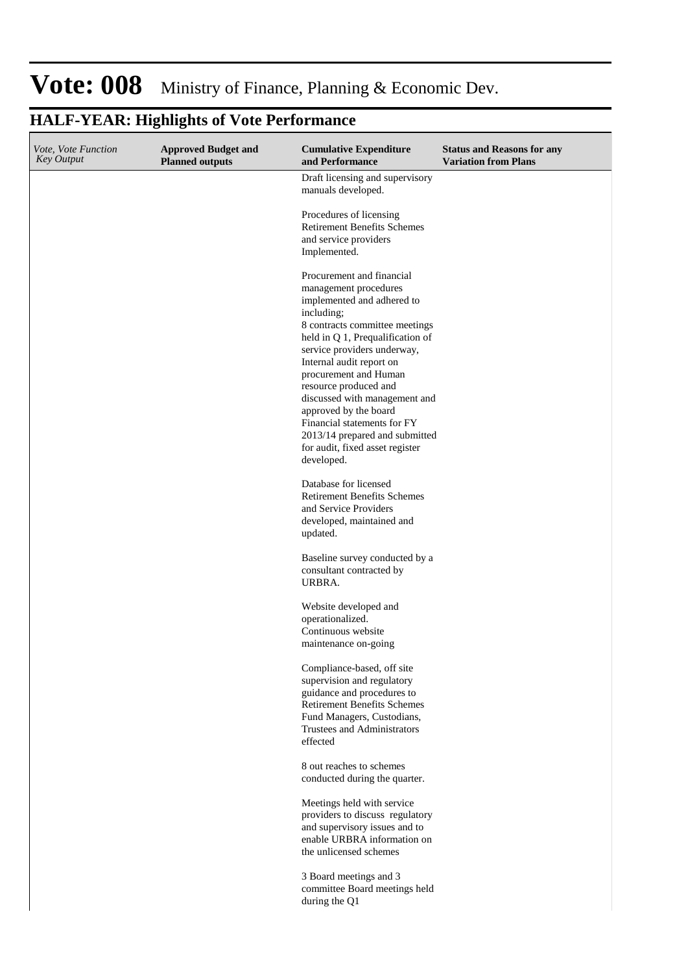#### **HALF-YEAR: Highlights of Vote Performance Cumulative Expenditure and Performance Approved Budget and Planned outputs Status and Reasons for any Variation from Plans** *Vote, Vote Function Key Output* Draft licensing and supervisory manuals developed. Procedures of licensing Retirement Benefits Schemes and service providers Implemented. Procurement and financial management procedures implemented and adhered to including; 8 contracts committee meetings held in Q 1, Prequalification of service providers underway, Internal audit report on procurement and Human resource produced and

Baseline survey conducted by a consultant contracted by URBRA.

discussed with management and

approved by the board Financial statements for FY 2013/14 prepared and submitted for audit, fixed asset register

Database for licensed Retirement Benefits Schemes and Service Providers developed, maintained and

developed.

updated.

Website developed and operationalized. Continuous website maintenance on-going

Compliance-based, off site supervision and regulatory guidance and procedures to Retirement Benefits Schemes Fund Managers, Custodians, Trustees and Administrators effected

8 out reaches to schemes conducted during the quarter.

Meetings held with service providers to discuss regulatory and supervisory issues and to enable URBRA information on the unlicensed schemes

3 Board meetings and 3 committee Board meetings held during the Q1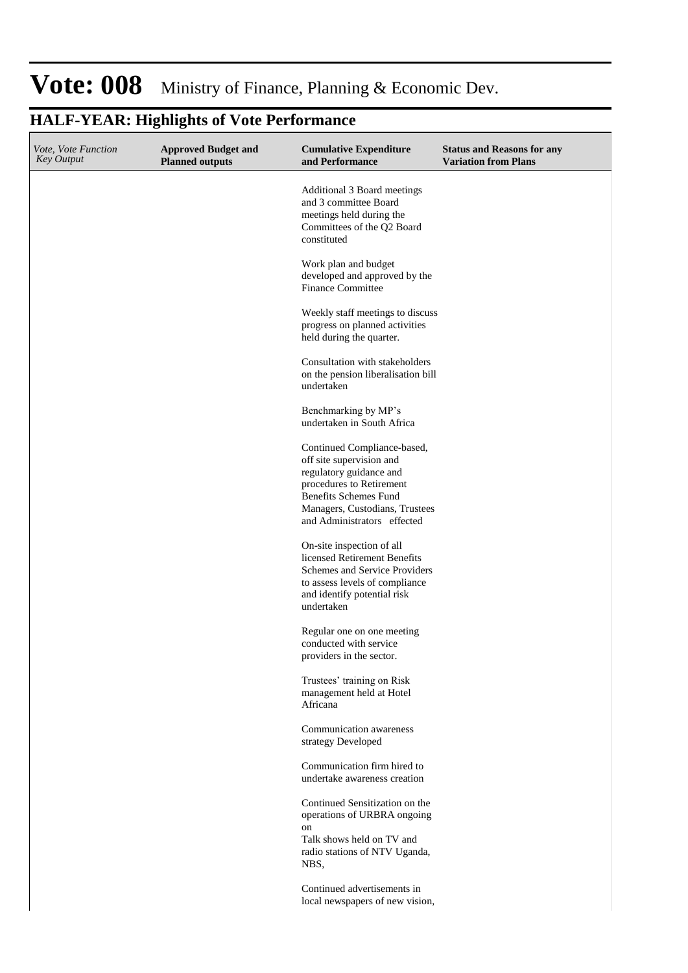#### **Cumulative Expenditure and Performance Approved Budget and Planned outputs Status and Reasons for any Variation from Plans** *Vote, Vote Function Key Output* Additional 3 Board meetings and 3 committee Board meetings held during the Committees of the Q2 Board constituted Work plan and budget developed and approved by the Finance Committee Weekly staff meetings to discuss progress on planned activities held during the quarter. Consultation with stakeholders on the pension liberalisation bill undertaken Benchmarking by MP's undertaken in South Africa Continued Compliance-based, off site supervision and regulatory guidance and procedures to Retirement Benefits Schemes Fund Managers, Custodians, Trustees and Administrators effected On-site inspection of all licensed Retirement Benefits Schemes and Service Providers to assess levels of compliance and identify potential risk undertaken Regular one on one meeting conducted with service providers in the sector. Trustees' training on Risk management held at Hotel Africana Communication awareness strategy Developed Communication firm hired to undertake awareness creation Continued Sensitization on the operations of URBRA ongoing on Talk shows held on TV and radio stations of NTV Uganda, NBS, Continued advertisements in local newspapers of new vision,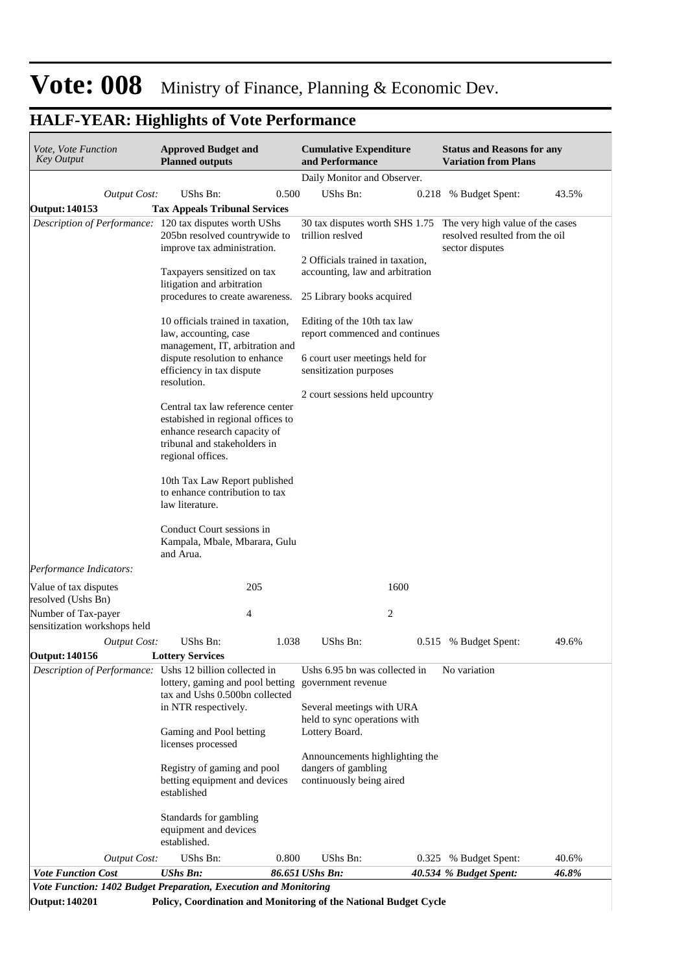| <i>Vote, Vote Function</i><br>Key Output                 | <b>Approved Budget and</b><br><b>Planned outputs</b>                                                                                                       |       | <b>Cumulative Expenditure</b><br>and Performance                                  |      | <b>Status and Reasons for any</b><br><b>Variation from Plans</b>                                                     |       |
|----------------------------------------------------------|------------------------------------------------------------------------------------------------------------------------------------------------------------|-------|-----------------------------------------------------------------------------------|------|----------------------------------------------------------------------------------------------------------------------|-------|
|                                                          |                                                                                                                                                            |       | Daily Monitor and Observer.                                                       |      |                                                                                                                      |       |
| <b>Output Cost:</b>                                      | UShs Bn:                                                                                                                                                   | 0.500 | UShs Bn:                                                                          |      | 0.218 % Budget Spent:                                                                                                | 43.5% |
| <b>Output: 140153</b>                                    | <b>Tax Appeals Tribunal Services</b>                                                                                                                       |       |                                                                                   |      |                                                                                                                      |       |
| Description of Performance: 120 tax disputes worth UShs  | 205bn resolved countrywide to<br>improve tax administration.                                                                                               |       | trillion reslved<br>2 Officials trained in taxation,                              |      | 30 tax disputes worth SHS 1.75 The very high value of the cases<br>resolved resulted from the oil<br>sector disputes |       |
|                                                          | Taxpayers sensitized on tax<br>litigation and arbitration<br>procedures to create awareness.                                                               |       | accounting, law and arbitration<br>25 Library books acquired                      |      |                                                                                                                      |       |
|                                                          | 10 officials trained in taxation,<br>law, accounting, case                                                                                                 |       | Editing of the 10th tax law<br>report commenced and continues                     |      |                                                                                                                      |       |
|                                                          | management, IT, arbitration and<br>dispute resolution to enhance<br>efficiency in tax dispute                                                              |       | 6 court user meetings held for<br>sensitization purposes                          |      |                                                                                                                      |       |
|                                                          | resolution.                                                                                                                                                |       | 2 court sessions held upcountry                                                   |      |                                                                                                                      |       |
|                                                          | Central tax law reference center<br>estabished in regional offices to<br>enhance research capacity of<br>tribunal and stakeholders in<br>regional offices. |       |                                                                                   |      |                                                                                                                      |       |
|                                                          | 10th Tax Law Report published<br>to enhance contribution to tax<br>law literature.                                                                         |       |                                                                                   |      |                                                                                                                      |       |
|                                                          | Conduct Court sessions in<br>Kampala, Mbale, Mbarara, Gulu<br>and Arua.                                                                                    |       |                                                                                   |      |                                                                                                                      |       |
| Performance Indicators:                                  |                                                                                                                                                            |       |                                                                                   |      |                                                                                                                      |       |
| Value of tax disputes<br>resolved (Ushs Bn)              | 205                                                                                                                                                        |       |                                                                                   | 1600 |                                                                                                                      |       |
| Number of Tax-payer<br>sensitization workshops held      | 4                                                                                                                                                          |       |                                                                                   | 2    |                                                                                                                      |       |
| Output Cost:                                             | UShs Bn:                                                                                                                                                   | 1.038 | <b>UShs Bn:</b>                                                                   |      | 0.515 % Budget Spent:                                                                                                | 49.6% |
| <b>Output: 140156</b>                                    | <b>Lottery Services</b>                                                                                                                                    |       |                                                                                   |      |                                                                                                                      |       |
| Description of Performance: Ushs 12 billion collected in | lottery, gaming and pool betting<br>tax and Ushs 0.500bn collected                                                                                         |       | Ushs 6.95 bn was collected in<br>government revenue                               |      | No variation                                                                                                         |       |
|                                                          | in NTR respectively.<br>Gaming and Pool betting                                                                                                            |       | Several meetings with URA<br>held to sync operations with<br>Lottery Board.       |      |                                                                                                                      |       |
|                                                          | licenses processed<br>Registry of gaming and pool<br>betting equipment and devices<br>established                                                          |       | Announcements highlighting the<br>dangers of gambling<br>continuously being aired |      |                                                                                                                      |       |
|                                                          | Standards for gambling<br>equipment and devices<br>established.                                                                                            |       |                                                                                   |      |                                                                                                                      |       |
| <b>Output Cost:</b>                                      | UShs Bn:                                                                                                                                                   | 0.800 | UShs Bn:                                                                          |      | 0.325 % Budget Spent:                                                                                                | 40.6% |
| <b>Vote Function Cost</b>                                | <b>UShs Bn:</b>                                                                                                                                            |       | 86.651 UShs Bn:                                                                   |      | 40.534 % Budget Spent:                                                                                               | 46.8% |

**Output: 140201 Policy, Coordination and Monitoring of the National Budget Cycle**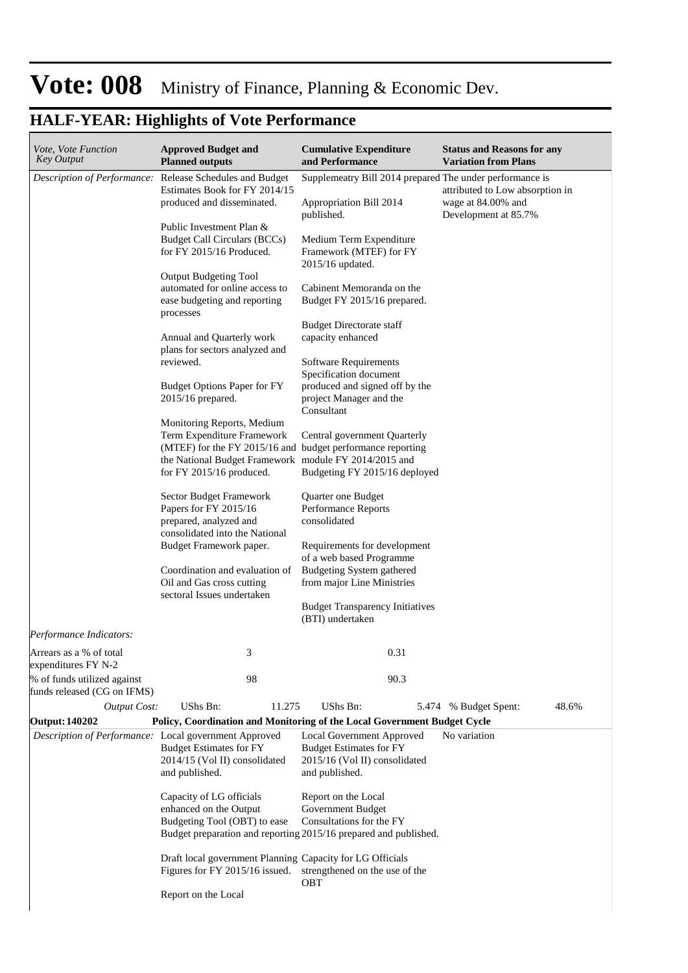| <i>Vote, Vote Function</i><br><b>Key Output</b>    | <b>Approved Budget and</b><br><b>Planned outputs</b>                                                                                                                                                        | <b>Cumulative Expenditure</b><br>and Performance                                                                                         | <b>Status and Reasons for any</b><br><b>Variation from Plans</b>              |
|----------------------------------------------------|-------------------------------------------------------------------------------------------------------------------------------------------------------------------------------------------------------------|------------------------------------------------------------------------------------------------------------------------------------------|-------------------------------------------------------------------------------|
|                                                    | Description of Performance: Release Schedules and Budget<br>Estimates Book for FY 2014/15<br>produced and disseminated.<br>Public Investment Plan &                                                         | Supplemeatry Bill 2014 prepared The under performance is<br>Appropriation Bill 2014<br>published.                                        | attributed to Low absorption in<br>wage at 84.00% and<br>Development at 85.7% |
|                                                    | <b>Budget Call Circulars (BCCs)</b><br>for FY 2015/16 Produced.                                                                                                                                             | Medium Term Expenditure<br>Framework (MTEF) for FY<br>2015/16 updated.                                                                   |                                                                               |
|                                                    | <b>Output Budgeting Tool</b><br>automated for online access to<br>ease budgeting and reporting<br>processes                                                                                                 | Cabinent Memoranda on the<br>Budget FY 2015/16 prepared.                                                                                 |                                                                               |
|                                                    | Annual and Quarterly work<br>plans for sectors analyzed and<br>reviewed.                                                                                                                                    | <b>Budget Directorate staff</b><br>capacity enhanced<br>Software Requirements                                                            |                                                                               |
|                                                    | <b>Budget Options Paper for FY</b><br>2015/16 prepared.                                                                                                                                                     | Specification document<br>produced and signed off by the<br>project Manager and the<br>Consultant                                        |                                                                               |
|                                                    | Monitoring Reports, Medium<br>Term Expenditure Framework<br>(MTEF) for the FY 2015/16 and budget performance reporting<br>the National Budget Framework module FY 2014/2015 and<br>for FY 2015/16 produced. | Central government Quarterly<br>Budgeting FY 2015/16 deployed                                                                            |                                                                               |
|                                                    | Sector Budget Framework<br>Papers for FY 2015/16<br>prepared, analyzed and<br>consolidated into the National                                                                                                | Quarter one Budget<br>Performance Reports<br>consolidated                                                                                |                                                                               |
|                                                    | Budget Framework paper.<br>Coordination and evaluation of<br>Oil and Gas cross cutting<br>sectoral Issues undertaken                                                                                        | Requirements for development<br>of a web based Programme<br><b>Budgeting System gathered</b><br>from major Line Ministries               |                                                                               |
|                                                    |                                                                                                                                                                                                             | <b>Budget Transparency Initiatives</b><br>(BTI) undertaken                                                                               |                                                                               |
| Performance Indicators:<br>Arrears as a % of total | 3                                                                                                                                                                                                           | 0.31                                                                                                                                     |                                                                               |
| expenditures FY N-2<br>% of funds utilized against | 98                                                                                                                                                                                                          | 90.3                                                                                                                                     |                                                                               |
| funds released (CG on IFMS)<br><b>Output Cost:</b> | <b>UShs Bn:</b><br>11.275                                                                                                                                                                                   | UShs Bn:                                                                                                                                 | 48.6%<br>5.474 % Budget Spent:                                                |
| <b>Output: 140202</b>                              | Policy, Coordination and Monitoring of the Local Government Budget Cycle                                                                                                                                    |                                                                                                                                          |                                                                               |
|                                                    | Description of Performance: Local government Approved<br><b>Budget Estimates for FY</b><br>2014/15 (Vol II) consolidated<br>and published.                                                                  | Local Government Approved<br><b>Budget Estimates for FY</b><br>2015/16 (Vol II) consolidated<br>and published.                           | No variation                                                                  |
|                                                    | Capacity of LG officials<br>enhanced on the Output<br>Budgeting Tool (OBT) to ease                                                                                                                          | Report on the Local<br>Government Budget<br>Consultations for the FY<br>Budget preparation and reporting 2015/16 prepared and published. |                                                                               |
|                                                    | Draft local government Planning Capacity for LG Officials<br>Figures for FY 2015/16 issued.                                                                                                                 | strengthened on the use of the<br>OBT                                                                                                    |                                                                               |
|                                                    | Report on the Local                                                                                                                                                                                         |                                                                                                                                          |                                                                               |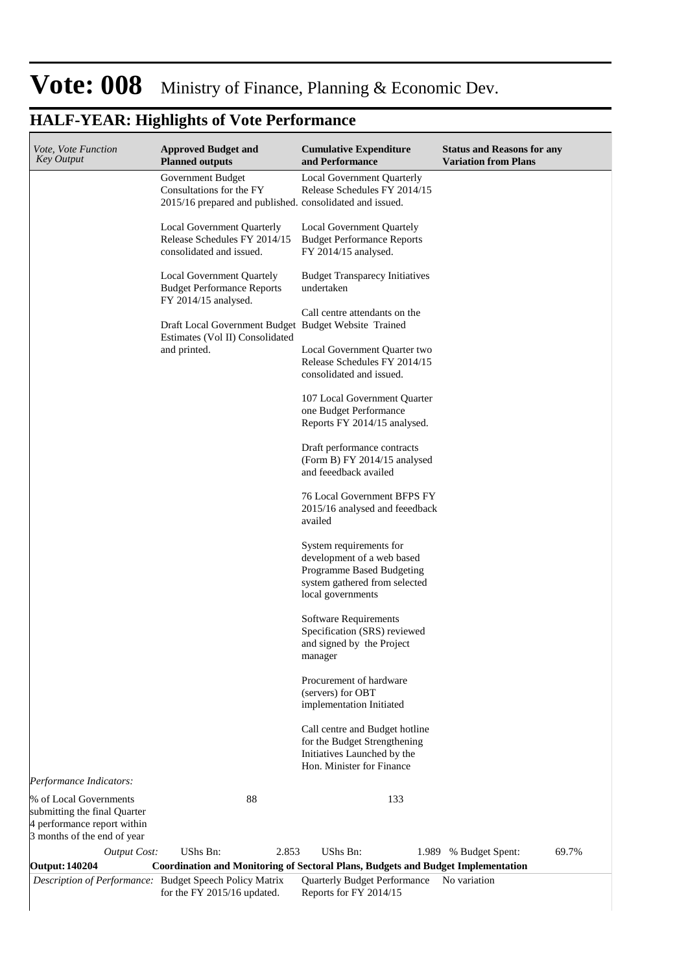### **HALF-YEAR: Highlights of Vote Performance**

| <i>Vote, Vote Function</i><br><b>Key Output</b>                                                                      | <b>Approved Budget and</b><br><b>Planned outputs</b>                                                      | <b>Cumulative Expenditure</b><br>and Performance                                                                                         | <b>Status and Reasons for any</b><br><b>Variation from Plans</b> |
|----------------------------------------------------------------------------------------------------------------------|-----------------------------------------------------------------------------------------------------------|------------------------------------------------------------------------------------------------------------------------------------------|------------------------------------------------------------------|
|                                                                                                                      | Government Budget<br>Consultations for the FY<br>2015/16 prepared and published. consolidated and issued. | <b>Local Government Quarterly</b><br>Release Schedules FY 2014/15                                                                        |                                                                  |
|                                                                                                                      | Local Government Quarterly<br>Release Schedules FY 2014/15<br>consolidated and issued.                    | Local Government Quartely<br><b>Budget Performance Reports</b><br>FY 2014/15 analysed.                                                   |                                                                  |
|                                                                                                                      | Local Government Quartely<br><b>Budget Performance Reports</b><br>FY 2014/15 analysed.                    | <b>Budget Transparecy Initiatives</b><br>undertaken                                                                                      |                                                                  |
|                                                                                                                      | Draft Local Government Budget Budget Website Trained                                                      | Call centre attendants on the                                                                                                            |                                                                  |
|                                                                                                                      | Estimates (Vol II) Consolidated<br>and printed.                                                           | Local Government Quarter two<br>Release Schedules FY 2014/15<br>consolidated and issued.                                                 |                                                                  |
|                                                                                                                      |                                                                                                           | 107 Local Government Quarter<br>one Budget Performance<br>Reports FY 2014/15 analysed.                                                   |                                                                  |
|                                                                                                                      |                                                                                                           | Draft performance contracts<br>(Form B) FY 2014/15 analysed<br>and feeedback availed                                                     |                                                                  |
|                                                                                                                      |                                                                                                           | 76 Local Government BFPS FY<br>2015/16 analysed and feeedback<br>availed                                                                 |                                                                  |
|                                                                                                                      |                                                                                                           | System requirements for<br>development of a web based<br>Programme Based Budgeting<br>system gathered from selected<br>local governments |                                                                  |
|                                                                                                                      |                                                                                                           | Software Requirements<br>Specification (SRS) reviewed<br>and signed by the Project<br>manager                                            |                                                                  |
|                                                                                                                      |                                                                                                           | Procurement of hardware<br>(servers) for OBT<br>implementation Initiated                                                                 |                                                                  |
|                                                                                                                      |                                                                                                           | Call centre and Budget hotline<br>for the Budget Strengthening<br>Initiatives Launched by the<br>Hon. Minister for Finance               |                                                                  |
| Performance Indicators:                                                                                              |                                                                                                           |                                                                                                                                          |                                                                  |
| % of Local Governments<br>submitting the final Quarter<br>4 performance report within<br>3 months of the end of year | 88                                                                                                        | 133                                                                                                                                      |                                                                  |
| Output Cost:                                                                                                         | UShs Bn:<br>2.853                                                                                         | UShs Bn:                                                                                                                                 | 69.7%<br>1.989 % Budget Spent:                                   |
| <b>Output: 140204</b>                                                                                                | Description of Performance: Budget Speech Policy Matrix                                                   | <b>Coordination and Monitoring of Sectoral Plans, Budgets and Budget Implementation</b><br>Quarterly Budget Performance No variation     |                                                                  |

Reports for FY 2014/15

for the FY 2015/16 updated.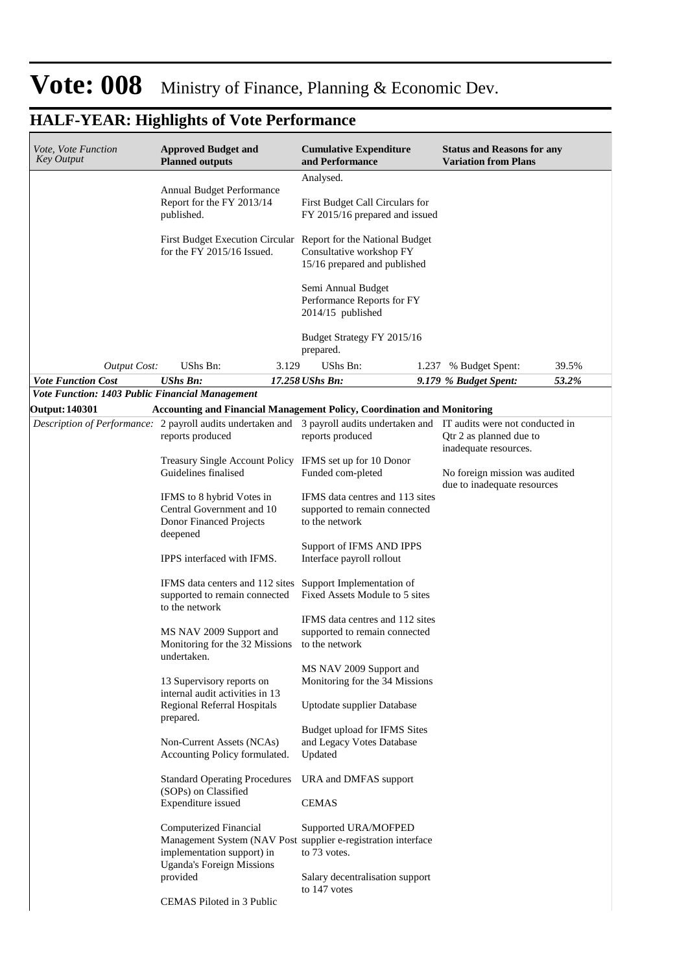| Vote, Vote Function<br>Key Output               | <b>Approved Budget and</b><br><b>Planned outputs</b>                                                                                                      | <b>Cumulative Expenditure</b><br>and Performance                                   | <b>Status and Reasons for any</b><br><b>Variation from Plans</b> |       |
|-------------------------------------------------|-----------------------------------------------------------------------------------------------------------------------------------------------------------|------------------------------------------------------------------------------------|------------------------------------------------------------------|-------|
|                                                 |                                                                                                                                                           | Analysed.                                                                          |                                                                  |       |
|                                                 | Annual Budget Performance<br>Report for the FY 2013/14<br>published.                                                                                      | First Budget Call Circulars for<br>FY 2015/16 prepared and issued                  |                                                                  |       |
|                                                 | First Budget Execution Circular Report for the National Budget<br>for the FY 2015/16 Issued.                                                              | Consultative workshop FY<br>15/16 prepared and published                           |                                                                  |       |
|                                                 |                                                                                                                                                           | Semi Annual Budget<br>Performance Reports for FY<br>2014/15 published              |                                                                  |       |
|                                                 |                                                                                                                                                           | Budget Strategy FY 2015/16<br>prepared.                                            |                                                                  |       |
| <b>Output Cost:</b>                             | UShs Bn:<br>3.129                                                                                                                                         | UShs Bn:                                                                           | 1.237 % Budget Spent:                                            | 39.5% |
| <b>Vote Function Cost</b>                       | <b>UShs Bn:</b>                                                                                                                                           | 17.258 UShs Bn:                                                                    | 9.179 % Budget Spent:                                            | 53.2% |
| Vote Function: 1403 Public Financial Management |                                                                                                                                                           |                                                                                    |                                                                  |       |
| <b>Output: 140301</b>                           | Accounting and Financial Management Policy, Coordination and Monitoring                                                                                   |                                                                                    |                                                                  |       |
|                                                 | Description of Performance: 2 payroll audits undertaken and 3 payroll audits undertaken and IT audits were not conducted in<br>reports produced           | reports produced                                                                   | Qtr 2 as planned due to<br>inadequate resources.                 |       |
|                                                 | Treasury Single Account Policy IFMS set up for 10 Donor<br>Guidelines finalised                                                                           | Funded com-pleted                                                                  | No foreign mission was audited<br>due to inadequate resources    |       |
|                                                 | IFMS to 8 hybrid Votes in<br>Central Government and 10<br>Donor Financed Projects<br>deepened                                                             | IFMS data centres and 113 sites<br>supported to remain connected<br>to the network |                                                                  |       |
|                                                 | IPPS interfaced with IFMS.                                                                                                                                | Support of IFMS AND IPPS<br>Interface payroll rollout                              |                                                                  |       |
|                                                 | IFMS data centers and 112 sites<br>supported to remain connected<br>to the network                                                                        | Support Implementation of<br>Fixed Assets Module to 5 sites                        |                                                                  |       |
|                                                 | MS NAV 2009 Support and<br>Monitoring for the 32 Missions<br>undertaken.                                                                                  | IFMS data centres and 112 sites<br>supported to remain connected<br>to the network |                                                                  |       |
|                                                 | 13 Supervisory reports on<br>internal audit activities in 13                                                                                              | MS NAV 2009 Support and<br>Monitoring for the 34 Missions                          |                                                                  |       |
|                                                 | Regional Referral Hospitals<br>prepared.                                                                                                                  | Uptodate supplier Database                                                         |                                                                  |       |
|                                                 | Non-Current Assets (NCAs)<br>Accounting Policy formulated.                                                                                                | Budget upload for IFMS Sites<br>and Legacy Votes Database<br>Updated               |                                                                  |       |
|                                                 | <b>Standard Operating Procedures</b><br>(SOPs) on Classified<br>Expenditure issued                                                                        | URA and DMFAS support<br><b>CEMAS</b>                                              |                                                                  |       |
|                                                 | Computerized Financial<br>Management System (NAV Post supplier e-registration interface<br>implementation support) in<br><b>Uganda's Foreign Missions</b> | Supported URA/MOFPED<br>to 73 votes.                                               |                                                                  |       |
|                                                 | provided<br>CEMAS Piloted in 3 Public                                                                                                                     | Salary decentralisation support<br>to 147 votes                                    |                                                                  |       |
|                                                 |                                                                                                                                                           |                                                                                    |                                                                  |       |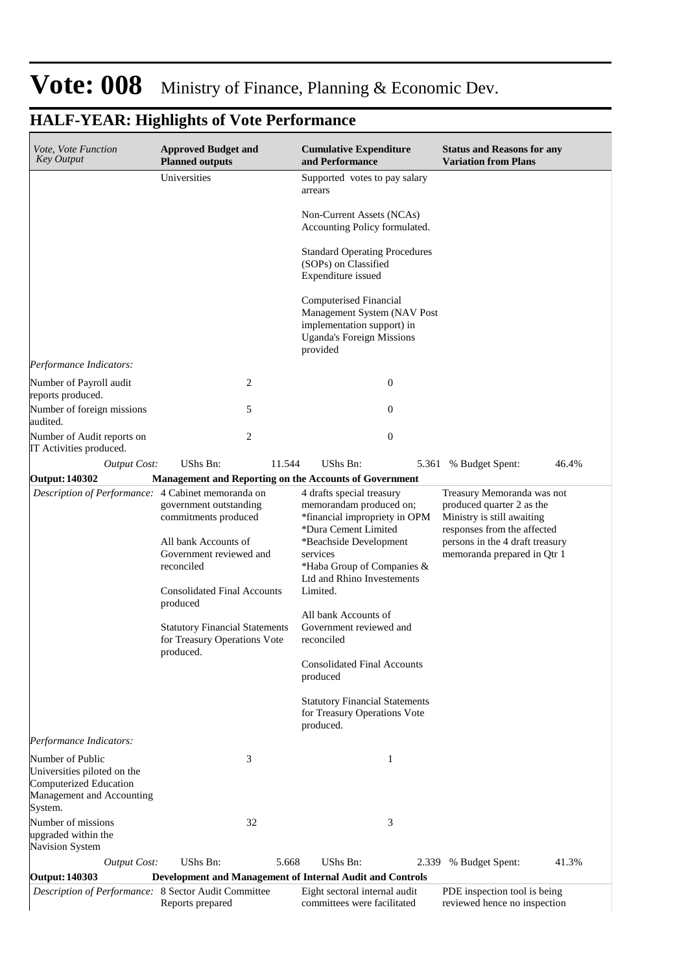| <i>Vote, Vote Function</i><br>Key Output                                                               | <b>Approved Budget and</b><br><b>Planned outputs</b>                                                                                                  | <b>Cumulative Expenditure</b><br>and Performance                                                                                                                                                                            | <b>Status and Reasons for any</b><br><b>Variation from Plans</b>                                                                                                                       |
|--------------------------------------------------------------------------------------------------------|-------------------------------------------------------------------------------------------------------------------------------------------------------|-----------------------------------------------------------------------------------------------------------------------------------------------------------------------------------------------------------------------------|----------------------------------------------------------------------------------------------------------------------------------------------------------------------------------------|
|                                                                                                        | Universities                                                                                                                                          | Supported votes to pay salary<br>arrears                                                                                                                                                                                    |                                                                                                                                                                                        |
|                                                                                                        |                                                                                                                                                       | Non-Current Assets (NCAs)<br>Accounting Policy formulated.                                                                                                                                                                  |                                                                                                                                                                                        |
|                                                                                                        |                                                                                                                                                       | <b>Standard Operating Procedures</b><br>(SOPs) on Classified<br>Expenditure issued                                                                                                                                          |                                                                                                                                                                                        |
|                                                                                                        |                                                                                                                                                       | Computerised Financial<br>Management System (NAV Post<br>implementation support) in<br><b>Uganda's Foreign Missions</b><br>provided                                                                                         |                                                                                                                                                                                        |
| Performance Indicators:                                                                                |                                                                                                                                                       |                                                                                                                                                                                                                             |                                                                                                                                                                                        |
| Number of Payroll audit<br>reports produced.                                                           | 2                                                                                                                                                     | $\boldsymbol{0}$                                                                                                                                                                                                            |                                                                                                                                                                                        |
| Number of foreign missions<br>audited.                                                                 | 5                                                                                                                                                     | $\theta$                                                                                                                                                                                                                    |                                                                                                                                                                                        |
| Number of Audit reports on<br>IT Activities produced.                                                  | 2                                                                                                                                                     | $\overline{0}$                                                                                                                                                                                                              |                                                                                                                                                                                        |
| <b>Output Cost:</b>                                                                                    | UShs Bn:<br>11.544                                                                                                                                    | UShs Bn:<br>5.361                                                                                                                                                                                                           | 46.4%<br>% Budget Spent:                                                                                                                                                               |
| Output: 140302                                                                                         |                                                                                                                                                       | <b>Management and Reporting on the Accounts of Government</b>                                                                                                                                                               |                                                                                                                                                                                        |
| Description of Performance: 4 Cabinet memoranda on                                                     | government outstanding<br>commitments produced<br>All bank Accounts of<br>Government reviewed and<br>reconciled<br><b>Consolidated Final Accounts</b> | 4 drafts special treasury<br>memorandam produced on;<br>*financial impropriety in OPM<br>*Dura Cement Limited<br>*Beachside Development<br>services<br>*Haba Group of Companies &<br>Ltd and Rhino Investements<br>Limited. | Treasury Memoranda was not<br>produced quarter 2 as the<br>Ministry is still awaiting<br>responses from the affected<br>persons in the 4 draft treasury<br>memoranda prepared in Qtr 1 |
|                                                                                                        | produced<br><b>Statutory Financial Statements</b><br>for Treasury Operations Vote                                                                     | All bank Accounts of<br>Government reviewed and<br>reconciled                                                                                                                                                               |                                                                                                                                                                                        |
|                                                                                                        | produced.                                                                                                                                             | <b>Consolidated Final Accounts</b><br>produced                                                                                                                                                                              |                                                                                                                                                                                        |
|                                                                                                        |                                                                                                                                                       | <b>Statutory Financial Statements</b><br>for Treasury Operations Vote<br>produced.                                                                                                                                          |                                                                                                                                                                                        |
| Performance Indicators:                                                                                |                                                                                                                                                       |                                                                                                                                                                                                                             |                                                                                                                                                                                        |
| Number of Public<br>Universities piloted on the<br>Computerized Education<br>Management and Accounting | 3                                                                                                                                                     | 1                                                                                                                                                                                                                           |                                                                                                                                                                                        |
| System.<br>Number of missions<br>upgraded within the<br><b>Navision System</b>                         | 32                                                                                                                                                    | 3                                                                                                                                                                                                                           |                                                                                                                                                                                        |
| <b>Output Cost:</b>                                                                                    | UShs Bn:                                                                                                                                              | UShs Bn:<br>5.668<br>2.339                                                                                                                                                                                                  | % Budget Spent:<br>41.3%                                                                                                                                                               |
| Output: 140303                                                                                         |                                                                                                                                                       | Development and Management of Internal Audit and Controls                                                                                                                                                                   |                                                                                                                                                                                        |
| Description of Performance: 8 Sector Audit Committee                                                   | Reports prepared                                                                                                                                      | Eight sectoral internal audit<br>committees were facilitated                                                                                                                                                                | PDE inspection tool is being<br>reviewed hence no inspection                                                                                                                           |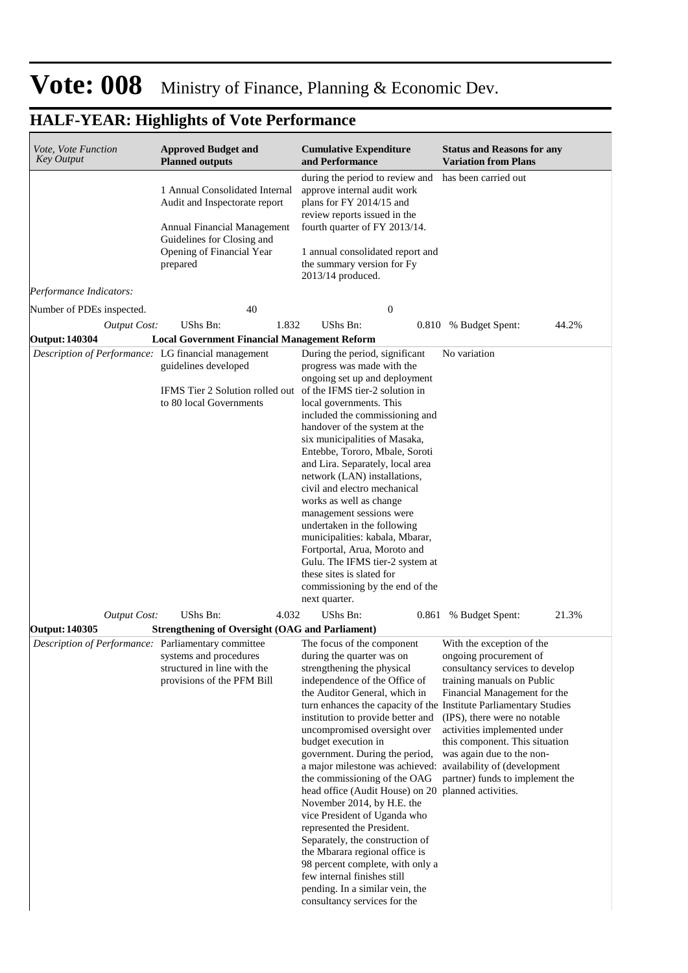| <i>Vote, Vote Function</i><br><b>Key Output</b>     | <b>Approved Budget and</b><br><b>Planned outputs</b>                                                                                                                  | <b>Cumulative Expenditure</b><br>and Performance                                                                                                                                                                                                                                                                                                                                                                                                                                                                                                                                                                                                                                                                                                                                                                         | <b>Status and Reasons for any</b><br><b>Variation from Plans</b>                                                                                                                                                                                                                                                       |
|-----------------------------------------------------|-----------------------------------------------------------------------------------------------------------------------------------------------------------------------|--------------------------------------------------------------------------------------------------------------------------------------------------------------------------------------------------------------------------------------------------------------------------------------------------------------------------------------------------------------------------------------------------------------------------------------------------------------------------------------------------------------------------------------------------------------------------------------------------------------------------------------------------------------------------------------------------------------------------------------------------------------------------------------------------------------------------|------------------------------------------------------------------------------------------------------------------------------------------------------------------------------------------------------------------------------------------------------------------------------------------------------------------------|
|                                                     | 1 Annual Consolidated Internal<br>Audit and Inspectorate report<br>Annual Financial Management<br>Guidelines for Closing and<br>Opening of Financial Year<br>prepared | during the period to review and<br>approve internal audit work<br>plans for FY 2014/15 and<br>review reports issued in the<br>fourth quarter of FY 2013/14.<br>1 annual consolidated report and<br>the summary version for Fy<br>2013/14 produced.                                                                                                                                                                                                                                                                                                                                                                                                                                                                                                                                                                       | has been carried out                                                                                                                                                                                                                                                                                                   |
| Performance Indicators:                             |                                                                                                                                                                       |                                                                                                                                                                                                                                                                                                                                                                                                                                                                                                                                                                                                                                                                                                                                                                                                                          |                                                                                                                                                                                                                                                                                                                        |
| Number of PDEs inspected.                           | 40                                                                                                                                                                    | $\boldsymbol{0}$                                                                                                                                                                                                                                                                                                                                                                                                                                                                                                                                                                                                                                                                                                                                                                                                         |                                                                                                                                                                                                                                                                                                                        |
| <b>Output Cost:</b>                                 | UShs Bn:<br>1.832                                                                                                                                                     | UShs Bn:                                                                                                                                                                                                                                                                                                                                                                                                                                                                                                                                                                                                                                                                                                                                                                                                                 | 0.810 % Budget Spent:<br>44.2%                                                                                                                                                                                                                                                                                         |
| <b>Output: 140304</b>                               | <b>Local Government Financial Management Reform</b>                                                                                                                   |                                                                                                                                                                                                                                                                                                                                                                                                                                                                                                                                                                                                                                                                                                                                                                                                                          |                                                                                                                                                                                                                                                                                                                        |
| Description of Performance: LG financial management | guidelines developed<br>IFMS Tier 2 Solution rolled out of the IFMS tier-2 solution in<br>to 80 local Governments                                                     | During the period, significant<br>progress was made with the<br>ongoing set up and deployment<br>local governments. This<br>included the commissioning and<br>handover of the system at the<br>six municipalities of Masaka,<br>Entebbe, Tororo, Mbale, Soroti<br>and Lira. Separately, local area<br>network (LAN) installations,<br>civil and electro mechanical<br>works as well as change<br>management sessions were<br>undertaken in the following<br>municipalities: kabala, Mbarar,<br>Fortportal, Arua, Moroto and<br>Gulu. The IFMS tier-2 system at<br>these sites is slated for<br>commissioning by the end of the<br>next quarter.                                                                                                                                                                          | No variation                                                                                                                                                                                                                                                                                                           |
| Output Cost:                                        | UShs Bn:<br>4.032                                                                                                                                                     | <b>UShs Bn:</b>                                                                                                                                                                                                                                                                                                                                                                                                                                                                                                                                                                                                                                                                                                                                                                                                          | 21.3%<br>0.861 % Budget Spent:                                                                                                                                                                                                                                                                                         |
| Output: 140305                                      | <b>Strengthening of Oversight (OAG and Parliament)</b>                                                                                                                |                                                                                                                                                                                                                                                                                                                                                                                                                                                                                                                                                                                                                                                                                                                                                                                                                          |                                                                                                                                                                                                                                                                                                                        |
| Description of Performance: Parliamentary committee | systems and procedures<br>structured in line with the<br>provisions of the PFM Bill                                                                                   | The focus of the component<br>during the quarter was on<br>strengthening the physical<br>independence of the Office of<br>the Auditor General, which in<br>turn enhances the capacity of the Institute Parliamentary Studies<br>institution to provide better and<br>uncompromised oversight over<br>budget execution in<br>government. During the period,<br>a major milestone was achieved: availability of (development<br>the commissioning of the OAG<br>head office (Audit House) on 20 planned activities.<br>November 2014, by H.E. the<br>vice President of Uganda who<br>represented the President.<br>Separately, the construction of<br>the Mbarara regional office is<br>98 percent complete, with only a<br>few internal finishes still<br>pending. In a similar vein, the<br>consultancy services for the | With the exception of the<br>ongoing procurement of<br>consultancy services to develop<br>training manuals on Public<br>Financial Management for the<br>(IPS), there were no notable<br>activities implemented under<br>this component. This situation<br>was again due to the non-<br>partner) funds to implement the |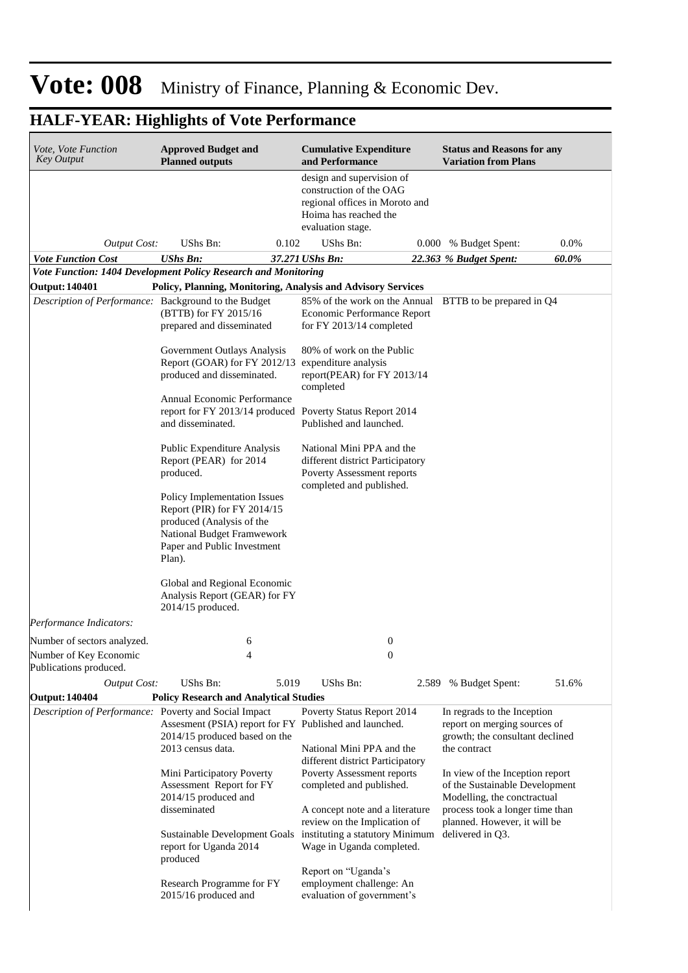| Vote, Vote Function<br><b>Key Output</b>                                      | <b>Approved Budget and</b><br><b>Planned outputs</b>                                                                                                            | <b>Cumulative Expenditure</b><br>and Performance                                                                                     | <b>Status and Reasons for any</b><br><b>Variation from Plans</b>                                                                                                    |       |
|-------------------------------------------------------------------------------|-----------------------------------------------------------------------------------------------------------------------------------------------------------------|--------------------------------------------------------------------------------------------------------------------------------------|---------------------------------------------------------------------------------------------------------------------------------------------------------------------|-------|
|                                                                               |                                                                                                                                                                 | design and supervision of<br>construction of the OAG<br>regional offices in Moroto and<br>Hoima has reached the<br>evaluation stage. |                                                                                                                                                                     |       |
| <b>Output Cost:</b>                                                           | UShs Bn:                                                                                                                                                        | UShs Bn:<br>0.102                                                                                                                    | 0.000 % Budget Spent:                                                                                                                                               | 0.0%  |
| <b>Vote Function Cost</b>                                                     | <b>UShs Bn:</b>                                                                                                                                                 | 37.271 UShs Bn:                                                                                                                      | 22.363 % Budget Spent:                                                                                                                                              | 60.0% |
|                                                                               | Vote Function: 1404 Development Policy Research and Monitoring                                                                                                  |                                                                                                                                      |                                                                                                                                                                     |       |
| <b>Output: 140401</b><br>Description of Performance: Background to the Budget | (BTTB) for FY 2015/16<br>prepared and disseminated                                                                                                              | Policy, Planning, Monitoring, Analysis and Advisory Services<br>Economic Performance Report<br>for FY 2013/14 completed              | 85% of the work on the Annual BTTB to be prepared in Q4                                                                                                             |       |
|                                                                               | Government Outlays Analysis<br>Report (GOAR) for FY 2012/13<br>produced and disseminated.                                                                       | 80% of work on the Public<br>expenditure analysis<br>report(PEAR) for FY 2013/14<br>completed                                        |                                                                                                                                                                     |       |
|                                                                               | Annual Economic Performance<br>and disseminated.                                                                                                                | report for FY 2013/14 produced Poverty Status Report 2014<br>Published and launched.                                                 |                                                                                                                                                                     |       |
|                                                                               | Public Expenditure Analysis<br>Report (PEAR) for 2014<br>produced.                                                                                              | National Mini PPA and the<br>different district Participatory<br>Poverty Assessment reports<br>completed and published.              |                                                                                                                                                                     |       |
|                                                                               | Policy Implementation Issues<br>Report (PIR) for FY 2014/15<br>produced (Analysis of the<br>National Budget Framwework<br>Paper and Public Investment<br>Plan). |                                                                                                                                      |                                                                                                                                                                     |       |
|                                                                               | Global and Regional Economic<br>Analysis Report (GEAR) for FY<br>2014/15 produced.                                                                              |                                                                                                                                      |                                                                                                                                                                     |       |
| Performance Indicators:                                                       |                                                                                                                                                                 |                                                                                                                                      |                                                                                                                                                                     |       |
| Number of sectors analyzed.                                                   | 6                                                                                                                                                               | $\boldsymbol{0}$                                                                                                                     |                                                                                                                                                                     |       |
| Number of Key Economic<br>Publications produced.                              | 4                                                                                                                                                               | $\boldsymbol{0}$                                                                                                                     |                                                                                                                                                                     |       |
| <b>Output Cost:</b>                                                           | UShs Bn:                                                                                                                                                        | 5.019<br>UShs Bn:                                                                                                                    | % Budget Spent:<br>2.589                                                                                                                                            | 51.6% |
| <b>Output: 140404</b>                                                         | <b>Policy Research and Analytical Studies</b>                                                                                                                   |                                                                                                                                      |                                                                                                                                                                     |       |
| Description of Performance: Poverty and Social Impact                         | Assesment (PSIA) report for FY Published and launched.<br>2014/15 produced based on the<br>2013 census data.                                                    | Poverty Status Report 2014<br>National Mini PPA and the<br>different district Participatory                                          | In regrads to the Inception<br>report on merging sources of<br>growth; the consultant declined<br>the contract                                                      |       |
|                                                                               | Mini Participatory Poverty<br>Assessment Report for FY<br>2014/15 produced and<br>disseminated                                                                  | Poverty Assessment reports<br>completed and published.<br>A concept note and a literature<br>review on the Implication of            | In view of the Inception report<br>of the Sustainable Development<br>Modelling, the conctractual<br>process took a longer time than<br>planned. However, it will be |       |
|                                                                               | Sustainable Development Goals<br>report for Uganda 2014<br>produced                                                                                             | instituting a statutory Minimum<br>Wage in Uganda completed.                                                                         | delivered in Q3.                                                                                                                                                    |       |
|                                                                               | Research Programme for FY<br>2015/16 produced and                                                                                                               | Report on "Uganda's<br>employment challenge: An<br>evaluation of government's                                                        |                                                                                                                                                                     |       |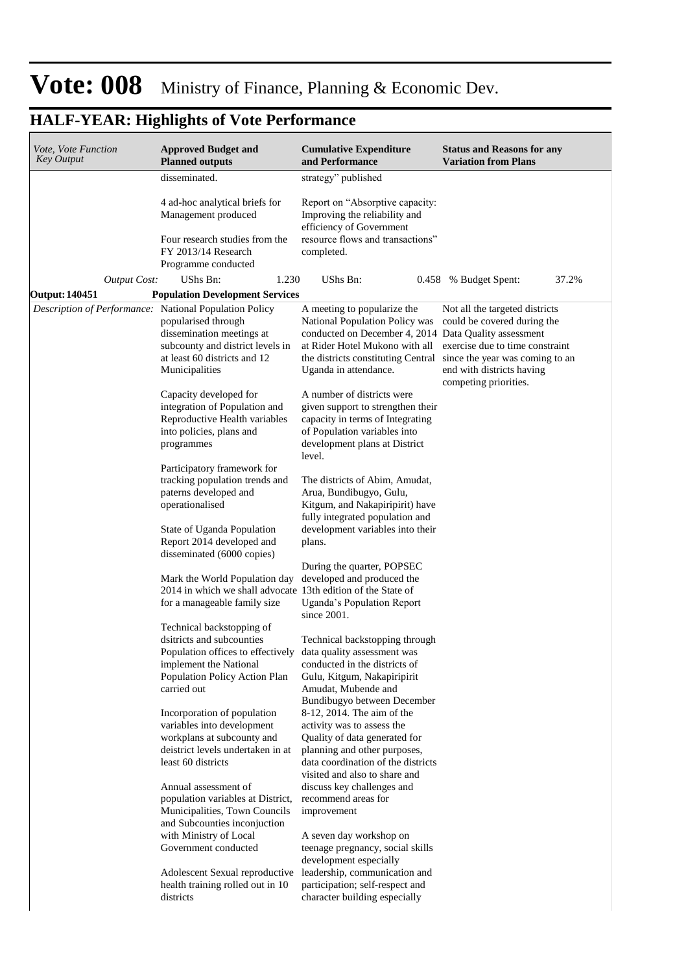| Vote, Vote Function<br><b>Key Output</b>     | <b>Approved Budget and</b><br><b>Planned outputs</b>                                                                                                                                               | <b>Cumulative Expenditure</b><br>and Performance                                                                                                                                                                         | <b>Status and Reasons for any</b><br><b>Variation from Plans</b>                                                     |
|----------------------------------------------|----------------------------------------------------------------------------------------------------------------------------------------------------------------------------------------------------|--------------------------------------------------------------------------------------------------------------------------------------------------------------------------------------------------------------------------|----------------------------------------------------------------------------------------------------------------------|
|                                              | disseminated.                                                                                                                                                                                      | strategy" published                                                                                                                                                                                                      |                                                                                                                      |
|                                              | 4 ad-hoc analytical briefs for<br>Management produced<br>Four research studies from the<br>FY 2013/14 Research<br>Programme conducted                                                              | Report on "Absorptive capacity:<br>Improving the reliability and<br>efficiency of Government<br>resource flows and transactions"<br>completed.                                                                           |                                                                                                                      |
|                                              | UShs Bn:<br>1.230                                                                                                                                                                                  | UShs Bn:                                                                                                                                                                                                                 | 37.2%                                                                                                                |
| <b>Output Cost:</b><br><b>Output: 140451</b> | <b>Population Development Services</b>                                                                                                                                                             |                                                                                                                                                                                                                          | 0.458 % Budget Spent:                                                                                                |
| Description of Performance:                  | <b>National Population Policy</b>                                                                                                                                                                  | A meeting to popularize the                                                                                                                                                                                              | Not all the targeted districts                                                                                       |
|                                              | popularised through<br>dissemination meetings at<br>subcounty and district levels in<br>at least 60 districts and 12<br>Municipalities                                                             | National Population Policy was<br>conducted on December 4, 2014 Data Quality assessment<br>at Rider Hotel Mukono with all<br>the districts constituting Central since the year was coming to an<br>Uganda in attendance. | could be covered during the<br>exercise due to time constraint<br>end with districts having<br>competing priorities. |
|                                              | Capacity developed for<br>integration of Population and<br>Reproductive Health variables<br>into policies, plans and<br>programmes                                                                 | A number of districts were<br>given support to strengthen their<br>capacity in terms of Integrating<br>of Population variables into<br>development plans at District<br>level.                                           |                                                                                                                      |
|                                              | Participatory framework for<br>tracking population trends and<br>paterns developed and<br>operationalised<br>State of Uganda Population<br>Report 2014 developed and<br>disseminated (6000 copies) | The districts of Abim, Amudat,<br>Arua, Bundibugyo, Gulu,<br>Kitgum, and Nakapiripirit) have<br>fully integrated population and<br>development variables into their<br>plans.                                            |                                                                                                                      |
|                                              | Mark the World Population day<br>2014 in which we shall advocate 13th edition of the State of<br>for a manageable family size                                                                      | During the quarter, POPSEC<br>developed and produced the<br>Uganda's Population Report<br>since 2001.                                                                                                                    |                                                                                                                      |
|                                              | Technical backstopping of<br>dsitricts and subcounties<br>Population offices to effectively<br>implement the National<br>Population Policy Action Plan<br>carried out                              | Technical backstopping through<br>data quality assessment was<br>conducted in the districts of<br>Gulu, Kitgum, Nakapiripirit<br>Amudat, Mubende and<br>Bundibugyo between December                                      |                                                                                                                      |
|                                              | Incorporation of population<br>variables into development<br>workplans at subcounty and<br>deistrict levels undertaken in at<br>least 60 districts                                                 | 8-12, 2014. The aim of the<br>activity was to assess the<br>Quality of data generated for<br>planning and other purposes,<br>data coordination of the districts<br>visited and also to share and                         |                                                                                                                      |
|                                              | Annual assessment of<br>population variables at District,<br>Municipalities, Town Councils<br>and Subcounties inconjuction<br>with Ministry of Local                                               | discuss key challenges and<br>recommend areas for<br>improvement<br>A seven day workshop on                                                                                                                              |                                                                                                                      |
|                                              | Government conducted<br>Adolescent Sexual reproductive<br>health training rolled out in 10<br>districts                                                                                            | teenage pregnancy, social skills<br>development especially<br>leadership, communication and<br>participation; self-respect and<br>character building especially                                                          |                                                                                                                      |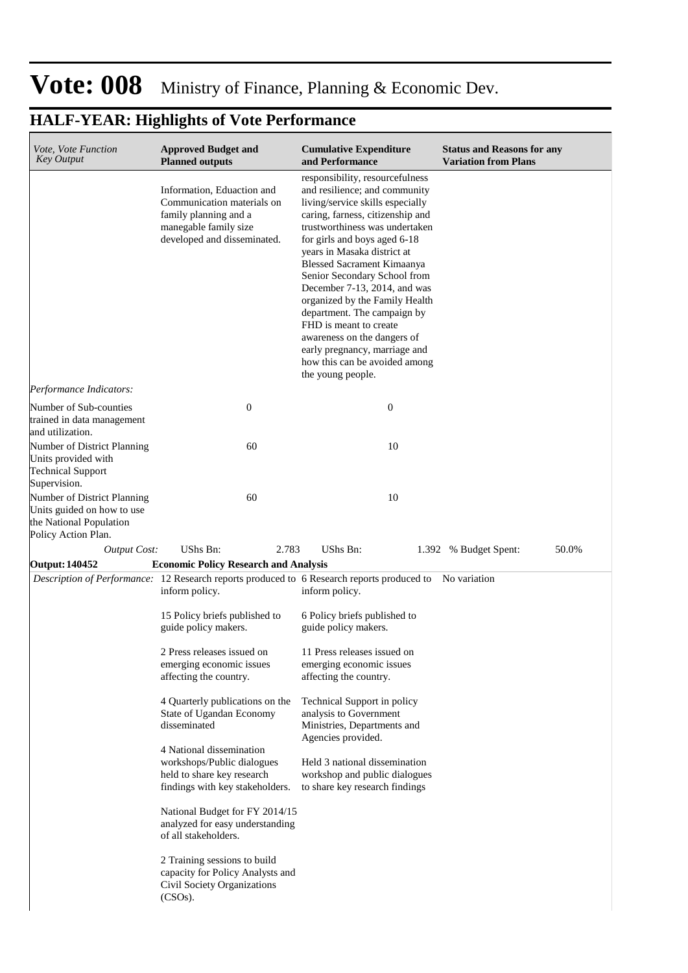| <i>Vote, Vote Function</i><br><b>Key Output</b>                                                             | <b>Approved Budget and</b><br><b>Planned outputs</b>                                                                                      | <b>Cumulative Expenditure</b><br>and Performance                                                                                                                                                                                                                                                                                                                                                                                                                                                                                                                | <b>Status and Reasons for any</b><br><b>Variation from Plans</b> |
|-------------------------------------------------------------------------------------------------------------|-------------------------------------------------------------------------------------------------------------------------------------------|-----------------------------------------------------------------------------------------------------------------------------------------------------------------------------------------------------------------------------------------------------------------------------------------------------------------------------------------------------------------------------------------------------------------------------------------------------------------------------------------------------------------------------------------------------------------|------------------------------------------------------------------|
|                                                                                                             | Information, Eduaction and<br>Communication materials on<br>family planning and a<br>manegable family size<br>developed and disseminated. | responsibility, resourcefulness<br>and resilience; and community<br>living/service skills especially<br>caring, farness, citizenship and<br>trustworthiness was undertaken<br>for girls and boys aged 6-18<br>years in Masaka district at<br><b>Blessed Sacrament Kimaanya</b><br>Senior Secondary School from<br>December 7-13, 2014, and was<br>organized by the Family Health<br>department. The campaign by<br>FHD is meant to create<br>awareness on the dangers of<br>early pregnancy, marriage and<br>how this can be avoided among<br>the young people. |                                                                  |
| Performance Indicators:                                                                                     |                                                                                                                                           |                                                                                                                                                                                                                                                                                                                                                                                                                                                                                                                                                                 |                                                                  |
| Number of Sub-counties<br>trained in data management<br>and utilization.                                    | $\boldsymbol{0}$                                                                                                                          | $\boldsymbol{0}$                                                                                                                                                                                                                                                                                                                                                                                                                                                                                                                                                |                                                                  |
| Number of District Planning<br>Units provided with<br><b>Technical Support</b><br>Supervision.              | 60                                                                                                                                        | 10                                                                                                                                                                                                                                                                                                                                                                                                                                                                                                                                                              |                                                                  |
| Number of District Planning<br>Units guided on how to use<br>the National Population<br>Policy Action Plan. | 60                                                                                                                                        | 10                                                                                                                                                                                                                                                                                                                                                                                                                                                                                                                                                              |                                                                  |
| <b>Output Cost:</b>                                                                                         | <b>UShs Bn:</b><br>2.783                                                                                                                  | UShs Bn:                                                                                                                                                                                                                                                                                                                                                                                                                                                                                                                                                        | 1.392 % Budget Spent:<br>50.0%                                   |
| <b>Output: 140452</b>                                                                                       | <b>Economic Policy Research and Analysis</b>                                                                                              |                                                                                                                                                                                                                                                                                                                                                                                                                                                                                                                                                                 |                                                                  |
|                                                                                                             | Description of Performance: 12 Research reports produced to 6 Research reports produced to No variation<br>inform policy.                 | inform policy.                                                                                                                                                                                                                                                                                                                                                                                                                                                                                                                                                  |                                                                  |
|                                                                                                             | 15 Policy briefs published to<br>guide policy makers.                                                                                     | 6 Policy briefs published to<br>guide policy makers.                                                                                                                                                                                                                                                                                                                                                                                                                                                                                                            |                                                                  |
|                                                                                                             | 2 Press releases issued on<br>emerging economic issues<br>affecting the country.                                                          | 11 Press releases issued on<br>emerging economic issues<br>affecting the country.                                                                                                                                                                                                                                                                                                                                                                                                                                                                               |                                                                  |
|                                                                                                             | 4 Quarterly publications on the<br>State of Ugandan Economy<br>disseminated                                                               | Technical Support in policy<br>analysis to Government<br>Ministries, Departments and<br>Agencies provided.                                                                                                                                                                                                                                                                                                                                                                                                                                                      |                                                                  |
|                                                                                                             | 4 National dissemination<br>workshops/Public dialogues<br>held to share key research<br>findings with key stakeholders.                   | Held 3 national dissemination<br>workshop and public dialogues<br>to share key research findings                                                                                                                                                                                                                                                                                                                                                                                                                                                                |                                                                  |
|                                                                                                             | National Budget for FY 2014/15<br>analyzed for easy understanding<br>of all stakeholders.                                                 |                                                                                                                                                                                                                                                                                                                                                                                                                                                                                                                                                                 |                                                                  |
|                                                                                                             | 2 Training sessions to build<br>capacity for Policy Analysts and<br>Civil Society Organizations<br>$(CSOs)$ .                             |                                                                                                                                                                                                                                                                                                                                                                                                                                                                                                                                                                 |                                                                  |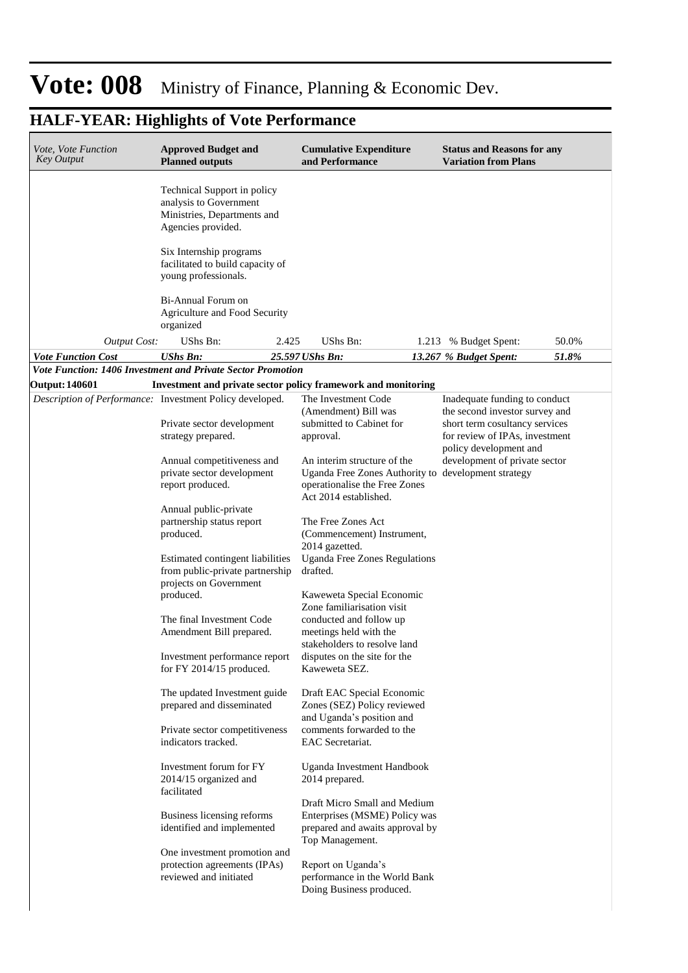#### **Cumulative Expenditure and Performance Approved Budget and Planned outputs Status and Reasons for any Variation from Plans** *Vote, Vote Function Key Output Vote Function Cost UShs Bn: 25.597 UShs Bn: 13.267 % Budget Spent: 51.8%* Technical Support in policy analysis to Government Ministries, Departments and Agencies provided. Six Internship programs facilitated to build capacity of young professionals. Bi-Annual Forum on Agriculture and Food Security organized *Output Cost:* UShs Bn: 2.425 UShs Bn: 1.213 % Budget Spent: 50.0% *Vote Function: 1406 Investment and Private Sector Promotion* **Output: 140601 Investment and private sector policy framework and monitoring** *Description of Performance:* Investment Policy developed. Private sector development strategy prepared. Annual competitiveness and private sector development report produced. Annual public-private partnership status report produced. Estimated contingent liabilities from public-private partnership projects on Government produced. The final Investment Code Amendment Bill prepared. Investment performance report for FY 2014/15 produced. The updated Investment guide prepared and disseminated Private sector competitiveness indicators tracked. Investment forum for FY 2014/15 organized and facilitated Business licensing reforms identified and implemented One investment promotion and protection agreements (IPAs) reviewed and initiated The Investment Code (Amendment) Bill was submitted to Cabinet for approval. An interim structure of the Uganda Free Zones Authority to development strategyoperationalise the Free Zones Act 2014 established. The Free Zones Act (Commencement) Instrument, 2014 gazetted. Uganda Free Zones Regulations drafted. Kaweweta Special Economic Zone familiarisation visit conducted and follow up meetings held with the stakeholders to resolve land disputes on the site for the Kaweweta SEZ. Draft EAC Special Economic Zones (SEZ) Policy reviewed and Uganda's position and comments forwarded to the EAC Secretariat. Uganda Investment Handbook 2014 prepared. Draft Micro Small and Medium Enterprises (MSME) Policy was prepared and awaits approval by Top Management. Report on Uganda's performance in the World Bank Doing Business produced. Inadequate funding to conduct the second investor survey and short term cosultancy services for review of IPAs, investment policy development and development of private sector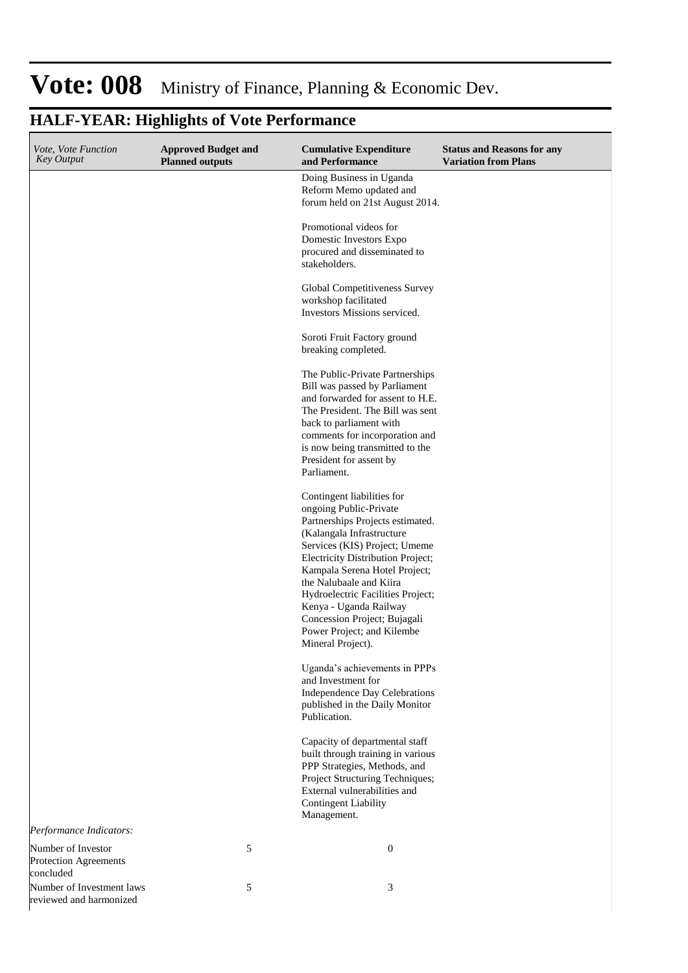| <i>Vote, Vote Function</i><br><b>Key Output</b>                 | <b>Approved Budget and</b><br><b>Planned outputs</b> | <b>Cumulative Expenditure</b><br>and Performance                                                                                                                                                                                                                                                                                                                                                          | <b>Status and Reasons for any</b><br><b>Variation from Plans</b> |
|-----------------------------------------------------------------|------------------------------------------------------|-----------------------------------------------------------------------------------------------------------------------------------------------------------------------------------------------------------------------------------------------------------------------------------------------------------------------------------------------------------------------------------------------------------|------------------------------------------------------------------|
|                                                                 |                                                      | Doing Business in Uganda<br>Reform Memo updated and<br>forum held on 21st August 2014.                                                                                                                                                                                                                                                                                                                    |                                                                  |
|                                                                 |                                                      | Promotional videos for<br>Domestic Investors Expo<br>procured and disseminated to<br>stakeholders.                                                                                                                                                                                                                                                                                                        |                                                                  |
|                                                                 |                                                      | Global Competitiveness Survey<br>workshop facilitated<br>Investors Missions serviced.                                                                                                                                                                                                                                                                                                                     |                                                                  |
|                                                                 |                                                      | Soroti Fruit Factory ground<br>breaking completed.                                                                                                                                                                                                                                                                                                                                                        |                                                                  |
|                                                                 |                                                      | The Public-Private Partnerships<br>Bill was passed by Parliament<br>and forwarded for assent to H.E.<br>The President. The Bill was sent<br>back to parliament with<br>comments for incorporation and<br>is now being transmitted to the<br>President for assent by<br>Parliament.                                                                                                                        |                                                                  |
|                                                                 |                                                      | Contingent liabilities for<br>ongoing Public-Private<br>Partnerships Projects estimated.<br>(Kalangala Infrastructure<br>Services (KIS) Project; Umeme<br>Electricity Distribution Project;<br>Kampala Serena Hotel Project;<br>the Nalubaale and Kiira<br>Hydroelectric Facilities Project;<br>Kenya - Uganda Railway<br>Concession Project; Bujagali<br>Power Project; and Kilembe<br>Mineral Project). |                                                                  |
|                                                                 |                                                      | Uganda's achievements in PPPs<br>and Investment for<br>Independence Day Celebrations<br>published in the Daily Monitor<br>Publication.                                                                                                                                                                                                                                                                    |                                                                  |
|                                                                 |                                                      | Capacity of departmental staff<br>built through training in various<br>PPP Strategies, Methods, and<br>Project Structuring Techniques;<br>External vulnerabilities and<br><b>Contingent Liability</b><br>Management.                                                                                                                                                                                      |                                                                  |
| Performance Indicators:                                         |                                                      |                                                                                                                                                                                                                                                                                                                                                                                                           |                                                                  |
| Number of Investor<br><b>Protection Agreements</b><br>concluded | 5                                                    | $\boldsymbol{0}$                                                                                                                                                                                                                                                                                                                                                                                          |                                                                  |
| Number of Investment laws<br>reviewed and harmonized            | 5                                                    | 3                                                                                                                                                                                                                                                                                                                                                                                                         |                                                                  |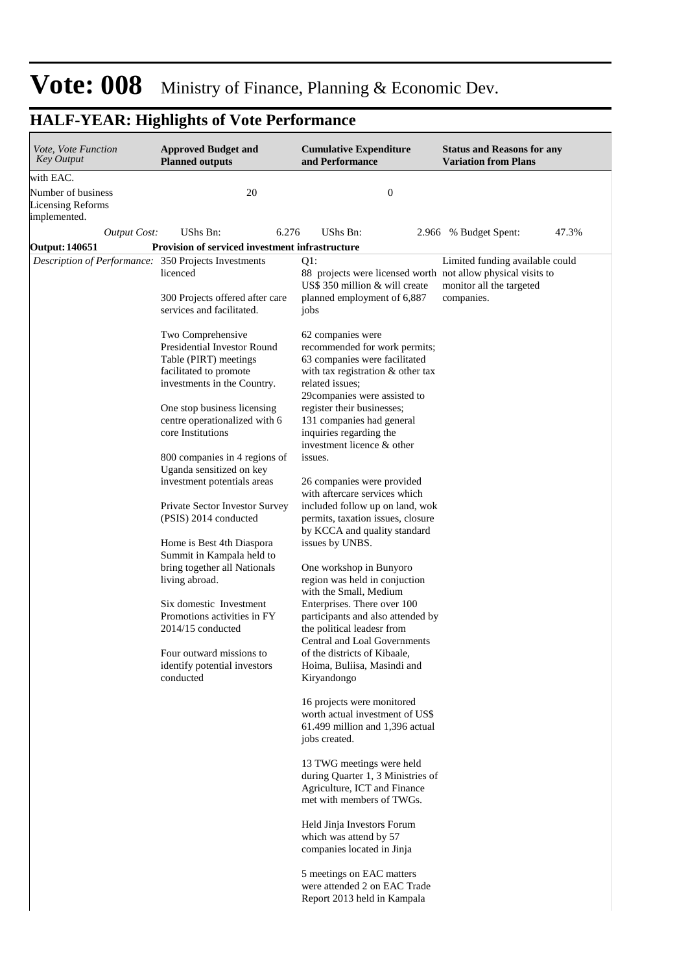#### **Cumulative Expenditure and Performance Approved Budget and Planned outputs Status and Reasons for any Variation from Plans** *Vote, Vote Function Key Output Output Cost:* UShs Bn: 6.276 UShs Bn: 2.966 % Budget Spent: 47.3% with EAC. Number of business Licensing Reforms implemented. 20 0 **Output: 140651 Provision of serviced investment infrastructure** *Description of Performance:* 350 Projects Investments licenced 300 Projects offered after care services and facilitated. Two Comprehensive Presidential Investor Round Table (PIRT) meetings facilitated to promote investments in the Country. One stop business licensing centre operationalized with 6 core Institutions 800 companies in 4 regions of Uganda sensitized on key investment potentials areas Private Sector Investor Survey (PSIS) 2014 conducted Home is Best 4th Diaspora Summit in Kampala held to bring together all Nationals living abroad. Six domestic Investment Promotions activities in FY 2014/15 conducted Four outward missions to identify potential investors conducted  $O1:$ 88 projects were licensed worth not allow physical visits to US\$ 350 million & will create planned employment of 6,887 jobs 62 companies were recommended for work permits; 63 companies were facilitated with tax registration & other tax related issues; 29companies were assisted to register their businesses; 131 companies had general inquiries regarding the investment licence & other issues. 26 companies were provided with aftercare services which included follow up on land, wok permits, taxation issues, closure by KCCA and quality standard issues by UNBS. One workshop in Bunyoro region was held in conjuction with the Small, Medium Enterprises. There over 100 participants and also attended by the political leadesr from Central and Loal Governments of the districts of Kibaale, Hoima, Buliisa, Masindi and Kiryandongo 16 projects were monitored worth actual investment of US\$ 61.499 million and 1,396 actual jobs created. 13 TWG meetings were held during Quarter 1, 3 Ministries of Agriculture, ICT and Finance met with members of TWGs. Held Jinja Investors Forum which was attend by 57 companies located in Jinja 5 meetings on EAC matters were attended 2 on EAC Trade Report 2013 held in Kampala Limited funding available could monitor all the targeted companies.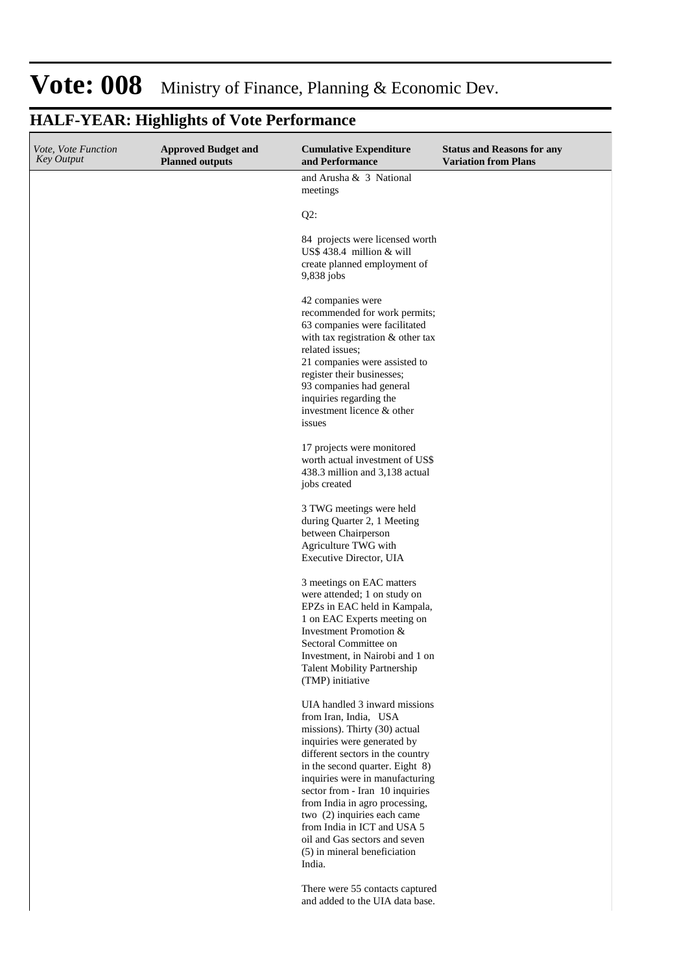| Vote, Vote Function<br><b>Key Output</b> | <b>Approved Budget and</b><br><b>Planned outputs</b> | <b>Cumulative Expenditure</b><br>and Performance                                                                                                                                                                                                                                                                                                                                                                                               | <b>Status and Reasons for any</b><br><b>Variation from Plans</b> |
|------------------------------------------|------------------------------------------------------|------------------------------------------------------------------------------------------------------------------------------------------------------------------------------------------------------------------------------------------------------------------------------------------------------------------------------------------------------------------------------------------------------------------------------------------------|------------------------------------------------------------------|
|                                          |                                                      | and Arusha & 3 National<br>meetings                                                                                                                                                                                                                                                                                                                                                                                                            |                                                                  |
|                                          |                                                      | $Q2$ :                                                                                                                                                                                                                                                                                                                                                                                                                                         |                                                                  |
|                                          |                                                      | 84 projects were licensed worth<br>US\$ 438.4 million & will<br>create planned employment of<br>9,838 jobs                                                                                                                                                                                                                                                                                                                                     |                                                                  |
|                                          |                                                      | 42 companies were<br>recommended for work permits;<br>63 companies were facilitated<br>with tax registration & other tax<br>related issues;<br>21 companies were assisted to<br>register their businesses;<br>93 companies had general<br>inquiries regarding the<br>investment licence & other<br>issues                                                                                                                                      |                                                                  |
|                                          |                                                      | 17 projects were monitored<br>worth actual investment of US\$<br>438.3 million and 3,138 actual<br>jobs created                                                                                                                                                                                                                                                                                                                                |                                                                  |
|                                          |                                                      | 3 TWG meetings were held<br>during Quarter 2, 1 Meeting<br>between Chairperson<br>Agriculture TWG with<br>Executive Director, UIA                                                                                                                                                                                                                                                                                                              |                                                                  |
|                                          |                                                      | 3 meetings on EAC matters<br>were attended; 1 on study on<br>EPZs in EAC held in Kampala,<br>1 on EAC Experts meeting on<br>Investment Promotion &<br>Sectoral Committee on<br>Investment, in Nairobi and 1 on<br><b>Talent Mobility Partnership</b><br>(TMP) initiative                                                                                                                                                                       |                                                                  |
|                                          |                                                      | UIA handled 3 inward missions<br>from Iran, India, USA<br>missions). Thirty (30) actual<br>inquiries were generated by<br>different sectors in the country<br>in the second quarter. Eight 8)<br>inquiries were in manufacturing<br>sector from - Iran 10 inquiries<br>from India in agro processing,<br>two (2) inquiries each came<br>from India in ICT and USA 5<br>oil and Gas sectors and seven<br>(5) in mineral beneficiation<br>India. |                                                                  |
|                                          |                                                      | There were 55 contacts captured<br>and added to the UIA data base.                                                                                                                                                                                                                                                                                                                                                                             |                                                                  |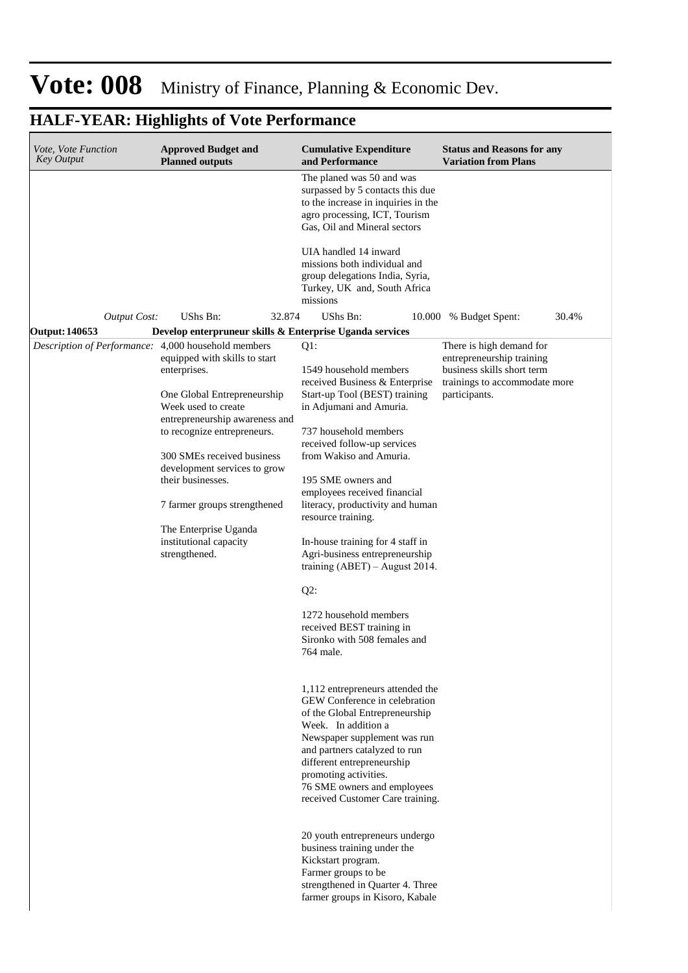#### **Cumulative Expenditure and Performance Approved Budget and Planned outputs Status and Reasons for any Variation from Plans** *Vote, Vote Function Key Output* The planed was 50 and was surpassed by 5 contacts this due to the increase in inquiries in the agro processing, ICT, Tourism Gas, Oil and Mineral sectors UIA handled 14 inward missions both individual and group delegations India, Syria, Turkey, UK and, South Africa missions *Output Cost:* UShs Bn: 32.874 UShs Bn: 10.000 % Budget Spent: 30.4% **Output: 140653 Develop enterpruneur skills & Enterprise Uganda services** *Description of Performance:* 4,000 household members equipped with skills to start enterprises. One Global Entrepreneurship Week used to create entrepreneurship awareness and to recognize entrepreneurs. 300 SMEs received business development services to grow their businesses. 7 farmer groups strengthened The Enterprise Uganda institutional capacity strengthened. Q1: 1549 household members received Business & Enterprise Start-up Tool (BEST) training in Adjumani and Amuria. 737 household members received follow-up services from Wakiso and Amuria. 195 SME owners and employees received financial literacy, productivity and human resource training. In-house training for 4 staff in Agri-business entrepreneurship training (ABET) – August 2014. Q2: 1272 household members received BEST training in Sironko with 508 females and 764 male. 1,112 entrepreneurs attended the GEW Conference in celebration of the Global Entrepreneurship Week. In addition a Newspaper supplement was run and partners catalyzed to run different entrepreneurship promoting activities. 76 SME owners and employees received Customer Care training. 20 youth entrepreneurs undergo business training under the Kickstart program. Farmer groups to be strengthened in Quarter 4. Three farmer groups in Kisoro, Kabale There is high demand for entrepreneurship training business skills short term trainings to accommodate more participants.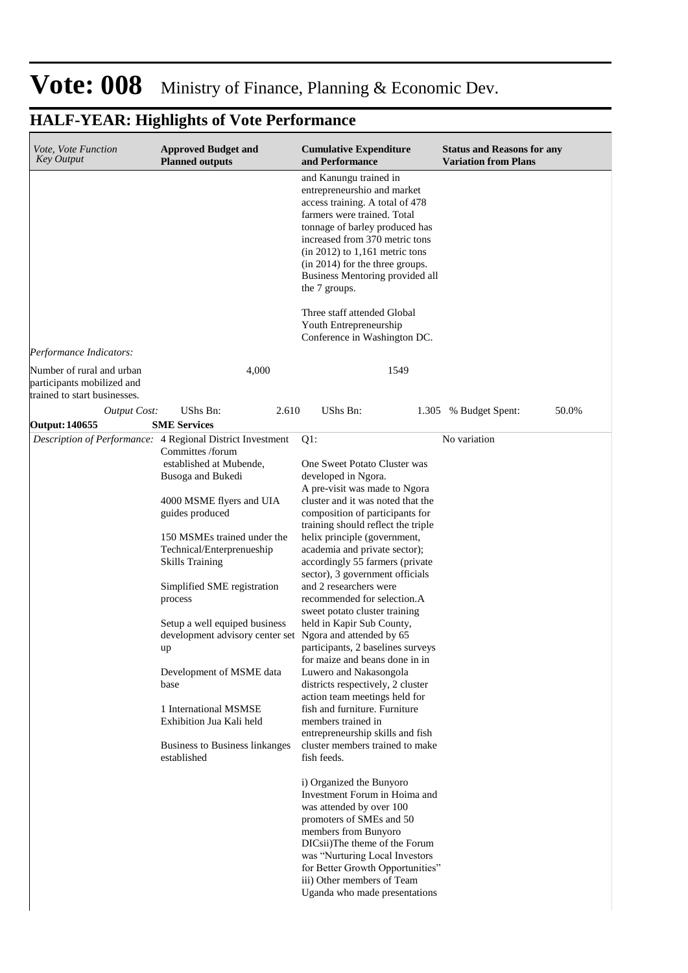| <i>Vote, Vote Function</i><br><b>Key Output</b>                                         | <b>Approved Budget and</b><br><b>Planned outputs</b>                                                                                                                                                                                                                                                                                                                                                                                                                                                                                                       | <b>Cumulative Expenditure</b><br>and Performance                                                                                                                                                                                                                                                                                                                                                                                                                                                                                                                                                                                                                                                                                                                                               | <b>Status and Reasons for any</b><br><b>Variation from Plans</b> |
|-----------------------------------------------------------------------------------------|------------------------------------------------------------------------------------------------------------------------------------------------------------------------------------------------------------------------------------------------------------------------------------------------------------------------------------------------------------------------------------------------------------------------------------------------------------------------------------------------------------------------------------------------------------|------------------------------------------------------------------------------------------------------------------------------------------------------------------------------------------------------------------------------------------------------------------------------------------------------------------------------------------------------------------------------------------------------------------------------------------------------------------------------------------------------------------------------------------------------------------------------------------------------------------------------------------------------------------------------------------------------------------------------------------------------------------------------------------------|------------------------------------------------------------------|
|                                                                                         |                                                                                                                                                                                                                                                                                                                                                                                                                                                                                                                                                            | and Kanungu trained in<br>entrepreneurshio and market<br>access training. A total of 478<br>farmers were trained. Total<br>tonnage of barley produced has<br>increased from 370 metric tons<br>$(in 2012)$ to 1,161 metric tons<br>(in 2014) for the three groups.<br>Business Mentoring provided all<br>the 7 groups.<br>Three staff attended Global                                                                                                                                                                                                                                                                                                                                                                                                                                          |                                                                  |
|                                                                                         |                                                                                                                                                                                                                                                                                                                                                                                                                                                                                                                                                            | Youth Entrepreneurship<br>Conference in Washington DC.                                                                                                                                                                                                                                                                                                                                                                                                                                                                                                                                                                                                                                                                                                                                         |                                                                  |
| Performance Indicators:                                                                 |                                                                                                                                                                                                                                                                                                                                                                                                                                                                                                                                                            |                                                                                                                                                                                                                                                                                                                                                                                                                                                                                                                                                                                                                                                                                                                                                                                                |                                                                  |
| Number of rural and urban<br>participants mobilized and<br>trained to start businesses. | 4,000                                                                                                                                                                                                                                                                                                                                                                                                                                                                                                                                                      | 1549                                                                                                                                                                                                                                                                                                                                                                                                                                                                                                                                                                                                                                                                                                                                                                                           |                                                                  |
| <b>Output Cost:</b>                                                                     | UShs Bn:<br>2.610                                                                                                                                                                                                                                                                                                                                                                                                                                                                                                                                          | UShs Bn:                                                                                                                                                                                                                                                                                                                                                                                                                                                                                                                                                                                                                                                                                                                                                                                       | 50.0%<br>1.305 % Budget Spent:                                   |
| <b>Output: 140655</b>                                                                   | <b>SME Services</b>                                                                                                                                                                                                                                                                                                                                                                                                                                                                                                                                        |                                                                                                                                                                                                                                                                                                                                                                                                                                                                                                                                                                                                                                                                                                                                                                                                |                                                                  |
|                                                                                         | Description of Performance: 4 Regional District Investment<br>Committes /forum<br>established at Mubende,<br>Busoga and Bukedi<br>4000 MSME flyers and UIA<br>guides produced<br>150 MSMEs trained under the<br>Technical/Enterprenueship<br><b>Skills Training</b><br>Simplified SME registration<br>process<br>Setup a well equiped business<br>development advisory center set Ngora and attended by 65<br>up<br>Development of MSME data<br>base<br>1 International MSMSE<br>Exhibition Jua Kali held<br>Business to Business linkanges<br>established | $Q1$ :<br>One Sweet Potato Cluster was<br>developed in Ngora.<br>A pre-visit was made to Ngora<br>cluster and it was noted that the<br>composition of participants for<br>training should reflect the triple<br>helix principle (government,<br>academia and private sector);<br>accordingly 55 farmers (private<br>sector), 3 government officials<br>and 2 researchers were<br>recommended for selection.A<br>sweet potato cluster training<br>held in Kapir Sub County,<br>participants, 2 baselines surveys<br>for maize and beans done in in<br>Luwero and Nakasongola<br>districts respectively, 2 cluster<br>action team meetings held for<br>fish and furniture. Furniture<br>members trained in<br>entrepreneurship skills and fish<br>cluster members trained to make<br>fish feeds. | No variation                                                     |
|                                                                                         |                                                                                                                                                                                                                                                                                                                                                                                                                                                                                                                                                            | i) Organized the Bunyoro<br>Investment Forum in Hoima and<br>was attended by over 100<br>promoters of SMEs and 50<br>members from Bunyoro<br>DICsii)The theme of the Forum<br>was "Nurturing Local Investors<br>for Better Growth Opportunities"<br>iii) Other members of Team<br>Uganda who made presentations                                                                                                                                                                                                                                                                                                                                                                                                                                                                                |                                                                  |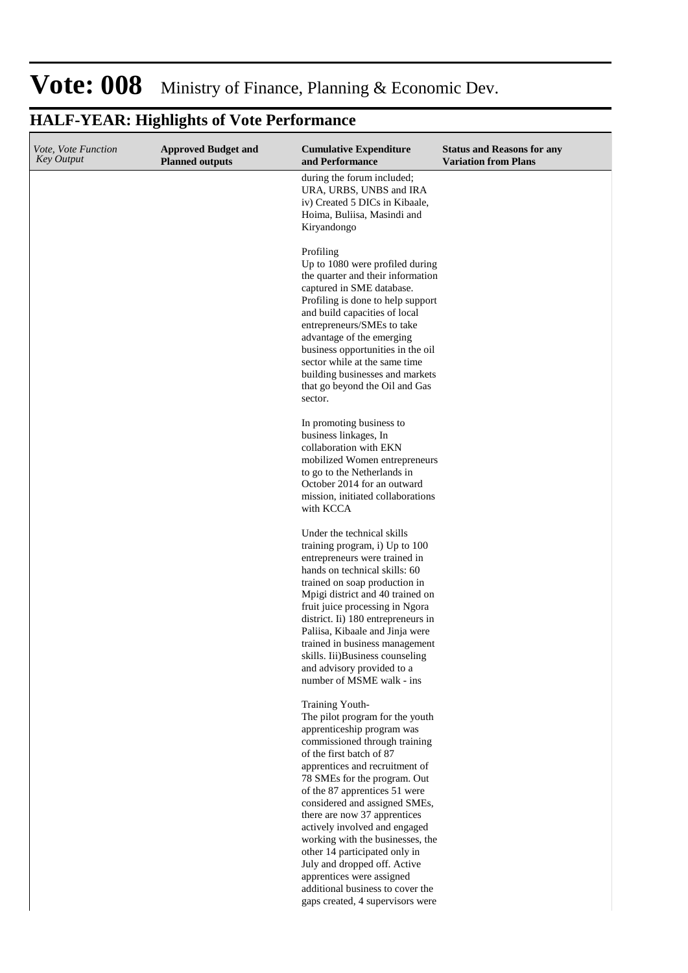#### **Cumulative Expenditure and Performance Approved Budget and Planned outputs Status and Reasons for any Variation from Plans** *Vote, Vote Function Key Output* during the forum included; URA, URBS, UNBS and IRA iv) Created 5 DICs in Kibaale, Hoima, Buliisa, Masindi and Kiryandongo Profiling Up to 1080 were profiled during the quarter and their information captured in SME database. Profiling is done to help support and build capacities of local entrepreneurs/SMEs to take advantage of the emerging business opportunities in the oil sector while at the same time building businesses and markets that go beyond the Oil and Gas sector. In promoting business to business linkages, In collaboration with EKN mobilized Women entrepreneurs to go to the Netherlands in October 2014 for an outward mission, initiated collaborations with KCCA Under the technical skills training program, i) Up to 100 entrepreneurs were trained in hands on technical skills: 60 trained on soap production in Mpigi district and 40 trained on fruit juice processing in Ngora district. Ii) 180 entrepreneurs in Paliisa, Kibaale and Jinja were trained in business management skills. Iii)Business counseling and advisory provided to a number of MSME walk - ins Training Youth-The pilot program for the youth apprenticeship program was commissioned through training of the first batch of 87 apprentices and recruitment of 78 SMEs for the program. Out of the 87 apprentices 51 were considered and assigned SMEs, there are now 37 apprentices actively involved and engaged working with the businesses, the other 14 participated only in July and dropped off. Active apprentices were assigned additional business to cover the gaps created, 4 supervisors were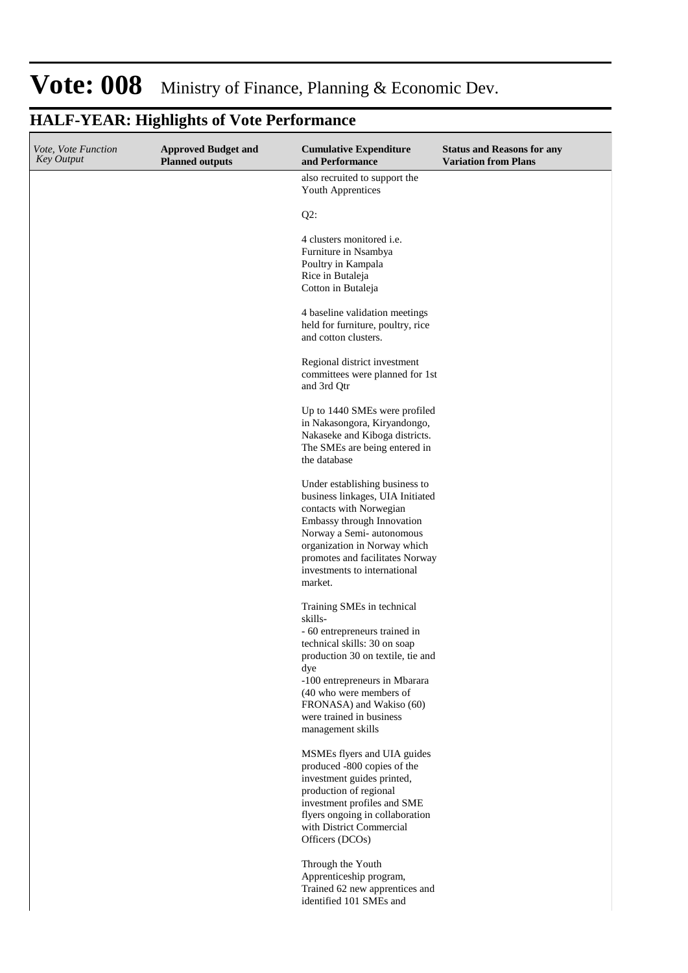#### **Cumulative Expenditure and Performance Approved Budget and Planned outputs Status and Reasons for any Variation from Plans** *Vote, Vote Function Key Output* also recruited to support the Youth Apprentices Q2: 4 clusters monitored i.e. Furniture in Nsambya Poultry in Kampala Rice in Butaleja Cotton in Butaleja 4 baseline validation meetings held for furniture, poultry, rice and cotton clusters. Regional district investment committees were planned for 1st and 3rd Qtr Up to 1440 SMEs were profiled in Nakasongora, Kiryandongo, Nakaseke and Kiboga districts. The SMEs are being entered in the database Under establishing business to business linkages, UIA Initiated contacts with Norwegian Embassy through Innovation Norway a Semi- autonomous organization in Norway which promotes and facilitates Norway investments to international market. Training SMEs in technical skills- - 60 entrepreneurs trained in technical skills: 30 on soap production 30 on textile, tie and dye -100 entrepreneurs in Mbarara (40 who were members of FRONASA) and Wakiso (60)

#### **HALF-YEAR: Highlights of Vote Performance**

MSMEs flyers and UIA guides produced -800 copies of the investment guides printed, production of regional investment profiles and SME flyers ongoing in collaboration with District Commercial Officers (DCOs)

were trained in business management skills

Through the Youth Apprenticeship program, Trained 62 new apprentices and identified 101 SMEs and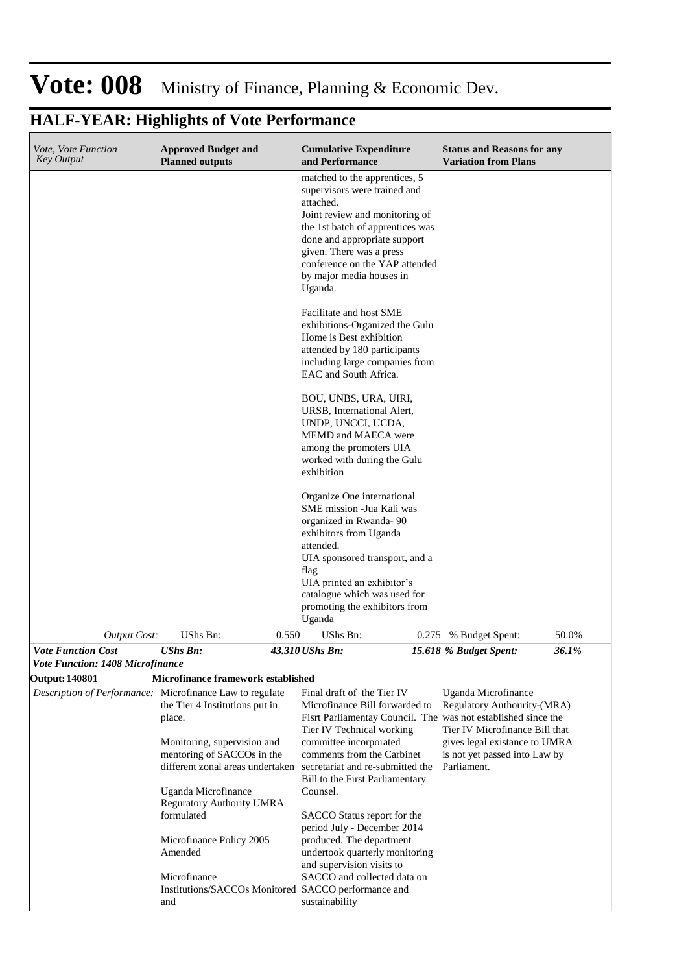#### **Cumulative Expenditure and Performance Approved Budget and Planned outputs Status and Reasons for any Variation from Plans** *Vote, Vote Function Key Output Vote Function Cost UShs Bn: 43.310 UShs Bn: 15.618 % Budget Spent: 36.1%* matched to the apprentices, 5 supervisors were trained and attached. Joint review and monitoring of the 1st batch of apprentices was done and appropriate support given. There was a press conference on the YAP attended by major media houses in Uganda. Facilitate and host SME exhibitions-Organized the Gulu Home is Best exhibition attended by 180 participants including large companies from EAC and South Africa. BOU, UNBS, URA, UIRI, URSB, International Alert, UNDP, UNCCI, UCDA, MEMD and MAECA were among the promoters UIA worked with during the Gulu exhibition Organize One international SME mission -Jua Kali was organized in Rwanda- 90 exhibitors from Uganda attended. UIA sponsored transport, and a flag UIA printed an exhibitor's catalogue which was used for promoting the exhibitors from Uganda *Output Cost:* UShs Bn: 0.550 UShs Bn: 0.275 % Budget Spent: 50.0% *Vote Function: 1408 Microfinance* **Output: 140801 Microfinance framework established** *Description of Performance:* Microfinance Law to regulate the Tier 4 Institutions put in place. Monitoring, supervision and mentoring of SACCOs in the different zonal areas undertaken Uganda Microfinance Reguratory Authority UMRA formulated Microfinance Policy 2005 Amended Final draft of the Tier IV Microfinance Bill forwarded to Fisrt Parliamentay Council. The was not established since the Tier IV Technical working committee incorporated comments from the Carbinet secretariat and re-submitted the Parliament.Bill to the First Parliamentary Counsel. SACCO Status report for the period July - December 2014 produced. The department undertook quarterly monitoring and supervision visits to Uganda Microfinance Regulatory Authourity-(MRA) Tier IV Microfinance Bill that gives legal existance to UMRA is not yet passed into Law by

#### **HALF-YEAR: Highlights of Vote Performance**

Microfinance Institutions/SACCOs Monitored and SACCO and collected data on SACCO performance and sustainability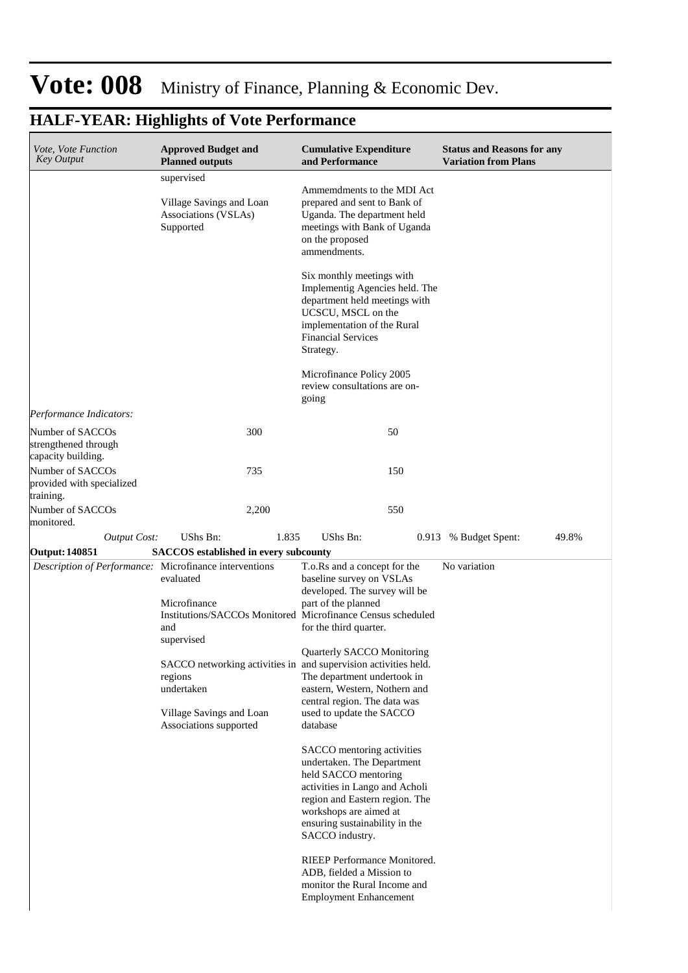#### **Cumulative Expenditure and Performance Approved Budget and Planned outputs Status and Reasons for any Variation from Plans** *Vote, Vote Function Key Output* supervised Village Savings and Loan Associations (VSLAs) Supported Ammemdments to the MDI Act prepared and sent to Bank of Uganda. The department held meetings with Bank of Uganda on the proposed ammendments. Six monthly meetings with Implementig Agencies held. The department held meetings with UCSCU, MSCL on the implementation of the Rural Financial Services Strategy. Microfinance Policy 2005 review consultations are ongoing *Output Cost:* UShs Bn: 1.835 UShs Bn: 0.913 % Budget Spent: 49.8% *Performance Indicators:* Number of SACCOs strengthened through capacity building. 300 50 Number of SACCOs provided with specialized training. 735 150 Number of SACCOs monitored. 2,200 550 **Output: 140851 SACCOS established in every subcounty** *Description of Performance:* Microfinance interventions evaluated Microfinance Institutions/SACCOs Monitored and supervised SACCO networking activities in regions undertaken Village Savings and Loan Associations supported T.o.Rs and a concept for the baseline survey on VSLAs developed. The survey will be part of the planned Microfinance Census scheduled for the third quarter. Quarterly SACCO Monitoring and supervision activities held. The department undertook in eastern, Western, Nothern and central region. The data was used to update the SACCO database SACCO mentoring activities undertaken. The Department held SACCO mentoring activities in Lango and Acholi region and Eastern region. The workshops are aimed at ensuring sustainability in the SACCO industry. RIEEP Performance Monitored. ADB, fielded a Mission to monitor the Rural Income and Employment Enhancement No variation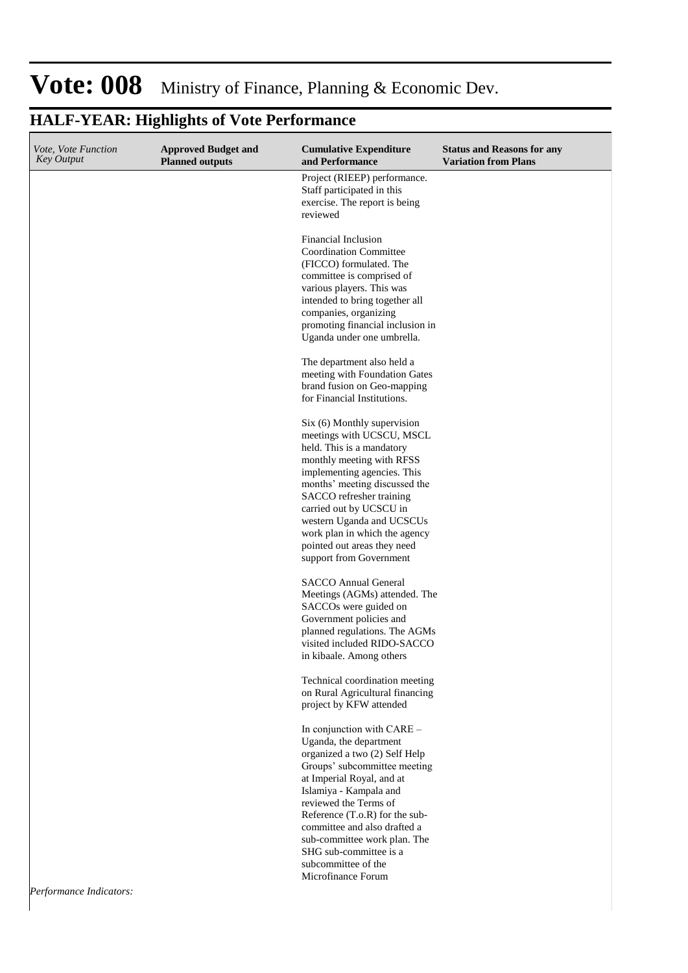| Vote, Vote Function<br><b>Key Output</b> | <b>Approved Budget and</b><br><b>Planned outputs</b> | <b>Cumulative Expenditure</b><br>and Performance                                                                                                                                                                                                                                                                                                                               | <b>Status and Reasons for any</b><br><b>Variation from Plans</b> |
|------------------------------------------|------------------------------------------------------|--------------------------------------------------------------------------------------------------------------------------------------------------------------------------------------------------------------------------------------------------------------------------------------------------------------------------------------------------------------------------------|------------------------------------------------------------------|
|                                          |                                                      | Project (RIEEP) performance.<br>Staff participated in this<br>exercise. The report is being<br>reviewed                                                                                                                                                                                                                                                                        |                                                                  |
|                                          |                                                      | Financial Inclusion<br><b>Coordination Committee</b><br>(FICCO) formulated. The<br>committee is comprised of<br>various players. This was<br>intended to bring together all<br>companies, organizing<br>promoting financial inclusion in<br>Uganda under one umbrella.                                                                                                         |                                                                  |
|                                          |                                                      | The department also held a<br>meeting with Foundation Gates<br>brand fusion on Geo-mapping<br>for Financial Institutions.                                                                                                                                                                                                                                                      |                                                                  |
|                                          |                                                      | Six (6) Monthly supervision<br>meetings with UCSCU, MSCL<br>held. This is a mandatory<br>monthly meeting with RFSS<br>implementing agencies. This<br>months' meeting discussed the<br>SACCO refresher training<br>carried out by UCSCU in<br>western Uganda and UCSCUs<br>work plan in which the agency<br>pointed out areas they need<br>support from Government              |                                                                  |
|                                          |                                                      | <b>SACCO Annual General</b><br>Meetings (AGMs) attended. The<br>SACCOs were guided on<br>Government policies and<br>planned regulations. The AGMs<br>visited included RIDO-SACCO<br>in kibaale. Among others                                                                                                                                                                   |                                                                  |
|                                          |                                                      | Technical coordination meeting<br>on Rural Agricultural financing<br>project by KFW attended                                                                                                                                                                                                                                                                                   |                                                                  |
|                                          |                                                      | In conjunction with CARE -<br>Uganda, the department<br>organized a two (2) Self Help<br>Groups' subcommittee meeting<br>at Imperial Royal, and at<br>Islamiya - Kampala and<br>reviewed the Terms of<br>Reference (T.o.R) for the sub-<br>committee and also drafted a<br>sub-committee work plan. The<br>SHG sub-committee is a<br>subcommittee of the<br>Microfinance Forum |                                                                  |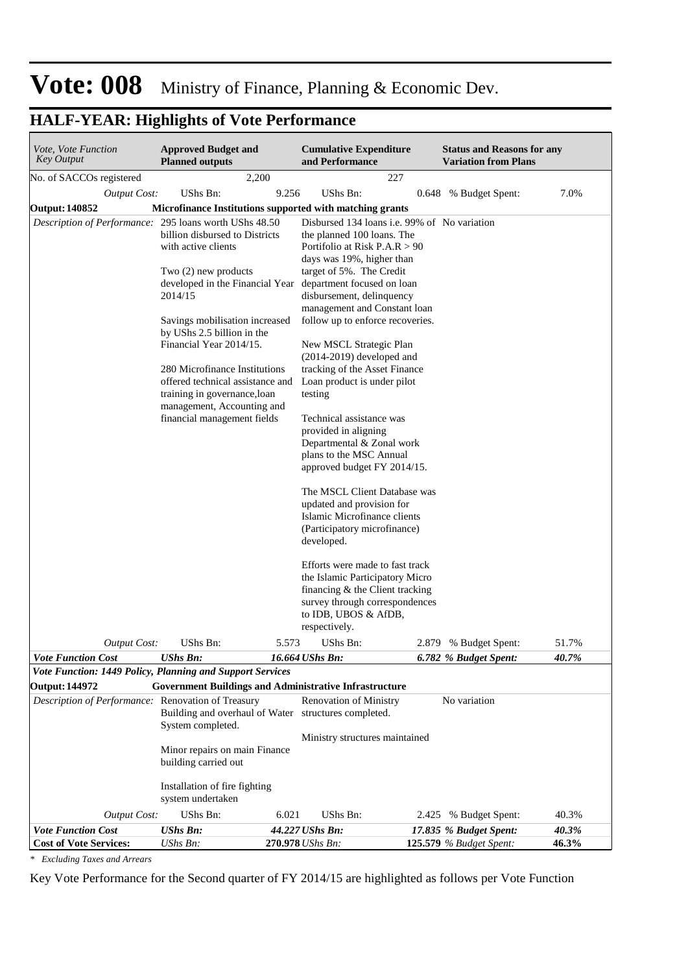### **HALF-YEAR: Highlights of Vote Performance**

| Vote, Vote Function<br><b>Key Output</b>                                               | <b>Approved Budget and</b><br><b>Planned outputs</b>                                                                                                                                                                                                                                                                                                                                                                |       | <b>Cumulative Expenditure</b><br>and Performance                                                                                                                                                                                                                                                                                                                                                                                                                                                                                                                                                                                                                                                                                                                                                                                                                                       |       | <b>Status and Reasons for any</b><br><b>Variation from Plans</b> |       |
|----------------------------------------------------------------------------------------|---------------------------------------------------------------------------------------------------------------------------------------------------------------------------------------------------------------------------------------------------------------------------------------------------------------------------------------------------------------------------------------------------------------------|-------|----------------------------------------------------------------------------------------------------------------------------------------------------------------------------------------------------------------------------------------------------------------------------------------------------------------------------------------------------------------------------------------------------------------------------------------------------------------------------------------------------------------------------------------------------------------------------------------------------------------------------------------------------------------------------------------------------------------------------------------------------------------------------------------------------------------------------------------------------------------------------------------|-------|------------------------------------------------------------------|-------|
| No. of SACCOs registered                                                               | 2,200                                                                                                                                                                                                                                                                                                                                                                                                               |       | 227                                                                                                                                                                                                                                                                                                                                                                                                                                                                                                                                                                                                                                                                                                                                                                                                                                                                                    |       |                                                                  |       |
| <b>Output Cost:</b>                                                                    | <b>UShs Bn:</b>                                                                                                                                                                                                                                                                                                                                                                                                     | 9.256 | UShs Bn:                                                                                                                                                                                                                                                                                                                                                                                                                                                                                                                                                                                                                                                                                                                                                                                                                                                                               | 0.648 | % Budget Spent:                                                  | 7.0%  |
| <b>Output: 140852</b>                                                                  | Microfinance Institutions supported with matching grants                                                                                                                                                                                                                                                                                                                                                            |       |                                                                                                                                                                                                                                                                                                                                                                                                                                                                                                                                                                                                                                                                                                                                                                                                                                                                                        |       |                                                                  |       |
| Description of Performance: 295 loans worth UShs 48.50                                 | billion disbursed to Districts<br>with active clients<br>Two (2) new products<br>developed in the Financial Year department focused on loan<br>2014/15<br>Savings mobilisation increased<br>by UShs 2.5 billion in the<br>Financial Year 2014/15.<br>280 Microfinance Institutions<br>offered technical assistance and<br>training in governance, loan<br>management, Accounting and<br>financial management fields |       | Disbursed 134 loans i.e. 99% of No variation<br>the planned 100 loans. The<br>Portifolio at Risk $P.A.R > 90$<br>days was 19%, higher than<br>target of 5%. The Credit<br>disbursement, delinquency<br>management and Constant loan<br>follow up to enforce recoveries.<br>New MSCL Strategic Plan<br>$(2014-2019)$ developed and<br>tracking of the Asset Finance<br>Loan product is under pilot<br>testing<br>Technical assistance was<br>provided in aligning<br>Departmental & Zonal work<br>plans to the MSC Annual<br>approved budget FY 2014/15.<br>The MSCL Client Database was<br>updated and provision for<br>Islamic Microfinance clients<br>(Participatory microfinance)<br>developed.<br>Efforts were made to fast track<br>the Islamic Participatory Micro<br>financing & the Client tracking<br>survey through correspondences<br>to IDB, UBOS & AfDB,<br>respectively. |       |                                                                  |       |
| <b>Output Cost:</b>                                                                    | UShs Bn:                                                                                                                                                                                                                                                                                                                                                                                                            | 5.573 | UShs Bn:                                                                                                                                                                                                                                                                                                                                                                                                                                                                                                                                                                                                                                                                                                                                                                                                                                                                               |       | 2.879 % Budget Spent:                                            | 51.7% |
| <b>Vote Function Cost</b><br>Vote Function: 1449 Policy, Planning and Support Services | <b>UShs Bn:</b>                                                                                                                                                                                                                                                                                                                                                                                                     |       | 16.664 UShs Bn:                                                                                                                                                                                                                                                                                                                                                                                                                                                                                                                                                                                                                                                                                                                                                                                                                                                                        |       | 6.782 % Budget Spent:                                            | 40.7% |
| <b>Output: 144972</b>                                                                  | <b>Government Buildings and Administrative Infrastructure</b>                                                                                                                                                                                                                                                                                                                                                       |       |                                                                                                                                                                                                                                                                                                                                                                                                                                                                                                                                                                                                                                                                                                                                                                                                                                                                                        |       |                                                                  |       |
| Description of Performance: Renovation of Treasury                                     |                                                                                                                                                                                                                                                                                                                                                                                                                     |       | <b>Renovation of Ministry</b>                                                                                                                                                                                                                                                                                                                                                                                                                                                                                                                                                                                                                                                                                                                                                                                                                                                          |       | No variation                                                     |       |
|                                                                                        | Building and overhaul of Water structures completed.<br>System completed.                                                                                                                                                                                                                                                                                                                                           |       |                                                                                                                                                                                                                                                                                                                                                                                                                                                                                                                                                                                                                                                                                                                                                                                                                                                                                        |       |                                                                  |       |
|                                                                                        | Minor repairs on main Finance<br>building carried out                                                                                                                                                                                                                                                                                                                                                               |       | Ministry structures maintained                                                                                                                                                                                                                                                                                                                                                                                                                                                                                                                                                                                                                                                                                                                                                                                                                                                         |       |                                                                  |       |
|                                                                                        | Installation of fire fighting<br>system undertaken                                                                                                                                                                                                                                                                                                                                                                  |       |                                                                                                                                                                                                                                                                                                                                                                                                                                                                                                                                                                                                                                                                                                                                                                                                                                                                                        |       |                                                                  |       |
| <b>Output Cost:</b>                                                                    | UShs Bn:                                                                                                                                                                                                                                                                                                                                                                                                            | 6.021 | UShs Bn:                                                                                                                                                                                                                                                                                                                                                                                                                                                                                                                                                                                                                                                                                                                                                                                                                                                                               |       | 2.425 % Budget Spent:                                            | 40.3% |
| <b>Vote Function Cost</b>                                                              | <b>UShs Bn:</b>                                                                                                                                                                                                                                                                                                                                                                                                     |       | 44.227 UShs Bn:                                                                                                                                                                                                                                                                                                                                                                                                                                                                                                                                                                                                                                                                                                                                                                                                                                                                        |       | 17.835 % Budget Spent:                                           | 40.3% |
| <b>Cost of Vote Services:</b>                                                          | UShs Bn:                                                                                                                                                                                                                                                                                                                                                                                                            |       | 270.978 UShs Bn:                                                                                                                                                                                                                                                                                                                                                                                                                                                                                                                                                                                                                                                                                                                                                                                                                                                                       |       | <b>125.579</b> % Budget Spent:                                   | 46.3% |

*\* Excluding Taxes and Arrears*

Key Vote Performance for the Second quarter of FY 2014/15 are highlighted as follows per Vote Function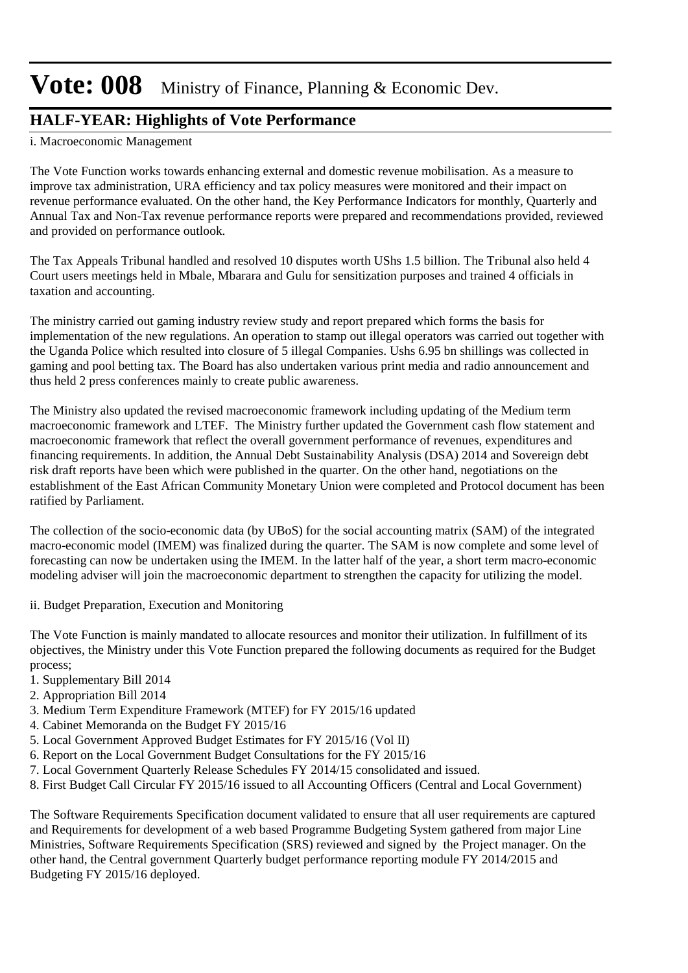### **HALF-YEAR: Highlights of Vote Performance**

i. Macroeconomic Management

The Vote Function works towards enhancing external and domestic revenue mobilisation. As a measure to improve tax administration, URA efficiency and tax policy measures were monitored and their impact on revenue performance evaluated. On the other hand, the Key Performance Indicators for monthly, Quarterly and Annual Tax and Non-Tax revenue performance reports were prepared and recommendations provided, reviewed and provided on performance outlook.

The Tax Appeals Tribunal handled and resolved 10 disputes worth UShs 1.5 billion. The Tribunal also held 4 Court users meetings held in Mbale, Mbarara and Gulu for sensitization purposes and trained 4 officials in taxation and accounting.

The ministry carried out gaming industry review study and report prepared which forms the basis for implementation of the new regulations. An operation to stamp out illegal operators was carried out together with the Uganda Police which resulted into closure of 5 illegal Companies. Ushs 6.95 bn shillings was collected in gaming and pool betting tax. The Board has also undertaken various print media and radio announcement and thus held 2 press conferences mainly to create public awareness.

The Ministry also updated the revised macroeconomic framework including updating of the Medium term macroeconomic framework and LTEF. The Ministry further updated the Government cash flow statement and macroeconomic framework that reflect the overall government performance of revenues, expenditures and financing requirements. In addition, the Annual Debt Sustainability Analysis (DSA) 2014 and Sovereign debt risk draft reports have been which were published in the quarter. On the other hand, negotiations on the establishment of the East African Community Monetary Union were completed and Protocol document has been ratified by Parliament.

The collection of the socio-economic data (by UBoS) for the social accounting matrix (SAM) of the integrated macro-economic model (IMEM) was finalized during the quarter. The SAM is now complete and some level of forecasting can now be undertaken using the IMEM. In the latter half of the year, a short term macro-economic modeling adviser will join the macroeconomic department to strengthen the capacity for utilizing the model.

ii. Budget Preparation, Execution and Monitoring

The Vote Function is mainly mandated to allocate resources and monitor their utilization. In fulfillment of its objectives, the Ministry under this Vote Function prepared the following documents as required for the Budget process;

- 1. Supplementary Bill 2014
- 2. Appropriation Bill 2014
- 3. Medium Term Expenditure Framework (MTEF) for FY 2015/16 updated
- 4. Cabinet Memoranda on the Budget FY 2015/16
- 5. Local Government Approved Budget Estimates for FY 2015/16 (Vol II)
- 6. Report on the Local Government Budget Consultations for the FY 2015/16
- 7. Local Government Quarterly Release Schedules FY 2014/15 consolidated and issued.
- 8. First Budget Call Circular FY 2015/16 issued to all Accounting Officers (Central and Local Government)

The Software Requirements Specification document validated to ensure that all user requirements are captured and Requirements for development of a web based Programme Budgeting System gathered from major Line Ministries, Software Requirements Specification (SRS) reviewed and signed by the Project manager. On the other hand, the Central government Quarterly budget performance reporting module FY 2014/2015 and Budgeting FY 2015/16 deployed.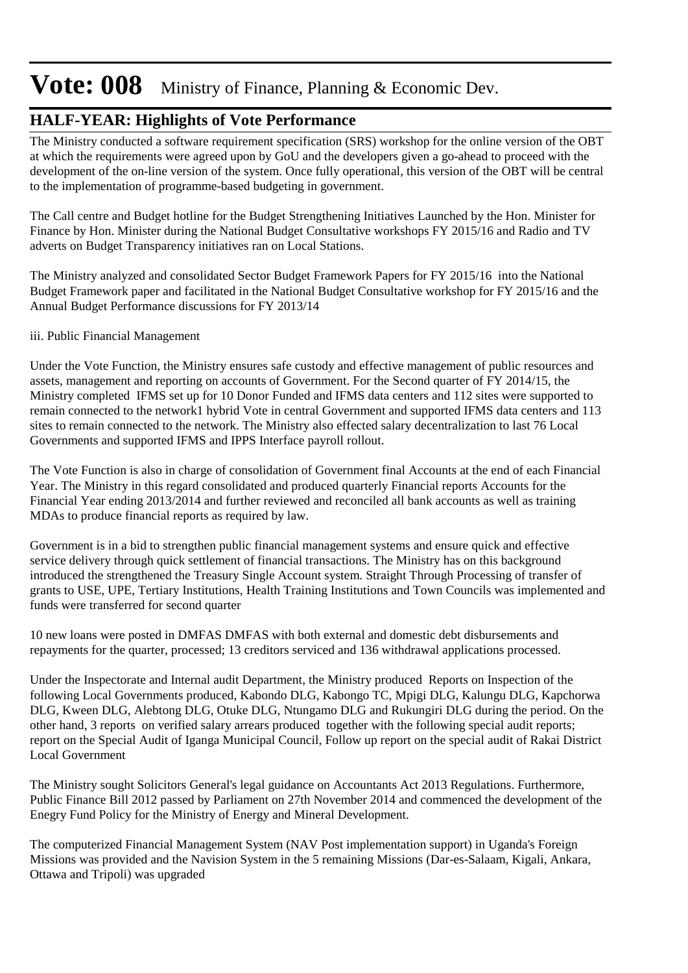### **HALF-YEAR: Highlights of Vote Performance**

The Ministry conducted a software requirement specification (SRS) workshop for the online version of the OBT at which the requirements were agreed upon by GoU and the developers given a go-ahead to proceed with the development of the on-line version of the system. Once fully operational, this version of the OBT will be central to the implementation of programme-based budgeting in government.

The Call centre and Budget hotline for the Budget Strengthening Initiatives Launched by the Hon. Minister for Finance by Hon. Minister during the National Budget Consultative workshops FY 2015/16 and Radio and TV adverts on Budget Transparency initiatives ran on Local Stations.

The Ministry analyzed and consolidated Sector Budget Framework Papers for FY 2015/16 into the National Budget Framework paper and facilitated in the National Budget Consultative workshop for FY 2015/16 and the Annual Budget Performance discussions for FY 2013/14

#### iii. Public Financial Management

Under the Vote Function, the Ministry ensures safe custody and effective management of public resources and assets, management and reporting on accounts of Government. For the Second quarter of FY 2014/15, the Ministry completed IFMS set up for 10 Donor Funded and IFMS data centers and 112 sites were supported to remain connected to the network1 hybrid Vote in central Government and supported IFMS data centers and 113 sites to remain connected to the network. The Ministry also effected salary decentralization to last 76 Local Governments and supported IFMS and IPPS Interface payroll rollout.

The Vote Function is also in charge of consolidation of Government final Accounts at the end of each Financial Year. The Ministry in this regard consolidated and produced quarterly Financial reports Accounts for the Financial Year ending 2013/2014 and further reviewed and reconciled all bank accounts as well as training MDAs to produce financial reports as required by law.

Government is in a bid to strengthen public financial management systems and ensure quick and effective service delivery through quick settlement of financial transactions. The Ministry has on this background introduced the strengthened the Treasury Single Account system. Straight Through Processing of transfer of grants to USE, UPE, Tertiary Institutions, Health Training Institutions and Town Councils was implemented and funds were transferred for second quarter

10 new loans were posted in DMFAS DMFAS with both external and domestic debt disbursements and repayments for the quarter, processed; 13 creditors serviced and 136 withdrawal applications processed.

Under the Inspectorate and Internal audit Department, the Ministry produced Reports on Inspection of the following Local Governments produced, Kabondo DLG, Kabongo TC, Mpigi DLG, Kalungu DLG, Kapchorwa DLG, Kween DLG, Alebtong DLG, Otuke DLG, Ntungamo DLG and Rukungiri DLG during the period. On the other hand, 3 reports on verified salary arrears produced together with the following special audit reports; report on the Special Audit of Iganga Municipal Council, Follow up report on the special audit of Rakai District Local Government

The Ministry sought Solicitors General's legal guidance on Accountants Act 2013 Regulations. Furthermore, Public Finance Bill 2012 passed by Parliament on 27th November 2014 and commenced the development of the Enegry Fund Policy for the Ministry of Energy and Mineral Development.

The computerized Financial Management System (NAV Post implementation support) in Uganda's Foreign Missions was provided and the Navision System in the 5 remaining Missions (Dar-es-Salaam, Kigali, Ankara, Ottawa and Tripoli) was upgraded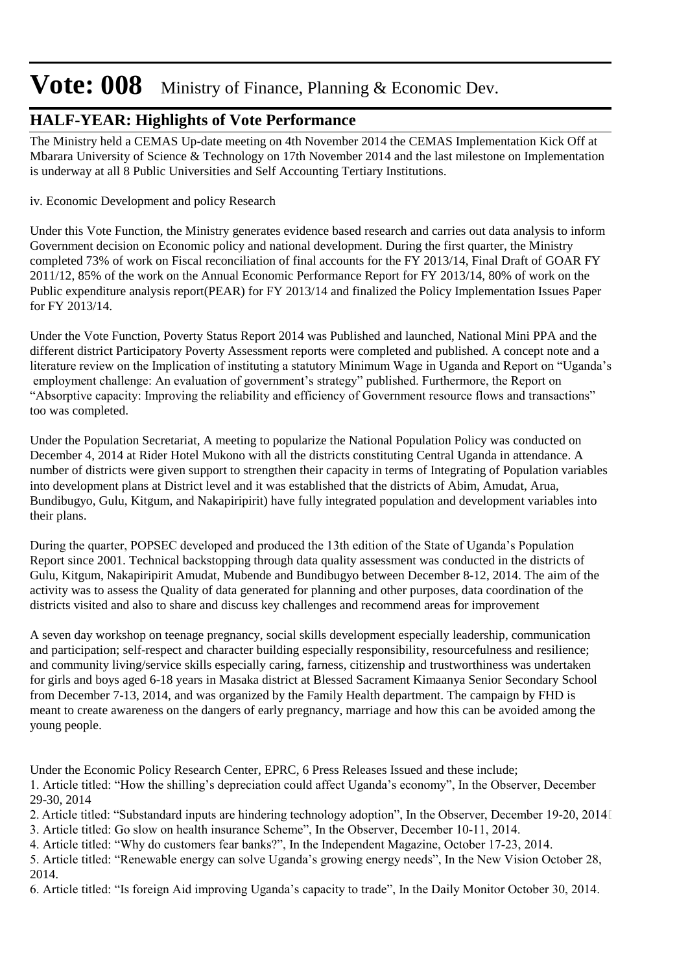### **HALF-YEAR: Highlights of Vote Performance**

The Ministry held a CEMAS Up-date meeting on 4th November 2014 the CEMAS Implementation Kick Off at Mbarara University of Science & Technology on 17th November 2014 and the last milestone on Implementation is underway at all 8 Public Universities and Self Accounting Tertiary Institutions.

iv. Economic Development and policy Research

Under this Vote Function, the Ministry generates evidence based research and carries out data analysis to inform Government decision on Economic policy and national development. During the first quarter, the Ministry completed 73% of work on Fiscal reconciliation of final accounts for the FY 2013/14, Final Draft of GOAR FY 2011/12, 85% of the work on the Annual Economic Performance Report for FY 2013/14, 80% of work on the Public expenditure analysis report(PEAR) for FY 2013/14 and finalized the Policy Implementation Issues Paper for FY 2013/14.

Under the Vote Function, Poverty Status Report 2014 was Published and launched, National Mini PPA and the different district Participatory Poverty Assessment reports were completed and published. A concept note and a literature review on the Implication of instituting a statutory Minimum Wage in Uganda and Report on "Uganda's employment challenge: An evaluation of government's strategy" published. Furthermore, the Report on "Absorptive capacity: Improving the reliability and efficiency of Government resource flows and transactions" too was completed.

Under the Population Secretariat, A meeting to popularize the National Population Policy was conducted on December 4, 2014 at Rider Hotel Mukono with all the districts constituting Central Uganda in attendance. A number of districts were given support to strengthen their capacity in terms of Integrating of Population variables into development plans at District level and it was established that the districts of Abim, Amudat, Arua, Bundibugyo, Gulu, Kitgum, and Nakapiripirit) have fully integrated population and development variables into their plans.

During the quarter, POPSEC developed and produced the 13th edition of the State of Uganda's Population Report since 2001. Technical backstopping through data quality assessment was conducted in the districts of Gulu, Kitgum, Nakapiripirit Amudat, Mubende and Bundibugyo between December 8-12, 2014. The aim of the activity was to assess the Quality of data generated for planning and other purposes, data coordination of the districts visited and also to share and discuss key challenges and recommend areas for improvement

A seven day workshop on teenage pregnancy, social skills development especially leadership, communication and participation; self-respect and character building especially responsibility, resourcefulness and resilience; and community living/service skills especially caring, farness, citizenship and trustworthiness was undertaken for girls and boys aged 6-18 years in Masaka district at Blessed Sacrament Kimaanya Senior Secondary School from December 7-13, 2014, and was organized by the Family Health department. The campaign by FHD is meant to create awareness on the dangers of early pregnancy, marriage and how this can be avoided among the young people.

Under the Economic Policy Research Center, EPRC, 6 Press Releases Issued and these include; 1. Article titled: "How the shilling's depreciation could affect Uganda's economy", In the Observer, December 29-30, 2014 

2. Article titled: "Substandard inputs are hindering technology adoption", In the Observer, December 19-20, 2014 

3. Article titled: Go slow on health insurance Scheme", In the Observer, December 10-11, 2014.

4. Article titled: "Why do customers fear banks?", In the Independent Magazine, October 17-23, 2014.

5. Article titled: "Renewable energy can solve Uganda's growing energy needs", In the New Vision October 28, 2014.

6. Article titled: "Is foreign Aid improving Uganda's capacity to trade", In the Daily Monitor October 30, 2014.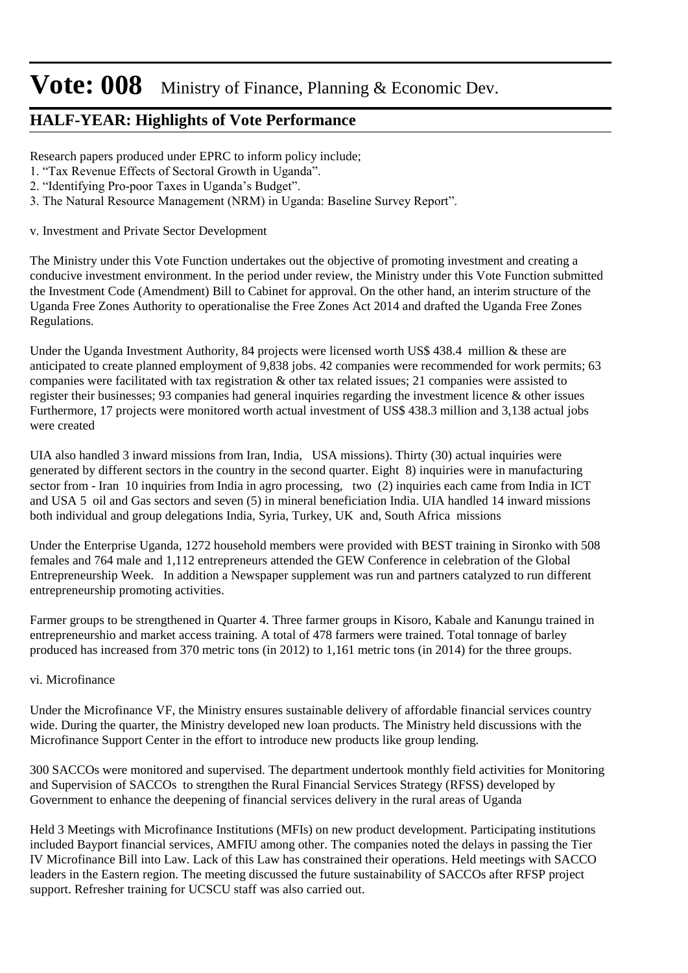### **HALF-YEAR: Highlights of Vote Performance**

Research papers produced under EPRC to inform policy include;

- 1. "Tax Revenue Effects of Sectoral Growth in Uganda".
- 2. "Identifying Pro-poor Taxes in Uganda's Budget".
- 3. The Natural Resource Management (NRM) in Uganda: Baseline Survey Report".

v. Investment and Private Sector Development

The Ministry under this Vote Function undertakes out the objective of promoting investment and creating a conducive investment environment. In the period under review, the Ministry under this Vote Function submitted the Investment Code (Amendment) Bill to Cabinet for approval. On the other hand, an interim structure of the Uganda Free Zones Authority to operationalise the Free Zones Act 2014 and drafted the Uganda Free Zones Regulations.

Under the Uganda Investment Authority, 84 projects were licensed worth US\$ 438.4 million & these are anticipated to create planned employment of 9,838 jobs. 42 companies were recommended for work permits; 63 companies were facilitated with tax registration & other tax related issues; 21 companies were assisted to register their businesses; 93 companies had general inquiries regarding the investment licence & other issues Furthermore, 17 projects were monitored worth actual investment of US\$ 438.3 million and 3,138 actual jobs were created

UIA also handled 3 inward missions from Iran, India, USA missions). Thirty (30) actual inquiries were generated by different sectors in the country in the second quarter. Eight 8) inquiries were in manufacturing sector from - Iran 10 inquiries from India in agro processing, two (2) inquiries each came from India in ICT and USA 5 oil and Gas sectors and seven (5) in mineral beneficiation India. UIA handled 14 inward missions both individual and group delegations India, Syria, Turkey, UK and, South Africa missions

Under the Enterprise Uganda, 1272 household members were provided with BEST training in Sironko with 508 females and 764 male and 1,112 entrepreneurs attended the GEW Conference in celebration of the Global Entrepreneurship Week. In addition a Newspaper supplement was run and partners catalyzed to run different entrepreneurship promoting activities.

Farmer groups to be strengthened in Quarter 4. Three farmer groups in Kisoro, Kabale and Kanungu trained in entrepreneurshio and market access training. A total of 478 farmers were trained. Total tonnage of barley produced has increased from 370 metric tons (in 2012) to 1,161 metric tons (in 2014) for the three groups.

#### vi. Microfinance

Under the Microfinance VF, the Ministry ensures sustainable delivery of affordable financial services country wide. During the quarter, the Ministry developed new loan products. The Ministry held discussions with the Microfinance Support Center in the effort to introduce new products like group lending.

300 SACCOs were monitored and supervised. The department undertook monthly field activities for Monitoring and Supervision of SACCOs to strengthen the Rural Financial Services Strategy (RFSS) developed by Government to enhance the deepening of financial services delivery in the rural areas of Uganda

Held 3 Meetings with Microfinance Institutions (MFIs) on new product development. Participating institutions included Bayport financial services, AMFIU among other. The companies noted the delays in passing the Tier IV Microfinance Bill into Law. Lack of this Law has constrained their operations. Held meetings with SACCO leaders in the Eastern region. The meeting discussed the future sustainability of SACCOs after RFSP project support. Refresher training for UCSCU staff was also carried out.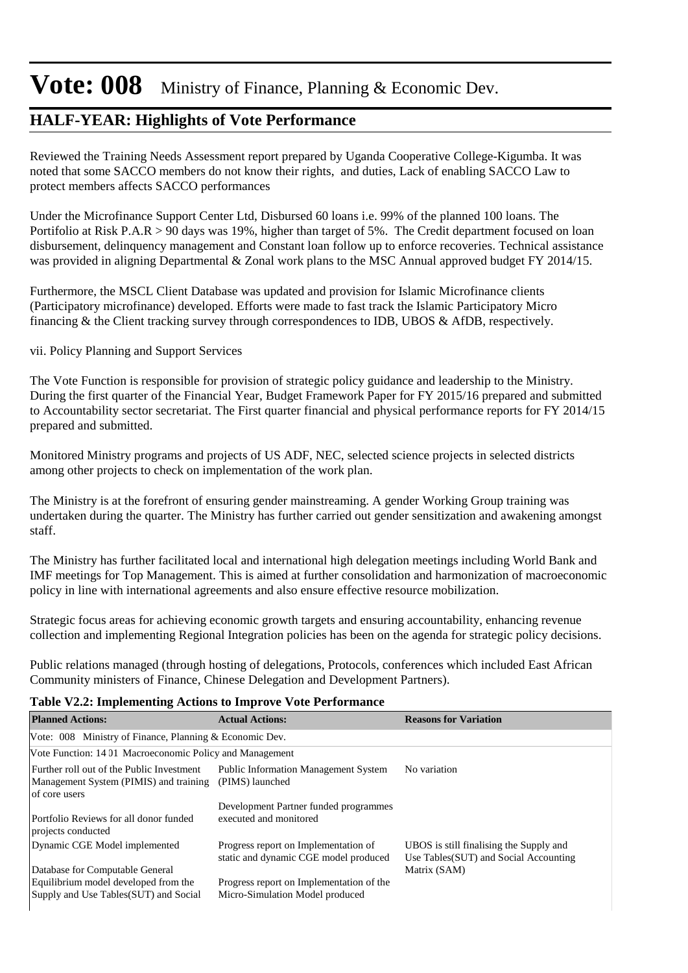### **HALF-YEAR: Highlights of Vote Performance**

Reviewed the Training Needs Assessment report prepared by Uganda Cooperative College-Kigumba. It was noted that some SACCO members do not know their rights, and duties, Lack of enabling SACCO Law to protect members affects SACCO performances

Under the Microfinance Support Center Ltd, Disbursed 60 loans i.e. 99% of the planned 100 loans. The Portifolio at Risk P.A.R > 90 days was 19%, higher than target of 5%. The Credit department focused on loan disbursement, delinquency management and Constant loan follow up to enforce recoveries. Technical assistance was provided in aligning Departmental & Zonal work plans to the MSC Annual approved budget FY 2014/15.

Furthermore, the MSCL Client Database was updated and provision for Islamic Microfinance clients (Participatory microfinance) developed. Efforts were made to fast track the Islamic Participatory Micro financing & the Client tracking survey through correspondences to IDB, UBOS & AfDB, respectively.

#### vii. Policy Planning and Support Services

The Vote Function is responsible for provision of strategic policy guidance and leadership to the Ministry. During the first quarter of the Financial Year, Budget Framework Paper for FY 2015/16 prepared and submitted to Accountability sector secretariat. The First quarter financial and physical performance reports for FY 2014/15 prepared and submitted.

Monitored Ministry programs and projects of US ADF, NEC, selected science projects in selected districts among other projects to check on implementation of the work plan.

The Ministry is at the forefront of ensuring gender mainstreaming. A gender Working Group training was undertaken during the quarter. The Ministry has further carried out gender sensitization and awakening amongst staff.

The Ministry has further facilitated local and international high delegation meetings including World Bank and IMF meetings for Top Management. This is aimed at further consolidation and harmonization of macroeconomic policy in line with international agreements and also ensure effective resource mobilization.

Strategic focus areas for achieving economic growth targets and ensuring accountability, enhancing revenue collection and implementing Regional Integration policies has been on the agenda for strategic policy decisions.

Public relations managed (through hosting of delegations, Protocols, conferences which included East African Community ministers of Finance, Chinese Delegation and Development Partners).

#### **Table V2.2: Implementing Actions to Improve Vote Performance**

| <b>Planned Actions:</b>                                                                              | <b>Actual Actions:</b>                                                        | <b>Reasons for Variation</b>                                                                      |
|------------------------------------------------------------------------------------------------------|-------------------------------------------------------------------------------|---------------------------------------------------------------------------------------------------|
| Vote: 008 Ministry of Finance, Planning & Economic Dev.                                              |                                                                               |                                                                                                   |
| Vote Function: 14 01 Macroeconomic Policy and Management                                             |                                                                               |                                                                                                   |
| Further roll out of the Public Investment<br>Management System (PIMIS) and training<br>of core users | <b>Public Information Management System</b><br>(PIMS) launched                | No variation                                                                                      |
| Portfolio Reviews for all donor funded<br>projects conducted                                         | Development Partner funded programmes<br>executed and monitored               |                                                                                                   |
| Dynamic CGE Model implemented<br>Database for Computable General                                     | Progress report on Implementation of<br>static and dynamic CGE model produced | UBOS is still finalising the Supply and<br>Use Tables (SUT) and Social Accounting<br>Matrix (SAM) |
| Equilibrium model developed from the<br>Supply and Use Tables (SUT) and Social                       | Progress report on Implementation of the<br>Micro-Simulation Model produced   |                                                                                                   |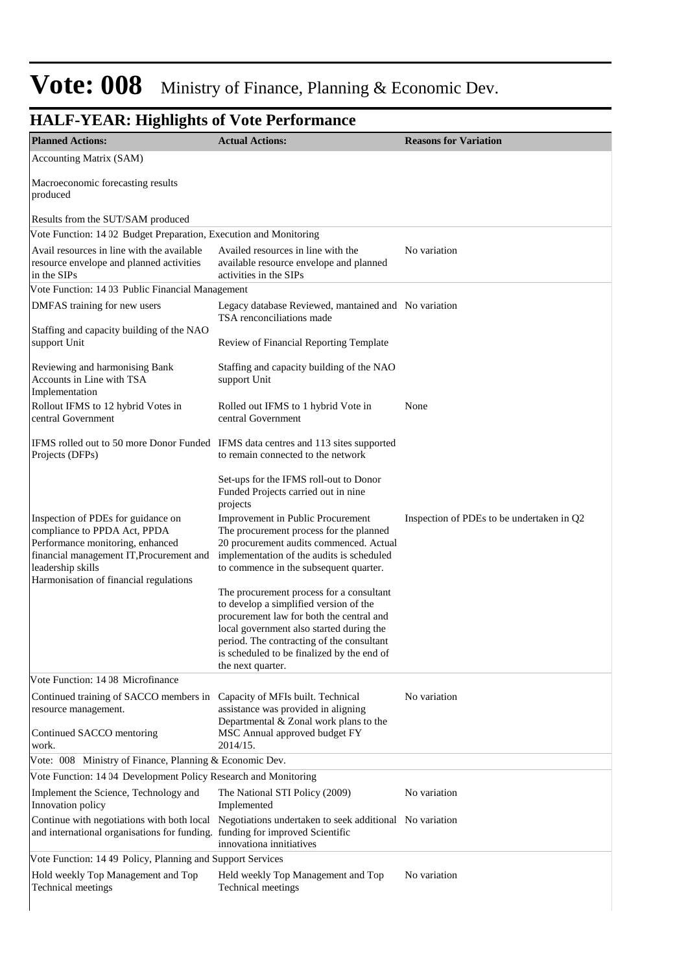#### **HALF-YEAR: Highlights of Vote Performance Planned Actions: Actual Actions: Reasons for Variation** Accounting Matrix (SAM) Macroeconomic forecasting results produced Results from the SUT/SAM produced Vote Function: 14 02 Budget Preparation, Execution and Monitoring Avail resources in line with the available resource envelope and planned activities in the SIPs Availed resources in line with the No variation available resource envelope and planned activities in the SIPs Vote Function: 14 03 Public Financial Management DMFAS training for new users Staffing and capacity building of the NAO support Unit Reviewing and harmonising Bank Accounts in Line with TSA Implementation Legacy database Reviewed, mantained and No variation TSA renconciliations made Review of Financial Reporting Template Staffing and capacity building of the NAO support Unit Rollout IFMS to 12 hybrid Votes in central Government IFMS rolled out to 50 more Donor Funded IFMS data centres and 113 sites supported Projects (DFPs) Rolled out IFMS to 1 hybrid Vote in None central Government to remain connected to the network Set-ups for the IFMS roll-out to Donor Funded Projects carried out in nine projects Inspection of PDEs for guidance on compliance to PPDA Act, PPDA Performance monitoring, enhanced financial management IT,Procurement and leadership skills Harmonisation of financial regulations Improvement in Public Procurement Inspection of PDEs to be undertaken in Q2 The procurement process for the planned 20 procurement audits commenced. Actual implementation of the audits is scheduled to commence in the subsequent quarter. The procurement process for a consultant to develop a simplified version of the procurement law for both the central and local government also started during the period. The contracting of the consultant is scheduled to be finalized by the end of the next quarter. Vote Function: 14 08 Microfinance Continued training of SACCO members in Capacity of MFIs built. Technical No variation resource management. Continued SACCO mentoring work. assistance was provided in aligning Departmental & Zonal work plans to the MSC Annual approved budget FY 2014/15. Vote: 008 Ministry of Finance, Planning & Economic Dev. Vote Function: 14 04 Development Policy Research and Monitoring Implement the Science, Technology and Innovation policy The National STI Policy (2009) No variation Implemented Continue with negotiations with both local and international organisations for funding. Negotiations undertaken to seek additional No variation funding for improved Scientific innovationa innitiatives Vote Function: 14 49 Policy, Planning and Support Services Hold weekly Top Management and Top Technical meetings Held weekly Top Management and Top No variation Technical meetings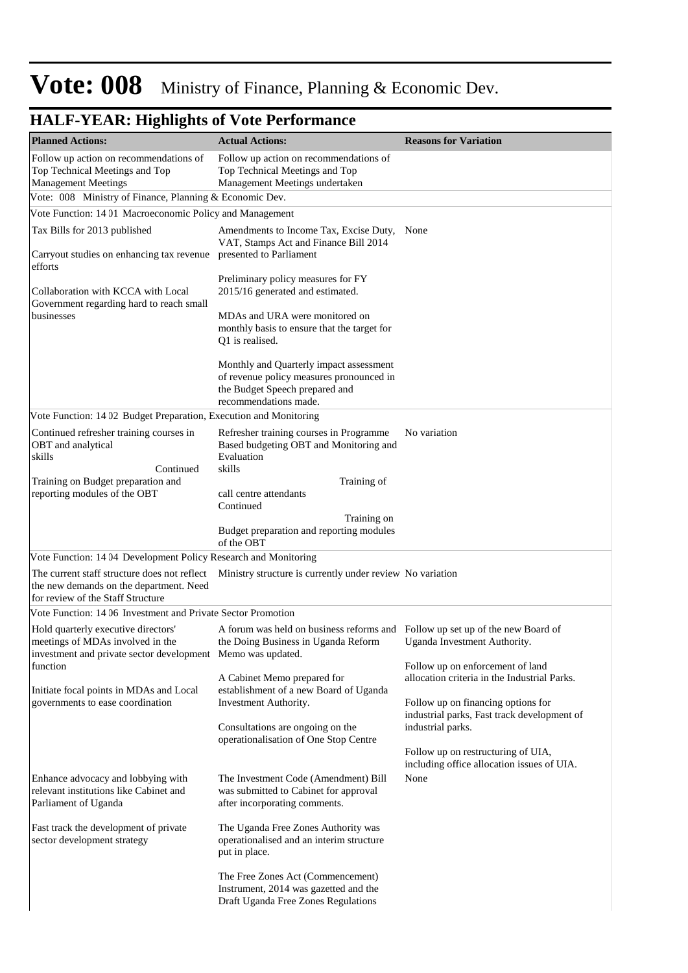| <b>Planned Actions:</b>                                                                                                                | <b>Actual Actions:</b>                                                                                                                                                                  | <b>Reasons for Variation</b>                                                      |
|----------------------------------------------------------------------------------------------------------------------------------------|-----------------------------------------------------------------------------------------------------------------------------------------------------------------------------------------|-----------------------------------------------------------------------------------|
| Follow up action on recommendations of<br>Top Technical Meetings and Top                                                               | Follow up action on recommendations of<br>Top Technical Meetings and Top                                                                                                                |                                                                                   |
| <b>Management Meetings</b>                                                                                                             | Management Meetings undertaken                                                                                                                                                          |                                                                                   |
| Vote: 008 Ministry of Finance, Planning & Economic Dev.                                                                                |                                                                                                                                                                                         |                                                                                   |
| Vote Function: 14 01 Macroeconomic Policy and Management                                                                               |                                                                                                                                                                                         |                                                                                   |
| Tax Bills for 2013 published<br>Carryout studies on enhancing tax revenue                                                              | Amendments to Income Tax, Excise Duty, None<br>VAT, Stamps Act and Finance Bill 2014<br>presented to Parliament                                                                         |                                                                                   |
| efforts<br>Collaboration with KCCA with Local<br>Government regarding hard to reach small<br>businesses                                | Preliminary policy measures for FY<br>2015/16 generated and estimated.<br>MDAs and URA were monitored on                                                                                |                                                                                   |
|                                                                                                                                        | monthly basis to ensure that the target for<br>Q1 is realised.<br>Monthly and Quarterly impact assessment<br>of revenue policy measures pronounced in<br>the Budget Speech prepared and |                                                                                   |
|                                                                                                                                        | recommendations made.                                                                                                                                                                   |                                                                                   |
| Vote Function: 14 02 Budget Preparation, Execution and Monitoring                                                                      |                                                                                                                                                                                         |                                                                                   |
| Continued refresher training courses in<br>OBT and analytical<br>skills                                                                | Refresher training courses in Programme<br>Based budgeting OBT and Monitoring and<br>Evaluation                                                                                         | No variation                                                                      |
| Continued<br>Training on Budget preparation and                                                                                        | skills<br>Training of                                                                                                                                                                   |                                                                                   |
| reporting modules of the OBT                                                                                                           | call centre attendants<br>Continued                                                                                                                                                     |                                                                                   |
|                                                                                                                                        | Training on                                                                                                                                                                             |                                                                                   |
|                                                                                                                                        | Budget preparation and reporting modules<br>of the OBT                                                                                                                                  |                                                                                   |
| Vote Function: 14 04 Development Policy Research and Monitoring                                                                        |                                                                                                                                                                                         |                                                                                   |
| the new demands on the department. Need<br>for review of the Staff Structure                                                           | The current staff structure does not reflect Ministry structure is currently under review No variation                                                                                  |                                                                                   |
| Vote Function: 14 06 Investment and Private Sector Promotion                                                                           |                                                                                                                                                                                         |                                                                                   |
| Hold quarterly executive directors'<br>meetings of MDAs involved in the<br>investment and private sector development Memo was updated. | A forum was held on business reforms and Follow up set up of the new Board of<br>the Doing Business in Uganda Reform                                                                    | Uganda Investment Authority.                                                      |
| function                                                                                                                               |                                                                                                                                                                                         | Follow up on enforcement of land                                                  |
| Initiate focal points in MDAs and Local                                                                                                | A Cabinet Memo prepared for<br>establishment of a new Board of Uganda                                                                                                                   | allocation criteria in the Industrial Parks.                                      |
| governments to ease coordination                                                                                                       | Investment Authority.                                                                                                                                                                   | Follow up on financing options for<br>industrial parks, Fast track development of |
|                                                                                                                                        | Consultations are ongoing on the<br>operationalisation of One Stop Centre                                                                                                               | industrial parks.                                                                 |
|                                                                                                                                        |                                                                                                                                                                                         | Follow up on restructuring of UIA,<br>including office allocation issues of UIA.  |
| Enhance advocacy and lobbying with<br>relevant institutions like Cabinet and<br>Parliament of Uganda                                   | The Investment Code (Amendment) Bill<br>was submitted to Cabinet for approval<br>after incorporating comments.                                                                          | None                                                                              |
| Fast track the development of private<br>sector development strategy                                                                   | The Uganda Free Zones Authority was<br>operationalised and an interim structure<br>put in place.                                                                                        |                                                                                   |
|                                                                                                                                        | The Free Zones Act (Commencement)<br>Instrument, 2014 was gazetted and the<br>Draft Uganda Free Zones Regulations                                                                       |                                                                                   |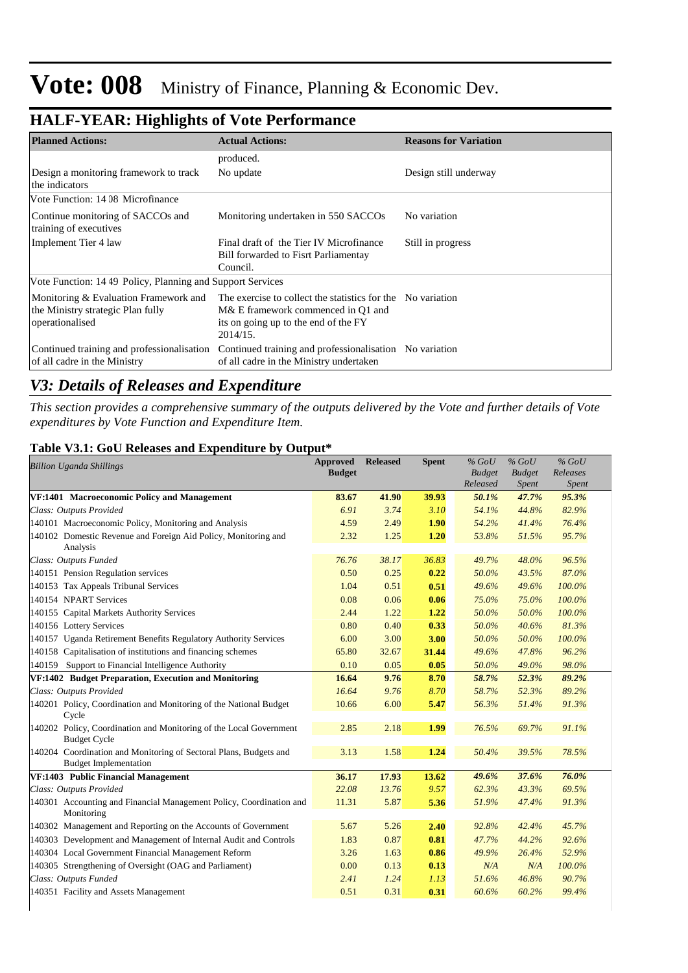| ా                                                                                             |                                                                                                                                                      |                              |
|-----------------------------------------------------------------------------------------------|------------------------------------------------------------------------------------------------------------------------------------------------------|------------------------------|
| <b>Planned Actions:</b>                                                                       | <b>Actual Actions:</b>                                                                                                                               | <b>Reasons for Variation</b> |
|                                                                                               | produced.                                                                                                                                            |                              |
| Design a monitoring framework to track<br>the indicators                                      | No update                                                                                                                                            | Design still underway        |
| Vote Function: 14 08 Microfinance                                                             |                                                                                                                                                      |                              |
| Continue monitoring of SACCOs and<br>training of executives                                   | Monitoring undertaken in 550 SACCOs                                                                                                                  | No variation                 |
| Implement Tier 4 law                                                                          | Final draft of the Tier IV Microfinance<br>Bill forwarded to Fisrt Parliamentay<br>Council.                                                          | Still in progress            |
| Vote Function: 14.49 Policy, Planning and Support Services                                    |                                                                                                                                                      |                              |
| Monitoring & Evaluation Framework and<br>the Ministry strategic Plan fully<br>operationalised | The exercise to collect the statistics for the Novariation<br>M& E framework commenced in Q1 and<br>its on going up to the end of the FY<br>2014/15. |                              |
| Continued training and professionalisation<br>of all cadre in the Ministry                    | Continued training and professionalisation No variation<br>of all cadre in the Ministry undertaken                                                   |                              |

### **HALF-YEAR: Highlights of Vote Performance**

### *V3: Details of Releases and Expenditure*

*This section provides a comprehensive summary of the outputs delivered by the Vote and further details of Vote expenditures by Vote Function and Expenditure Item.*

#### **Table V3.1: GoU Releases and Expenditure by Output\***

| <b>Billion Uganda Shillings</b>                                                                   | <b>Approved</b><br><b>Budget</b> | <b>Released</b> | <b>Spent</b> | $%$ GoU<br><b>Budget</b> | $%$ GoU<br><b>Budget</b> | $%$ GoU<br>Releases |
|---------------------------------------------------------------------------------------------------|----------------------------------|-----------------|--------------|--------------------------|--------------------------|---------------------|
|                                                                                                   |                                  |                 |              | Released                 | Spent                    | Spent               |
| VF:1401 Macroeconomic Policy and Management                                                       | 83.67                            | 41.90           | 39.93        | 50.1%                    | 47.7%                    | 95.3%               |
| Class: Outputs Provided                                                                           | 6.91                             | 3.74            | 3.10         | 54.1%                    | 44.8%                    | 82.9%               |
| 140101 Macroeconomic Policy, Monitoring and Analysis                                              | 4.59                             | 2.49            | 1.90         | 54.2%                    | 41.4%                    | 76.4%               |
| 140102 Domestic Revenue and Foreign Aid Policy, Monitoring and<br>Analysis                        | 2.32                             | 1.25            | 1.20         | 53.8%                    | 51.5%                    | 95.7%               |
| Class: Outputs Funded                                                                             | 76.76                            | 38.17           | 36.83        | 49.7%                    | 48.0%                    | 96.5%               |
| 140151 Pension Regulation services                                                                | 0.50                             | 0.25            | 0.22         | 50.0%                    | 43.5%                    | 87.0%               |
| 140153 Tax Appeals Tribunal Services                                                              | 1.04                             | 0.51            | 0.51         | 49.6%                    | 49.6%                    | 100.0%              |
| 140154 NPART Services                                                                             | 0.08                             | 0.06            | 0.06         | 75.0%                    | 75.0%                    | 100.0%              |
| 140155 Capital Markets Authority Services                                                         | 2.44                             | 1.22            | 1.22         | 50.0%                    | 50.0%                    | 100.0%              |
| 140156 Lottery Services                                                                           | 0.80                             | 0.40            | 0.33         | 50.0%                    | 40.6%                    | 81.3%               |
| 140157 Uganda Retirement Benefits Regulatory Authority Services                                   | 6.00                             | 3.00            | 3.00         | 50.0%                    | 50.0%                    | 100.0%              |
| 140158 Capitalisation of institutions and financing schemes                                       | 65.80                            | 32.67           | 31.44        | 49.6%                    | 47.8%                    | 96.2%               |
| Support to Financial Intelligence Authority<br>140159                                             | 0.10                             | 0.05            | 0.05         | 50.0%                    | 49.0%                    | 98.0%               |
| VF:1402 Budget Preparation, Execution and Monitoring                                              | 16.64                            | 9.76            | 8.70         | 58.7%                    | 52.3%                    | 89.2%               |
| Class: Outputs Provided                                                                           | 16.64                            | 9.76            | 8.70         | 58.7%                    | 52.3%                    | 89.2%               |
| 140201 Policy, Coordination and Monitoring of the National Budget<br>Cycle                        | 10.66                            | 6.00            | 5.47         | 56.3%                    | 51.4%                    | 91.3%               |
| 140202 Policy, Coordination and Monitoring of the Local Government<br><b>Budget Cycle</b>         | 2.85                             | 2.18            | 1.99         | 76.5%                    | 69.7%                    | 91.1%               |
| 140204 Coordination and Monitoring of Sectoral Plans, Budgets and<br><b>Budget Implementation</b> | 3.13                             | 1.58            | 1.24         | 50.4%                    | 39.5%                    | 78.5%               |
| VF:1403 Public Financial Management                                                               | 36.17                            | 17.93           | 13.62        | 49.6%                    | 37.6%                    | 76.0%               |
| Class: Outputs Provided                                                                           | 22.08                            | 13.76           | 9.57         | 62.3%                    | 43.3%                    | 69.5%               |
| 140301 Accounting and Financial Management Policy, Coordination and<br>Monitoring                 | 11.31                            | 5.87            | 5.36         | 51.9%                    | 47.4%                    | 91.3%               |
| 140302 Management and Reporting on the Accounts of Government                                     | 5.67                             | 5.26            | 2.40         | 92.8%                    | 42.4%                    | 45.7%               |
| 140303 Development and Management of Internal Audit and Controls                                  | 1.83                             | 0.87            | 0.81         | 47.7%                    | 44.2%                    | 92.6%               |
| 140304 Local Government Financial Management Reform                                               | 3.26                             | 1.63            | 0.86         | 49.9%                    | 26.4%                    | 52.9%               |
| 140305 Strengthening of Oversight (OAG and Parliament)                                            | 0.00                             | 0.13            | 0.13         | N/A                      | N/A                      | 100.0%              |
| Class: Outputs Funded                                                                             | 2.41                             | 1.24            | 1.13         | 51.6%                    | 46.8%                    | 90.7%               |
| 140351 Facility and Assets Management                                                             | 0.51                             | 0.31            | 0.31         | 60.6%                    | 60.2%                    | 99.4%               |
|                                                                                                   |                                  |                 |              |                          |                          |                     |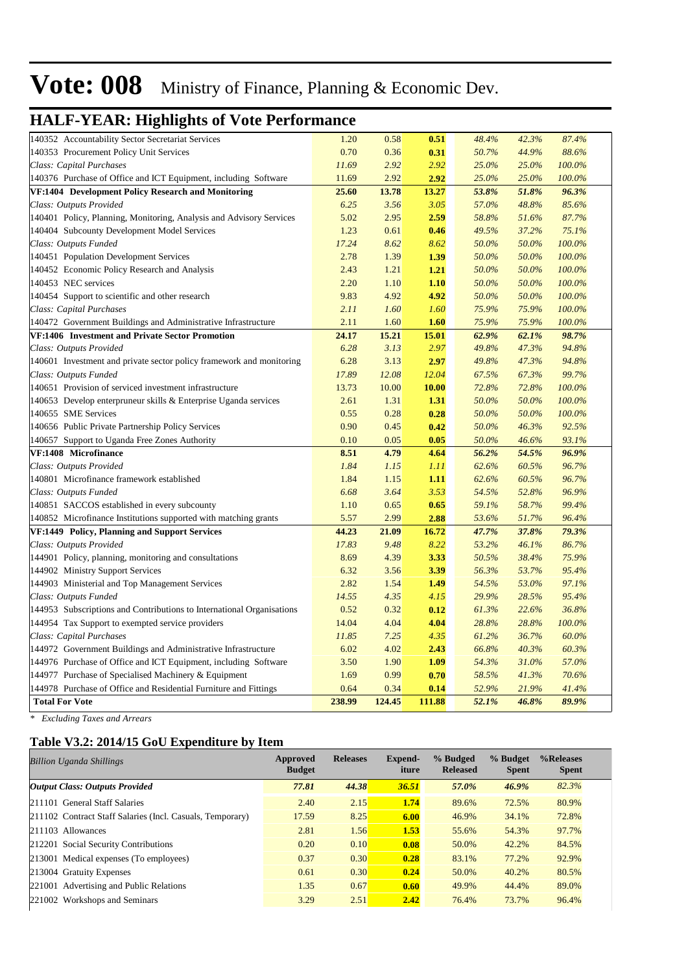### **HALF-YEAR: Highlights of Vote Performance**

| 140352 Accountability Sector Secretariat Services                     | 1.20   | 0.58   | 0.51        | 48.4% | 42.3% | 87.4%     |
|-----------------------------------------------------------------------|--------|--------|-------------|-------|-------|-----------|
| 140353 Procurement Policy Unit Services                               | 0.70   | 0.36   | 0.31        | 50.7% | 44.9% | 88.6%     |
| Class: Capital Purchases                                              | 11.69  | 2.92   | 2.92        | 25.0% | 25.0% | 100.0%    |
| 140376 Purchase of Office and ICT Equipment, including Software       | 11.69  | 2.92   | 2.92        | 25.0% | 25.0% | 100.0%    |
| VF:1404 Development Policy Research and Monitoring                    | 25.60  | 13.78  | 13.27       | 53.8% | 51.8% | 96.3%     |
| Class: Outputs Provided                                               | 6.25   | 3.56   | 3.05        | 57.0% | 48.8% | 85.6%     |
| 140401 Policy, Planning, Monitoring, Analysis and Advisory Services   | 5.02   | 2.95   | 2.59        | 58.8% | 51.6% | 87.7%     |
| 140404 Subcounty Development Model Services                           | 1.23   | 0.61   | 0.46        | 49.5% | 37.2% | 75.1%     |
| Class: Outputs Funded                                                 | 17.24  | 8.62   | 8.62        | 50.0% | 50.0% | 100.0%    |
| 140451 Population Development Services                                | 2.78   | 1.39   | 1.39        | 50.0% | 50.0% | 100.0%    |
| 140452 Economic Policy Research and Analysis                          | 2.43   | 1.21   | 1.21        | 50.0% | 50.0% | 100.0%    |
| 140453 NEC services                                                   | 2.20   | 1.10   | 1.10        | 50.0% | 50.0% | 100.0%    |
| 140454 Support to scientific and other research                       | 9.83   | 4.92   | 4.92        | 50.0% | 50.0% | 100.0%    |
| Class: Capital Purchases                                              | 2.11   | 1.60   | <i>1.60</i> | 75.9% | 75.9% | $100.0\%$ |
| 140472 Government Buildings and Administrative Infrastructure         | 2.11   | 1.60   | 1.60        | 75.9% | 75.9% | 100.0%    |
| VF:1406 Investment and Private Sector Promotion                       | 24.17  | 15.21  | 15.01       | 62.9% | 62.1% | 98.7%     |
| Class: Outputs Provided                                               | 6.28   | 3.13   | 2.97        | 49.8% | 47.3% | 94.8%     |
| 140601 Investment and private sector policy framework and monitoring  | 6.28   | 3.13   | 2.97        | 49.8% | 47.3% | 94.8%     |
| Class: Outputs Funded                                                 | 17.89  | 12.08  | 12.04       | 67.5% | 67.3% | 99.7%     |
| 140651 Provision of serviced investment infrastructure                | 13.73  | 10.00  | 10.00       | 72.8% | 72.8% | 100.0%    |
| 140653 Develop enterpruneur skills & Enterprise Uganda services       | 2.61   | 1.31   | 1.31        | 50.0% | 50.0% | 100.0%    |
| 140655 SME Services                                                   | 0.55   | 0.28   | 0.28        | 50.0% | 50.0% | 100.0%    |
| 140656 Public Private Partnership Policy Services                     | 0.90   | 0.45   | 0.42        | 50.0% | 46.3% | 92.5%     |
| 140657 Support to Uganda Free Zones Authority                         | 0.10   | 0.05   | 0.05        | 50.0% | 46.6% | 93.1%     |
| VF:1408 Microfinance                                                  | 8.51   | 4.79   | 4.64        | 56.2% | 54.5% | 96.9%     |
| Class: Outputs Provided                                               | 1.84   | 1.15   | 1.11        | 62.6% | 60.5% | 96.7%     |
| 140801 Microfinance framework established                             | 1.84   | 1.15   | 1.11        | 62.6% | 60.5% | 96.7%     |
| Class: Outputs Funded                                                 | 6.68   | 3.64   | 3.53        | 54.5% | 52.8% | 96.9%     |
| 140851 SACCOS established in every subcounty                          | 1.10   | 0.65   | 0.65        | 59.1% | 58.7% | 99.4%     |
| 140852 Microfinance Institutions supported with matching grants       | 5.57   | 2.99   | 2.88        | 53.6% | 51.7% | 96.4%     |
| VF:1449 Policy, Planning and Support Services                         | 44.23  | 21.09  | 16.72       | 47.7% | 37.8% | 79.3%     |
| Class: Outputs Provided                                               | 17.83  | 9.48   | 8.22        | 53.2% | 46.1% | 86.7%     |
| 144901 Policy, planning, monitoring and consultations                 | 8.69   | 4.39   | 3.33        | 50.5% | 38.4% | 75.9%     |
| 144902 Ministry Support Services                                      | 6.32   | 3.56   | 3.39        | 56.3% | 53.7% | 95.4%     |
| 144903 Ministerial and Top Management Services                        | 2.82   | 1.54   | 1.49        | 54.5% | 53.0% | 97.1%     |
| Class: Outputs Funded                                                 | 14.55  | 4.35   | 4.15        | 29.9% | 28.5% | 95.4%     |
| 144953 Subscriptions and Contributions to International Organisations | 0.52   | 0.32   | 0.12        | 61.3% | 22.6% | 36.8%     |
| 144954 Tax Support to exempted service providers                      | 14.04  | 4.04   | 4.04        | 28.8% | 28.8% | 100.0%    |
| Class: Capital Purchases                                              | 11.85  | 7.25   | 4.35        | 61.2% | 36.7% | 60.0%     |
| 144972 Government Buildings and Administrative Infrastructure         | 6.02   | 4.02   | 2.43        | 66.8% | 40.3% | 60.3%     |
| 144976 Purchase of Office and ICT Equipment, including Software       | 3.50   | 1.90   | 1.09        | 54.3% | 31.0% | 57.0%     |
|                                                                       |        |        |             |       |       |           |
| 144977 Purchase of Specialised Machinery & Equipment                  | 1.69   | 0.99   | 0.70        | 58.5% | 41.3% | 70.6%     |
| 144978 Purchase of Office and Residential Furniture and Fittings      | 0.64   | 0.34   | 0.14        | 52.9% | 21.9% | 41.4%     |
| <b>Total For Vote</b>                                                 | 238.99 | 124.45 | 111.88      | 52.1% | 46.8% | 89.9%     |

*\* Excluding Taxes and Arrears*

#### **Table V3.2: 2014/15 GoU Expenditure by Item**

| <b>Billion Uganda Shillings</b>                           | Approved<br><b>Budget</b> | <b>Releases</b> | Expend-<br>iture | % Budged<br>% Budget<br><b>Released</b><br><b>Spent</b> |       | %Releases<br><b>Spent</b> |  |
|-----------------------------------------------------------|---------------------------|-----------------|------------------|---------------------------------------------------------|-------|---------------------------|--|
| <b>Output Class: Outputs Provided</b>                     | 77.81                     | 44.38           | 36.51            | 57.0%                                                   | 46.9% | 82.3%                     |  |
| 211101 General Staff Salaries                             | 2.40                      | 2.15            | 1.74             | 89.6%                                                   | 72.5% | 80.9%                     |  |
| 211102 Contract Staff Salaries (Incl. Casuals, Temporary) | 17.59                     | 8.25            | 6.00             | 46.9%                                                   | 34.1% | 72.8%                     |  |
| 211103 Allowances                                         | 2.81                      | 1.56            | 1.53             | 55.6%                                                   | 54.3% | 97.7%                     |  |
| 212201 Social Security Contributions                      | 0.20                      | 0.10            | 0.08             | 50.0%                                                   | 42.2% | 84.5%                     |  |
| 213001 Medical expenses (To employees)                    | 0.37                      | 0.30            | 0.28             | 83.1%                                                   | 77.2% | 92.9%                     |  |
| 213004 Gratuity Expenses                                  | 0.61                      | 0.30            | 0.24             | 50.0%                                                   | 40.2% | 80.5%                     |  |
| 221001 Advertising and Public Relations                   | 1.35                      | 0.67            | 0.60             | 49.9%                                                   | 44.4% | 89.0%                     |  |
| 221002 Workshops and Seminars                             | 3.29                      | 2.51            | 2.42             | 76.4%                                                   | 73.7% | 96.4%                     |  |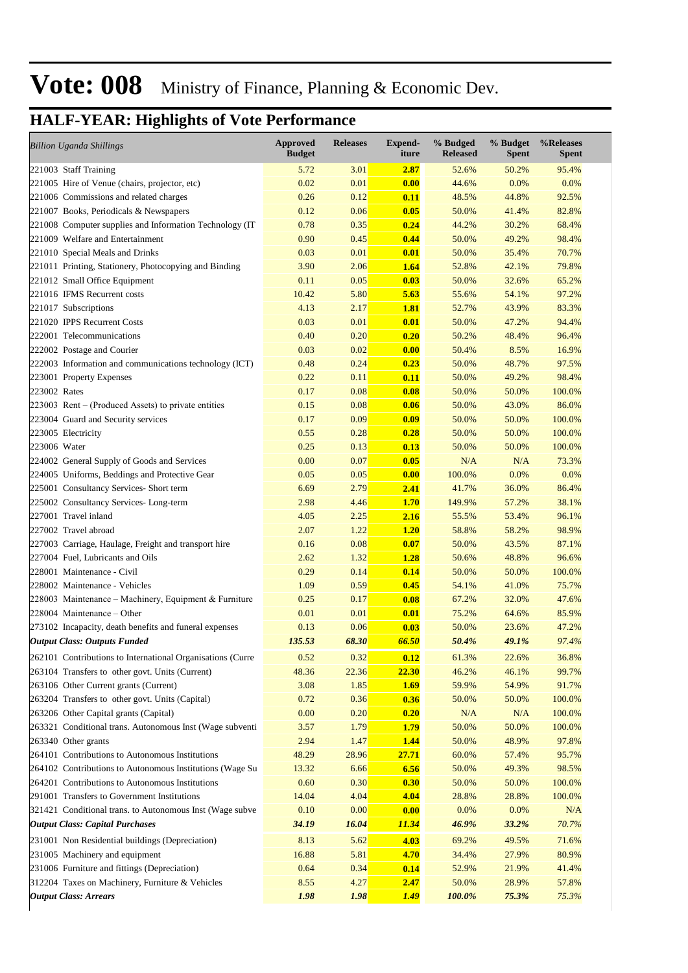| <b>Billion Uganda Shillings</b>                            | <b>Approved</b><br><b>Budget</b> | <b>Releases</b> | <b>Expend-</b><br>iture | % Budged<br><b>Released</b> | % Budget<br><b>Spent</b> | %Releases<br><b>Spent</b> |
|------------------------------------------------------------|----------------------------------|-----------------|-------------------------|-----------------------------|--------------------------|---------------------------|
| 221003 Staff Training                                      | 5.72                             | 3.01            | 2.87                    | 52.6%                       | 50.2%                    | 95.4%                     |
| 221005 Hire of Venue (chairs, projector, etc)              | 0.02                             | 0.01            | 0.00                    | 44.6%                       | 0.0%                     | 0.0%                      |
| 221006 Commissions and related charges                     | 0.26                             | 0.12            | 0.11                    | 48.5%                       | 44.8%                    | 92.5%                     |
| 221007 Books, Periodicals & Newspapers                     | 0.12                             | 0.06            | 0.05                    | 50.0%                       | 41.4%                    | 82.8%                     |
| 221008 Computer supplies and Information Technology (IT    | 0.78                             | 0.35            | 0.24                    | 44.2%                       | 30.2%                    | 68.4%                     |
| 221009 Welfare and Entertainment                           | 0.90                             | 0.45            | 0.44                    | 50.0%                       | 49.2%                    | 98.4%                     |
| 221010 Special Meals and Drinks                            | 0.03                             | 0.01            | 0.01                    | 50.0%                       | 35.4%                    | 70.7%                     |
| 221011 Printing, Stationery, Photocopying and Binding      | 3.90                             | 2.06            | 1.64                    | 52.8%                       | 42.1%                    | 79.8%                     |
| 221012 Small Office Equipment                              | 0.11                             | 0.05            | 0.03                    | 50.0%                       | 32.6%                    | 65.2%                     |
| 221016 IFMS Recurrent costs                                | 10.42                            | 5.80            | 5.63                    | 55.6%                       | 54.1%                    | 97.2%                     |
| 221017 Subscriptions                                       | 4.13                             | 2.17            | 1.81                    | 52.7%                       | 43.9%                    | 83.3%                     |
| 221020 IPPS Recurrent Costs                                | 0.03                             | 0.01            | 0.01                    | 50.0%                       | 47.2%                    | 94.4%                     |
| 222001 Telecommunications                                  | 0.40                             | 0.20            | 0.20                    | 50.2%                       | 48.4%                    | 96.4%                     |
| 222002 Postage and Courier                                 | 0.03                             | 0.02            | 0.00                    | 50.4%                       | 8.5%                     | 16.9%                     |
| 222003 Information and communications technology (ICT)     | 0.48                             | 0.24            | 0.23                    | 50.0%                       | 48.7%                    | 97.5%                     |
| 223001 Property Expenses                                   | 0.22                             | 0.11            | 0.11                    | 50.0%                       | 49.2%                    | 98.4%                     |
| 223002 Rates                                               | 0.17                             | 0.08            | 0.08                    | 50.0%                       | 50.0%                    | 100.0%                    |
| 223003 Rent – (Produced Assets) to private entities        | 0.15                             | 0.08            | 0.06                    | 50.0%                       | 43.0%                    | 86.0%                     |
| 223004 Guard and Security services                         | 0.17                             | 0.09            | 0.09                    | 50.0%                       | 50.0%                    | 100.0%                    |
| 223005 Electricity                                         | 0.55                             | 0.28            | 0.28                    | 50.0%                       | 50.0%                    | 100.0%                    |
| 223006 Water                                               | 0.25                             | 0.13            | 0.13                    | 50.0%                       | 50.0%                    | 100.0%                    |
| 224002 General Supply of Goods and Services                | 0.00                             | 0.07            | 0.05                    | N/A                         | N/A                      | 73.3%                     |
| 224005 Uniforms, Beddings and Protective Gear              | 0.05                             | 0.05            | 0.00                    | 100.0%                      | 0.0%                     | 0.0%                      |
| 225001 Consultancy Services- Short term                    | 6.69                             | 2.79            | 2.41                    | 41.7%                       | 36.0%                    | 86.4%                     |
| 225002 Consultancy Services-Long-term                      | 2.98                             | 4.46            | 1.70                    | 149.9%                      | 57.2%                    | 38.1%                     |
| 227001 Travel inland                                       | 4.05                             | 2.25            | 2.16                    | 55.5%                       | 53.4%                    | 96.1%                     |
| 227002 Travel abroad                                       | 2.07                             | 1.22            | 1.20                    | 58.8%                       | 58.2%                    | 98.9%                     |
| 227003 Carriage, Haulage, Freight and transport hire       | 0.16                             | 0.08            | 0.07                    | 50.0%                       | 43.5%                    | 87.1%                     |
| 227004 Fuel, Lubricants and Oils                           | 2.62                             | 1.32            | 1.28                    | 50.6%                       | 48.8%                    | 96.6%                     |
| 228001 Maintenance - Civil                                 | 0.29                             | 0.14            | 0.14                    | 50.0%                       | 50.0%                    | 100.0%                    |
| 228002 Maintenance - Vehicles                              | 1.09                             | 0.59            | 0.45                    | 54.1%                       | 41.0%                    | 75.7%                     |
| 228003 Maintenance – Machinery, Equipment & Furniture      | 0.25                             | 0.17            | 0.08                    | 67.2%                       | 32.0%                    | 47.6%                     |
| 228004 Maintenance – Other                                 | 0.01                             | 0.01            | 0.01                    | 75.2%                       | 64.6%                    | 85.9%                     |
| 273102 Incapacity, death benefits and funeral expenses     | 0.13                             | 0.06            | 0.03                    | 50.0%                       | 23.6%                    | 47.2%                     |
| <b>Output Class: Outputs Funded</b>                        | 135.53                           | 68.30           | 66.50                   | 50.4%                       | 49.1%                    | 97.4%                     |
| 262101 Contributions to International Organisations (Curre | 0.52                             | 0.32            | 0.12                    | 61.3%                       | 22.6%                    | 36.8%                     |
| 263104 Transfers to other govt. Units (Current)            | 48.36                            | 22.36           | 22.30                   | 46.2%                       | 46.1%                    | 99.7%                     |
| 263106 Other Current grants (Current)                      | 3.08                             | 1.85            | <b>1.69</b>             | 59.9%                       | 54.9%                    | 91.7%                     |
| 263204 Transfers to other govt. Units (Capital)            | 0.72                             | 0.36            | 0.36                    | 50.0%                       | 50.0%                    | 100.0%                    |
| 263206 Other Capital grants (Capital)                      | 0.00                             | 0.20            | 0.20                    | N/A                         | N/A                      | 100.0%                    |
| 263321 Conditional trans. Autonomous Inst (Wage subventi   | 3.57                             | 1.79            | <b>1.79</b>             | 50.0%                       | 50.0%                    | 100.0%                    |
| 263340 Other grants                                        | 2.94                             | 1.47            | 1.44                    | 50.0%                       | 48.9%                    | 97.8%                     |
| 264101 Contributions to Autonomous Institutions            | 48.29                            | 28.96           | 27.71                   | 60.0%                       | 57.4%                    | 95.7%                     |
| 264102 Contributions to Autonomous Institutions (Wage Su   | 13.32                            | 6.66            | 6.56                    | 50.0%                       | 49.3%                    | 98.5%                     |
| 264201 Contributions to Autonomous Institutions            | 0.60                             | 0.30            | 0.30                    | 50.0%                       | 50.0%                    | 100.0%                    |
| 291001 Transfers to Government Institutions                | 14.04                            | 4.04            | 4.04                    | 28.8%                       | 28.8%                    | 100.0%                    |
| 321421 Conditional trans. to Autonomous Inst (Wage subve   | 0.10                             | 0.00            | 0.00                    | 0.0%                        | 0.0%                     | N/A                       |
| <b>Output Class: Capital Purchases</b>                     | 34.19                            | 16.04           | 11.34                   | 46.9%                       | 33.2%                    | 70.7%                     |
| 231001 Non Residential buildings (Depreciation)            | 8.13                             | 5.62            | 4.03                    | 69.2%                       | 49.5%                    | 71.6%                     |
| 231005 Machinery and equipment                             | 16.88                            | 5.81            | 4.70                    | 34.4%                       | 27.9%                    | 80.9%                     |
| 231006 Furniture and fittings (Depreciation)               | 0.64                             | 0.34            | 0.14                    | 52.9%                       | 21.9%                    | 41.4%                     |
| 312204 Taxes on Machinery, Furniture & Vehicles            | 8.55                             | 4.27            | 2.47                    | 50.0%                       | 28.9%                    | 57.8%                     |
| <b>Output Class: Arrears</b>                               | 1.98                             | 1.98            | <b>1.49</b>             | 100.0%                      | 75.3%                    | 75.3%                     |
|                                                            |                                  |                 |                         |                             |                          |                           |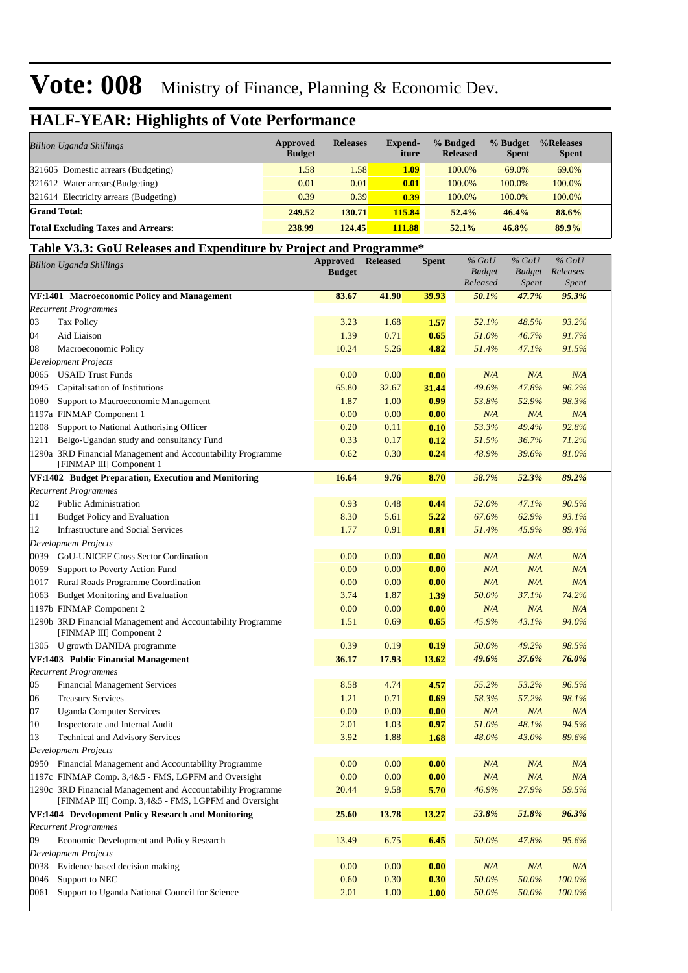### **HALF-YEAR: Highlights of Vote Performance**

| <b>Billion Uganda Shillings</b>           | Approved<br><b>Budget</b> | <b>Releases</b> | <b>Expend-</b><br>iture | % Budged<br><b>Released</b> | % Budget<br><b>Spent</b> | %Releases<br><b>Spent</b> |
|-------------------------------------------|---------------------------|-----------------|-------------------------|-----------------------------|--------------------------|---------------------------|
| 321605 Domestic arrears (Budgeting)       | 1.58                      | 1.58            | 1.09                    | 100.0%                      | 69.0%                    | 69.0%                     |
| 321612 Water arrears (Budgeting)          | 0.01                      | 0.01            | 0.01                    | 100.0%                      | 100.0%                   | 100.0%                    |
| 321614 Electricity arrears (Budgeting)    | 0.39                      | 0.39            | 0.39                    | 100.0%                      | 100.0%                   | 100.0%                    |
| <b>Grand Total:</b>                       | 249.52                    | 130.71          | 115.84                  | 52.4%                       | 46.4%                    | 88.6%                     |
| <b>Total Excluding Taxes and Arrears:</b> | 238.99                    | 124.45          | 111.88                  | 52.1%                       | 46.8%                    | 89.9%                     |

#### **Table V3.3: GoU Releases and Expenditure by Project and Programme\***

| <b>Billion Uganda Shillings</b>                    |                                                                                                                    | <b>Approved</b><br><b>Budget</b> | <b>Released</b> | Spent | $%$ GoU<br><b>Budget</b><br>Released | $\%$ GoU<br><b>Budget</b><br><i>Spent</i> | $%$ GoU<br>Releases<br>Spent |  |
|----------------------------------------------------|--------------------------------------------------------------------------------------------------------------------|----------------------------------|-----------------|-------|--------------------------------------|-------------------------------------------|------------------------------|--|
| VF:1401 Macroeconomic Policy and Management        |                                                                                                                    | 83.67                            | 41.90           | 39.93 | 50.1%                                | 47.7%                                     | 95.3%                        |  |
| <b>Recurrent Programmes</b>                        |                                                                                                                    |                                  |                 |       |                                      |                                           |                              |  |
| 03<br><b>Tax Policy</b>                            |                                                                                                                    | 3.23                             | 1.68            | 1.57  | 52.1%                                | 48.5%                                     | 93.2%                        |  |
| 04<br>Aid Liaison                                  |                                                                                                                    | 1.39                             | 0.71            | 0.65  | 51.0%                                | 46.7%                                     | 91.7%                        |  |
| 08<br>Macroeconomic Policy                         |                                                                                                                    | 10.24                            | 5.26            | 4.82  | 51.4%                                | 47.1%                                     | 91.5%                        |  |
| <b>Development Projects</b>                        |                                                                                                                    |                                  |                 |       |                                      |                                           |                              |  |
| 0065<br><b>USAID Trust Funds</b>                   |                                                                                                                    | 0.00                             | 0.00            | 0.00  | N/A                                  | N/A                                       | N/A                          |  |
| 0945<br>Capitalisation of Institutions             |                                                                                                                    | 65.80                            | 32.67           | 31.44 | 49.6%                                | 47.8%                                     | 96.2%                        |  |
| 1080<br>Support to Macroeconomic Management        |                                                                                                                    | 1.87                             | 1.00            | 0.99  | 53.8%                                | 52.9%                                     | 98.3%                        |  |
| 1197a FINMAP Component 1                           |                                                                                                                    | 0.00                             | 0.00            | 0.00  | N/A                                  | N/A                                       | N/A                          |  |
| 1208<br>Support to National Authorising Officer    |                                                                                                                    | 0.20                             | 0.11            | 0.10  | 53.3%                                | 49.4%                                     | 92.8%                        |  |
| 1211                                               | Belgo-Ugandan study and consultancy Fund                                                                           | 0.33                             | 0.17            | 0.12  | 51.5%                                | 36.7%                                     | 71.2%                        |  |
| [FINMAP III] Component 1                           | 1290a 3RD Financial Management and Accountability Programme                                                        | 0.62                             | 0.30            | 0.24  | 48.9%                                | 39.6%                                     | 81.0%                        |  |
|                                                    | VF:1402 Budget Preparation, Execution and Monitoring                                                               | 16.64                            | 9.76            | 8.70  | 58.7%                                | 52.3%                                     | 89.2%                        |  |
| <b>Recurrent Programmes</b>                        |                                                                                                                    |                                  |                 |       |                                      |                                           |                              |  |
| 02<br><b>Public Administration</b>                 |                                                                                                                    | 0.93                             | 0.48            | 0.44  | 52.0%                                | 47.1%                                     | 90.5%                        |  |
| 11<br><b>Budget Policy and Evaluation</b>          |                                                                                                                    | 8.30                             | 5.61            | 5.22  | 67.6%                                | 62.9%                                     | 93.1%                        |  |
| 12<br><b>Infrastructure and Social Services</b>    |                                                                                                                    | 1.77                             | 0.91            | 0.81  | 51.4%                                | 45.9%                                     | 89.4%                        |  |
| <b>Development Projects</b>                        |                                                                                                                    |                                  |                 |       |                                      |                                           |                              |  |
| 0039<br><b>GoU-UNICEF Cross Sector Cordination</b> |                                                                                                                    | 0.00                             | 0.00            | 0.00  | N/A                                  | N/A                                       | N/A                          |  |
| 0059<br>Support to Poverty Action Fund             |                                                                                                                    | 0.00                             | 0.00            | 0.00  | N/A                                  | N/A                                       | N/A                          |  |
| Rural Roads Programme Coordination<br>1017         |                                                                                                                    | 0.00                             | 0.00            | 0.00  | N/A                                  | N/A                                       | N/A                          |  |
| <b>Budget Monitoring and Evaluation</b><br>1063    |                                                                                                                    | 3.74                             | 1.87            | 1.39  | 50.0%                                | 37.1%                                     | 74.2%                        |  |
| 1197b FINMAP Component 2                           |                                                                                                                    | 0.00                             | 0.00            | 0.00  | N/A                                  | N/A                                       | N/A                          |  |
| [FINMAP III] Component 2                           | 1290b 3RD Financial Management and Accountability Programme                                                        | 1.51                             | 0.69            | 0.65  | 45.9%                                | 43.1%                                     | 94.0%                        |  |
| U growth DANIDA programme<br>1305                  |                                                                                                                    | 0.39                             | 0.19            | 0.19  | 50.0%                                | 49.2%                                     | 98.5%                        |  |
| VF:1403 Public Financial Management                |                                                                                                                    | 36.17                            | 17.93           | 13.62 | 49.6%                                | 37.6%                                     | 76.0%                        |  |
| <b>Recurrent Programmes</b>                        |                                                                                                                    |                                  |                 |       |                                      |                                           |                              |  |
| <b>Financial Management Services</b><br>05         |                                                                                                                    | 8.58                             | 4.74            | 4.57  | 55.2%                                | 53.2%                                     | 96.5%                        |  |
| <b>Treasury Services</b><br>06                     |                                                                                                                    | 1.21                             | 0.71            | 0.69  | 58.3%                                | 57.2%                                     | 98.1%                        |  |
| 07<br><b>Uganda Computer Services</b>              |                                                                                                                    | 0.00                             | 0.00            | 0.00  | N/A                                  | N/A                                       | N/A                          |  |
| 10<br>Inspectorate and Internal Audit              |                                                                                                                    | 2.01                             | 1.03            | 0.97  | 51.0%                                | 48.1%                                     | 94.5%                        |  |
| Technical and Advisory Services<br>13              |                                                                                                                    | 3.92                             | 1.88            | 1.68  | 48.0%                                | 43.0%                                     | 89.6%                        |  |
| <b>Development Projects</b>                        |                                                                                                                    |                                  |                 |       |                                      |                                           |                              |  |
|                                                    | 0950 Financial Management and Accountability Programme                                                             | 0.00                             | 0.00            | 0.00  | N/A                                  | N/A                                       | N/A                          |  |
|                                                    | 1197c FINMAP Comp. 3,4&5 - FMS, LGPFM and Oversight                                                                | 0.00                             | 0.00            | 0.00  | N/A                                  | N/A                                       | N/A                          |  |
|                                                    | 1290c 3RD Financial Management and Accountability Programme<br>[FINMAP III] Comp. 3,4&5 - FMS, LGPFM and Oversight | 20.44                            | 9.58            | 5.70  | 46.9%                                | 27.9%                                     | 59.5%                        |  |
|                                                    | VF:1404 Development Policy Research and Monitoring                                                                 | 25.60                            | 13.78           | 13.27 | 53.8%                                | 51.8%                                     | 96.3%                        |  |
| <b>Recurrent Programmes</b>                        |                                                                                                                    |                                  |                 |       |                                      |                                           |                              |  |
| 09                                                 | Economic Development and Policy Research                                                                           | 13.49                            | 6.75            | 6.45  | 50.0%                                | 47.8%                                     | 95.6%                        |  |
| <b>Development Projects</b>                        |                                                                                                                    |                                  |                 |       |                                      |                                           |                              |  |
| Evidence based decision making<br>0038             |                                                                                                                    | 0.00                             | 0.00            | 0.00  | N/A                                  | N/A                                       | N/A                          |  |
| 0046<br>Support to NEC                             |                                                                                                                    | 0.60                             | 0.30            | 0.30  | 50.0%                                | 50.0%                                     | 100.0%                       |  |
| 0061                                               | Support to Uganda National Council for Science                                                                     | 2.01                             | 1.00            | 1.00  | 50.0%                                | 50.0%                                     | 100.0%                       |  |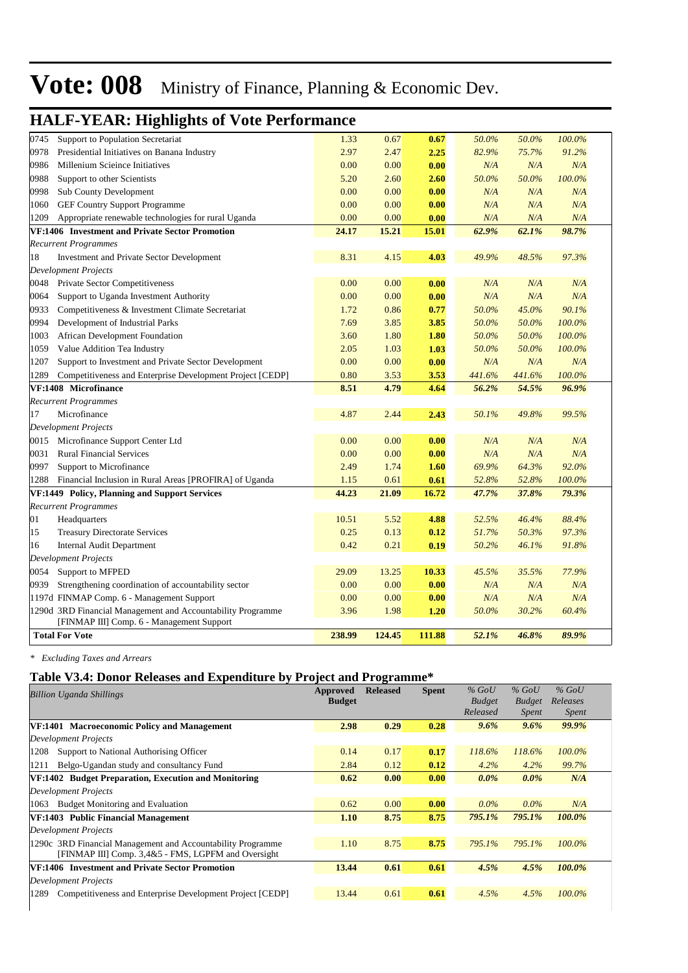#### 0745 Support to Population Secretariat 1.33 0.67 **0.67** *50.0% 50.0% 100.0%* 0978 Presidential Initiatives on Banana Industry 2.97 2.47 **2.25** *82.9% 75.7% 91.2%* 0986 Millenium Scieince Initiatives 0.00 0.00 **0.00** *N/A N/A N/A* 0988 Support to other Scientists 5.20 2.60 **2.60** *50.0% 50.0% 100.0%* 0998 Sub County Development 0.00 0.00 **0.00** *N/A N/A N/A* 1060 GEF Country Support Programme 0.00 0.00 **0.00** *N/A N/A N/A* 1209 Appropriate renewable technologies for rural Uganda 0.00 0.00 **0.00** *N/A N/A N/A* **VF:1406 Investment and Private Sector Promotion 24.17 15.21 15.01** *62.9% 62.1% 98.7% Recurrent Programmes* 18 Investment and Private Sector Development 8.31 4.15 **4.03** *49.9% 48.5% 97.3% Development Projects* 0048 Private Sector Competitiveness 0.00 0.00 **0.00** *N/A N/A N/A* 0064 Support to Uganda Investment Authority 0.00 0.00 **0.00** *N/A N/A N/A* 0933 Competitiveness & Investment Climate Secretariat 1.72 0.86 **0.77** *50.0% 45.0% 90.1%* 0994 Development of Industrial Parks 7.69 3.85 **3.85** *50.0% 50.0% 100.0%* 1003 African Development Foundation 3.60 1.80 **1.80** *50.0% 50.0% 100.0%* 1059 Value Addition Tea Industry 2.05 1.03 **1.03** *50.0% 50.0% 100.0%* 1207 Support to Investment and Private Sector Development 0.00 0.00 **0.00** *N/A N/A N/A* 1289 Competitiveness and Enterprise Development Project [CEDP] 0.80 3.53 **3.53** *441.6% 441.6% 100.0%* **VF:1408 Microfinance 8.51 4.79 4.64** *56.2% 54.5% 96.9% Recurrent Programmes* 17 Microfinance 4.87 2.44 **2.43** *50.1% 49.8% 99.5% Development Projects* 0015 Microfinance Support Center Ltd 0.00 0.00 **0.00** *N/A N/A N/A* 0031 Rural Financial Services 0.00 0.00 **0.00** *N/A N/A N/A* 0997 Support to Microfinance 2.49 1.74 **1.60** *69.9% 64.3% 92.0%* 1288 Financial Inclusion in Rural Areas [PROFIRA] of Uganda 1.15 0.61 **0.61** *52.8% 52.8% 100.0%* **VF:1449 Policy, Planning and Support Services 44.23 21.09 16.72** *47.7% 37.8% 79.3% Recurrent Programmes* 01 Headquarters 10.51 5.52 **4.88** *52.5% 46.4% 88.4%* 15 Treasury Directorate Services 0.25 0.13 **0.12** *51.7% 50.3% 97.3%* 16 Internal Audit Department 0.42 0.21 **0.19** *50.2% 46.1% 91.8% Development Projects* 0054 Support to MFPED 29.09 13.25 **10.33** *45.5% 35.5% 77.9%* 0939 Strengthening coordination of accountability sector 0.00 0.00 **0.00** *N/A N/A N/A* 1197d FINMAP Comp. 6 - Management Support 0.00 0.00 **0.00** *N/A N/A N/A* 3RD Financial Management and Accountability Programme 3.96 1.98 **1.20** *50.0% 30.2% 60.4%* 1290d [FINMAP III] Comp. 6 - Management Support **Total For Vote 238.99 124.45 111.88** *52.1% 46.8% 89.9%*

#### **HALF-YEAR: Highlights of Vote Performance**

*\* Excluding Taxes and Arrears*

#### **Table V3.4: Donor Releases and Expenditure by Project and Programme\***

| <b>Billion Uganda Shillings</b>                                   | Approved      | <b>Released</b> | <b>Spent</b> | $\%$ GoU      | $\%$ GoU      | $%$ GoU      |  |
|-------------------------------------------------------------------|---------------|-----------------|--------------|---------------|---------------|--------------|--|
|                                                                   | <b>Budget</b> |                 |              | <b>Budget</b> | <b>Budget</b> | Releases     |  |
|                                                                   |               |                 |              | Released      | Spent         | <i>Spent</i> |  |
| VF:1401 Macroeconomic Policy and Management                       | 2.98          | 0.29            | 0.28         | $9.6\%$       | $9.6\%$       | 99.9%        |  |
| <b>Development Projects</b>                                       |               |                 |              |               |               |              |  |
| Support to National Authorising Officer<br>1208                   | 0.14          | 0.17            | 0.17         | 118.6%        | 118.6%        | $100.0\%$    |  |
| Belgo-Ugandan study and consultancy Fund<br>1211                  | 2.84          | 0.12            | 0.12         | 4.2%          | 4.2%          | 99.7%        |  |
| VF:1402 Budget Preparation, Execution and Monitoring              | 0.62          | 0.00            | 0.00         | $0.0\%$       | $0.0\%$       | N/A          |  |
| <b>Development Projects</b>                                       |               |                 |              |               |               |              |  |
| <b>Budget Monitoring and Evaluation</b><br>1063                   | 0.62          | 0.00            | 0.00         | $0.0\%$       | $0.0\%$       | N/A          |  |
| VF:1403 Public Financial Management                               | 1.10          | 8.75            | 8.75         | 795.1%        | 795.1%        | 100.0%       |  |
| <b>Development Projects</b>                                       |               |                 |              |               |               |              |  |
| 1290c 3RD Financial Management and Accountability Programme       | 1.10          | 8.75            | 8.75         | 795.1%        | 795.1%        | 100.0%       |  |
| [FINMAP III] Comp. 3,4&5 - FMS, LGPFM and Oversight               |               |                 |              |               |               |              |  |
| VF:1406 Investment and Private Sector Promotion                   | 13.44         | 0.61            | 0.61         | 4.5%          | 4.5%          | 100.0%       |  |
| <b>Development Projects</b>                                       |               |                 |              |               |               |              |  |
| Competitiveness and Enterprise Development Project [CEDP]<br>1289 | 13.44         | 0.61            | 0.61         | 4.5%          | 4.5%          | 100.0%       |  |
|                                                                   |               |                 |              |               |               |              |  |